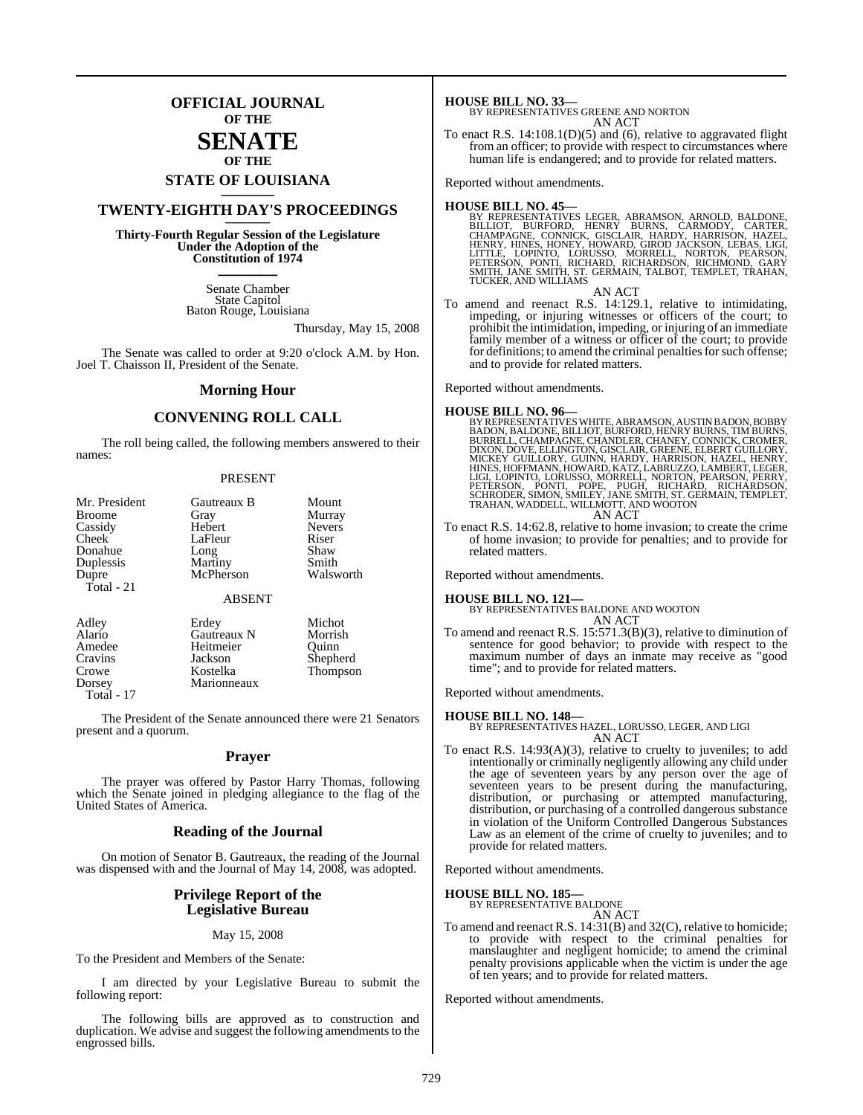## **OFFICIAL JOURNAL OF THE**

## **SENATE OF THE**

# **STATE OF LOUISIANA \_\_\_\_\_\_\_**

# **TWENTY-EIGHTH DAY'S PROCEEDINGS \_\_\_\_\_\_\_**

**Thirty-Fourth Regular Session of the Legislature Under the Adoption of the Constitution of 1974 \_\_\_\_\_\_\_**

> Senate Chamber State Capitol Baton Rouge, Louisiana

> > Thursday, May 15, 2008

The Senate was called to order at 9:20 o'clock A.M. by Hon. Joel T. Chaisson II, President of the Senate.

#### **Morning Hour**

### **CONVENING ROLL CALL**

The roll being called, the following members answered to their names:

#### PRESENT

| Mr. President<br><b>Broome</b><br>Cassidy<br>Cheek<br>Donahue<br>Duplessis<br>Dupre<br>Total - 21 | Gautreaux B<br>Gray<br>Hebert<br>LaFleur<br>Long<br>Martiny<br>McPherson | Mount<br>Murray<br><b>Nevers</b><br>Riser<br>Shaw<br>Smith<br>Walsworth |
|---------------------------------------------------------------------------------------------------|--------------------------------------------------------------------------|-------------------------------------------------------------------------|
|                                                                                                   | <b>ABSENT</b>                                                            |                                                                         |
| Adley<br>Alario<br>Amedee<br>Cravins<br>Crowe<br>Dorsey                                           | Erdey<br>Gautreaux N<br>Heitmeier<br>Jackson<br>Kostelka<br>Marionneaux  | Michot<br>Morrish<br>Ouinn<br>Shepherd<br>Thompson                      |

Total - 17

The President of the Senate announced there were 21 Senators present and a quorum.

#### **Prayer**

The prayer was offered by Pastor Harry Thomas, following which the Senate joined in pledging allegiance to the flag of the United States of America.

#### **Reading of the Journal**

On motion of Senator B. Gautreaux, the reading of the Journal was dispensed with and the Journal of May 14, 2008, was adopted.

#### **Privilege Report of the Legislative Bureau**

#### May 15, 2008

To the President and Members of the Senate:

I am directed by your Legislative Bureau to submit the following report:

The following bills are approved as to construction and duplication. We advise and suggest the following amendments to the engrossed bills.

**HOUSE BILL NO. 33—**

BY REPRESENTATIVES GREENE AND NORTON AN ACT

To enact R.S.  $14:108.1(D)(5)$  and (6), relative to aggravated flight from an officer; to provide with respect to circumstances where human life is endangered; and to provide for related matters.

Reported without amendments.

#### **HOUSE BILL NO. 45—**

- BY REPRESENTATIVES LEGER, ABRAMSON, ARNOLD, BALDONE,<br>BILLIOT, BURFORD, HENRY BURNS, CARMODY, CARTER,<br>CHAMPAGNE, CONNICK, GISCLAIR, HARDY, HARRISON, HAZEL,<br>HENRY, HINES, HONEY, HOWARD, GIROD JACKSON, LEBAS, LIGIT<br>LITTLE, LO
- AN ACT To amend and reenact R.S. 14:129.1, relative to intimidating, impeding, or injuring witnesses or officers of the court; to prohibit the intimidation, impeding, or injuring of an immediate family member of a witness or officer of the court; to provide for definitions; to amend the criminal penalties for such offense; and to provide for related matters.

Reported without amendments.

#### **HOUSE BILL NO. 96—**

- BY REPRESENTATIVES WHITE, ABRAMSON, AUSTIN BADON, BOBBY<br>BADON, BALDONE, BILLIOT, BURFORD, HENRY BURNS, TIM BURNS,<br>BURRELL, CHAMPAGNE, CHANDLER, CHANEY, CONNICK, CROMER,<br>DIXON, DOVE, ELLINGTON, GISCLAIR, GREENE, ELBERT GUIL AN ACT
- To enact R.S. 14:62.8, relative to home invasion; to create the crime of home invasion; to provide for penalties; and to provide for related matters.

Reported without amendments.

#### **HOUSE BILL NO. 121—**

BY REPRESENTATIVES BALDONE AND WOOTON AN ACT

To amend and reenact R.S. 15:571.3(B)(3), relative to diminution of sentence for good behavior; to provide with respect to the maximum number of days an inmate may receive as "good time"; and to provide for related matters.

Reported without amendments.

#### **HOUSE BILL NO. 148—**

BY REPRESENTATIVES HAZEL, LORUSSO, LEGER, AND LIGI AN ACT

To enact R.S. 14:93(A)(3), relative to cruelty to juveniles; to add intentionally or criminally negligently allowing any child under the age of seventeen years by any person over the age of seventeen years to be present during the manufacturing, distribution, or purchasing or attempted manufacturing, distribution, or purchasing of a controlled dangerous substance in violation of the Uniform Controlled Dangerous Substances Law as an element of the crime of cruelty to juveniles; and to provide for related matters.

Reported without amendments.

# **HOUSE BILL NO. 185—** BY REPRESENTATIVE BALDONE

AN ACT

To amend and reenact R.S. 14:31(B) and 32(C), relative to homicide; to provide with respect to the criminal penalties for manslaughter and negligent homicide; to amend the criminal penalty provisions applicable when the victim is under the age of ten years; and to provide for related matters.

Reported without amendments.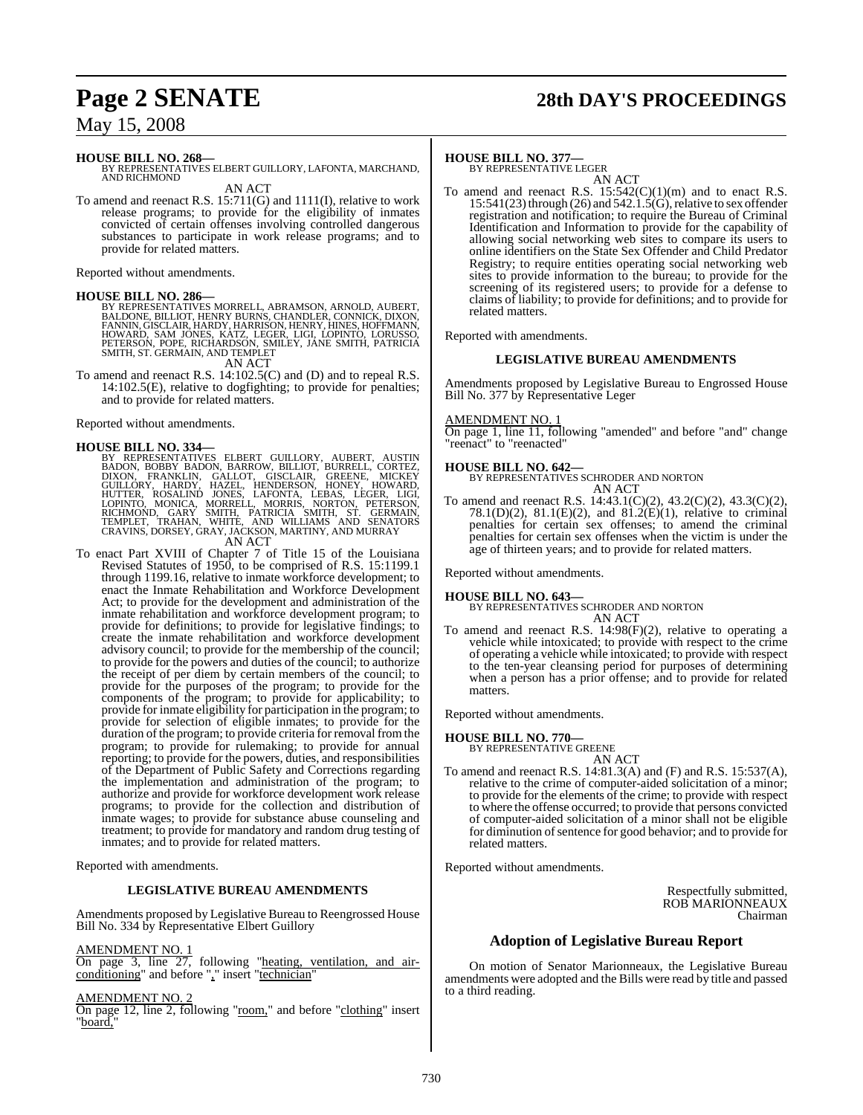# **Page 2 SENATE 28th DAY'S PROCEEDINGS**

May 15, 2008

#### **HOUSE BILL NO. 268—**

BY REPRESENTATIVES ELBERT GUILLORY, LAFONTA, MARCHAND, AND RICHMOND AN ACT

To amend and reenact R.S. 15:711(G) and 1111(I), relative to work release programs; to provide for the eligibility of inmates convicted of certain offenses involving controlled dangerous substances to participate in work release programs; and to provide for related matters.

Reported without amendments.

#### **HOUSE BILL NO. 286—**

BY REPRESENTATIVES MORRELL, ABRAMSON, ARNOLD, AUBERT,<br>BALDONE, BILLIOT, HENRY BURNS, CHANDLER, CONNICK, DIXON,<br>FANNIN, GISCLAIR, HARDY, HARRISON, HENRY, HINES, HOFFMANN,<br>HOWARD, SAM JONES, KATZ, LEGER, LIGI, LOPINTO, LORUS

AN ACT

To amend and reenact R.S. 14:102.5(C) and (D) and to repeal R.S. 14:102.5(E), relative to dogfighting; to provide for penalties; and to provide for related matters.

Reported without amendments.

HOUSE BILL NO. 334—<br>
BY REPRESENTATIVES ELBERT GUILLORY, AUBERT, AUSTIN<br>
BADON, BOBBY BADON, BARROW, BILLIOT, BURRELL, CORTEZ,<br>
DIXON, FRANKLIN, GALLOT, GISCLAIR, GREENE, MICKEY<br>
GUILLORY, HARDY, HAZEL, HENDERSON, HONEY, H

AN ACT

To enact Part XVIII of Chapter 7 of Title 15 of the Louisiana Revised Statutes of 1950, to be comprised of R.S. 15:1199.1 through 1199.16, relative to inmate workforce development; to enact the Inmate Rehabilitation and Workforce Development Act; to provide for the development and administration of the inmate rehabilitation and workforce development program; to provide for definitions; to provide for legislative findings; to create the inmate rehabilitation and workforce development advisory council; to provide for the membership of the council; to provide for the powers and duties of the council; to authorize the receipt of per diem by certain members of the council; to provide for the purposes of the program; to provide for the components of the program; to provide for applicability; to provide for inmate eligibility for participation in the program; to provide for selection of eligible inmates; to provide for the duration of the program; to provide criteria for removal from the program; to provide for rulemaking; to provide for annual reporting; to provide for the powers, duties, and responsibilities of the Department of Public Safety and Corrections regarding the implementation and administration of the program; to authorize and provide for workforce development work release programs; to provide for the collection and distribution of inmate wages; to provide for substance abuse counseling and treatment; to provide for mandatory and random drug testing of inmates; and to provide for related matters.

Reported with amendments.

#### **LEGISLATIVE BUREAU AMENDMENTS**

Amendments proposed by Legislative Bureau to Reengrossed House Bill No. 334 by Representative Elbert Guillory

#### **AMENDMENT NO.**

On page 3, line 27, following "heating, ventilation, and airconditioning" and before "," insert "technician"

#### AMENDMENT NO. 2

On page 12, line 2, following "room," and before "clothing" insert "board,

#### **HOUSE BILL NO. 377—**

BY REPRESENTATIVE LEGER AN ACT

To amend and reenact R.S.  $15:542(C)(1)(m)$  and to enact R.S.  $15:541(23)$  through  $(26)$  and  $542.1.5(G)$ , relative to sex offender registration and notification; to require the Bureau of Criminal Identification and Information to provide for the capability of allowing social networking web sites to compare its users to online identifiers on the State Sex Offender and Child Predator Registry; to require entities operating social networking web sites to provide information to the bureau; to provide for the screening of its registered users; to provide for a defense to claims of liability; to provide for definitions; and to provide for related matters.

Reported with amendments.

#### **LEGISLATIVE BUREAU AMENDMENTS**

Amendments proposed by Legislative Bureau to Engrossed House Bill No. 377 by Representative Leger

#### AMENDMENT NO. 1

On page 1, line 11, following "amended" and before "and" change "reenact" to "reenacted"

#### **HOUSE BILL NO. 642—**

BY REPRESENTATIVES SCHRODER AND NORTON AN ACT

To amend and reenact R.S. 14:43.1(C)(2), 43.2(C)(2), 43.3(C)(2), 78.1(D)(2), 81.1(E)(2), and 81.2(E)(1), relative to criminal penalties for certain sex offenses; to amend the criminal penalties for certain sex offenses when the victim is under the age of thirteen years; and to provide for related matters.

Reported without amendments.

#### **HOUSE BILL NO. 643—**

BY REPRESENTATIVES SCHRODER AND NORTON AN ACT

To amend and reenact R.S. 14:98(F)(2), relative to operating a vehicle while intoxicated; to provide with respect to the crime of operating a vehicle while intoxicated; to provide with respect to the ten-year cleansing period for purposes of determining when a person has a prior offense; and to provide for related matters.

Reported without amendments.

#### **HOUSE BILL NO. 770—**

BY REPRESENTATIVE GREENE AN ACT

To amend and reenact R.S. 14:81.3(A) and (F) and R.S. 15:537(A), relative to the crime of computer-aided solicitation of a minor; to provide for the elements of the crime; to provide with respect to where the offense occurred; to provide that persons convicted of computer-aided solicitation of a minor shall not be eligible for diminution of sentence for good behavior; and to provide for related matters.

Reported without amendments.

Respectfully submitted, ROB MARIONNEAUX Chairman

#### **Adoption of Legislative Bureau Report**

On motion of Senator Marionneaux, the Legislative Bureau amendments were adopted and the Bills were read by title and passed to a third reading.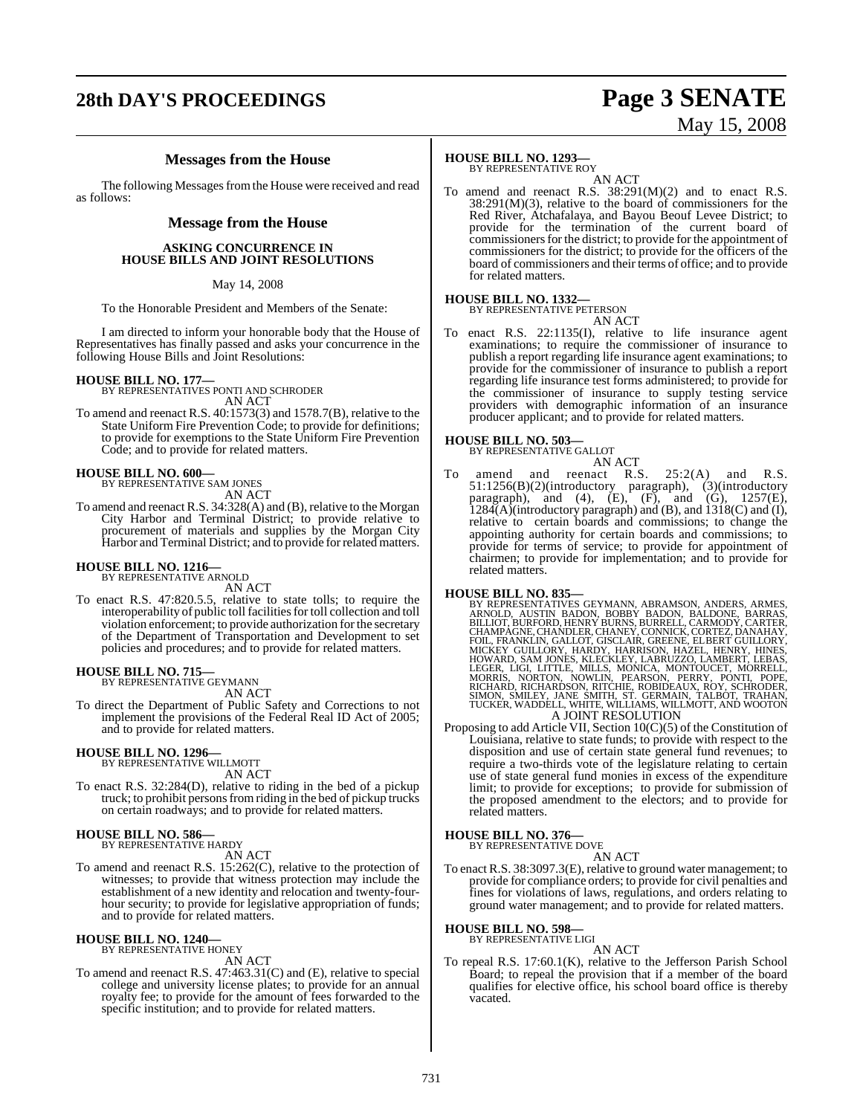# **28th DAY'S PROCEEDINGS Page 3 SENATE**

# May 15, 2008

#### **Messages from the House**

The following Messages from the House were received and read as follows:

#### **Message from the House**

#### **ASKING CONCURRENCE IN HOUSE BILLS AND JOINT RESOLUTIONS**

#### May 14, 2008

To the Honorable President and Members of the Senate:

I am directed to inform your honorable body that the House of Representatives has finally passed and asks your concurrence in the following House Bills and Joint Resolutions:

**HOUSE BILL NO. 177—** BY REPRESENTATIVES PONTI AND SCHRODER AN ACT

To amend and reenact R.S. 40:1573(3) and 1578.7(B), relative to the State Uniform Fire Prevention Code; to provide for definitions; to provide for exemptions to the State Uniform Fire Prevention Code; and to provide for related matters.

# **HOUSE BILL NO. 600—** BY REPRESENTATIVE SAM JONES

AN ACT

To amend and reenact R.S. 34:328(A) and (B), relative to the Morgan City Harbor and Terminal District; to provide relative to procurement of materials and supplies by the Morgan City Harbor and Terminal District; and to provide for related matters.

# **HOUSE BILL NO. 1216—** BY REPRESENTATIVE ARNOLD

AN ACT

To enact R.S. 47:820.5.5, relative to state tolls; to require the interoperability of public toll facilities for toll collection and toll violation enforcement; to provide authorization for the secretary of the Department of Transportation and Development to set policies and procedures; and to provide for related matters.

#### **HOUSE BILL NO. 715—**

BY REPRESENTATIVE GEYMANN

AN ACT

To direct the Department of Public Safety and Corrections to not implement the provisions of the Federal Real ID Act of 2005; and to provide for related matters.

# **HOUSE BILL NO. 1296—** BY REPRESENTATIVE WILLMOTT

AN ACT

To enact R.S. 32:284(D), relative to riding in the bed of a pickup truck; to prohibit persons from riding in the bed of pickup trucks on certain roadways; and to provide for related matters.

#### **HOUSE BILL NO. 586—**

BY REPRESENTATIVE HARDY AN ACT

To amend and reenact R.S. 15:262(C), relative to the protection of witnesses; to provide that witness protection may include the establishment of a new identity and relocation and twenty-fourhour security; to provide for legislative appropriation of funds; and to provide for related matters.

#### **HOUSE BILL NO. 1240—** BY REPRESENTATIVE HONEY

AN ACT

To amend and reenact R.S. 47:463.31(C) and (E), relative to special college and university license plates; to provide for an annual royalty fee; to provide for the amount of fees forwarded to the specific institution; and to provide for related matters.

## **HOUSE BILL NO. 1293—**

BY REPRESENTATIVE ROY AN ACT

To amend and reenact R.S. 38:291(M)(2) and to enact R.S.  $38:291(M)(3)$ , relative to the board of commissioners for the Red River, Atchafalaya, and Bayou Beouf Levee District; to provide for the termination of the current board of commissioners for the district; to provide for the appointment of commissioners for the district; to provide for the officers of the board of commissioners and their terms of office; and to provide for related matters.

#### **HOUSE BILL NO. 1332—**

BY REPRESENTATIVE PETERSON AN ACT

To enact R.S. 22:1135(I), relative to life insurance agent examinations; to require the commissioner of insurance to publish a report regarding life insurance agent examinations; to provide for the commissioner of insurance to publish a report regarding life insurance test forms administered; to provide for the commissioner of insurance to supply testing service providers with demographic information of an insurance producer applicant; and to provide for related matters.

**HOUSE BILL NO. 503—** BY REPRESENTATIVE GALLOT

AN ACT To amend and reenact R.S. 25:2(A) and R.S. 51:1256(B)(2)(introductory paragraph), (3)(introductory paragraph), and  $(4)$ ,  $(E)$ ,  $(F)$ , and  $(G)$ ,  $1257(E)$ ,  $1284(A)$ (introductory paragraph) and (B), and  $1318(C)$  and (I), relative to certain boards and commissions; to change the appointing authority for certain boards and commissions; to provide for terms of service; to provide for appointment of chairmen; to provide for implementation; and to provide for related matters.

HOUSE BILL NO. 835—<br>
BY REPRESENTATIVES GEYMANN, ABRAMSON, ANDERS, ARMES, ARNOLD, AUSTIN BADON, BOBBY BADON, BALDONE, BARRAS, BILLIOT, BURFORD, HENRY BURNS, BURRELL, CARMODY, CARTER, CHAMPAGNE, CHAMES, CHAMPAGNE, CHAMPAGNE A JOINT RESOLUTION

Proposing to add Article VII, Section 10(C)(5) of the Constitution of Louisiana, relative to state funds; to provide with respect to the disposition and use of certain state general fund revenues; to require a two-thirds vote of the legislature relating to certain use of state general fund monies in excess of the expenditure limit; to provide for exceptions; to provide for submission of the proposed amendment to the electors; and to provide for related matters.

#### **HOUSE BILL NO. 376—**

BY REPRESENTATIVE DOVE AN ACT

To enact R.S. 38:3097.3(E), relative to ground water management; to provide for compliance orders; to provide for civil penalties and fines for violations of laws, regulations, and orders relating to ground water management; and to provide for related matters.

# **HOUSE BILL NO. 598—** BY REPRESENTATIVE LIGI

AN ACT

To repeal R.S. 17:60.1(K), relative to the Jefferson Parish School Board; to repeal the provision that if a member of the board qualifies for elective office, his school board office is thereby vacated.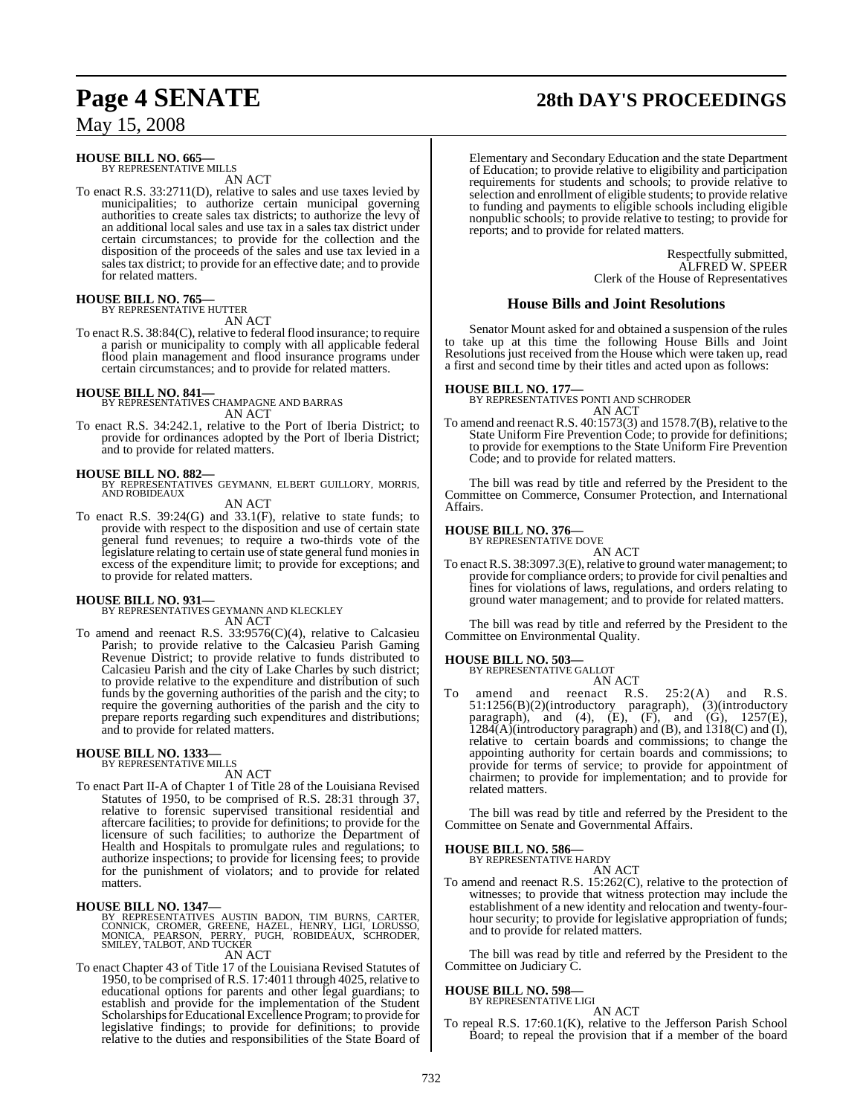#### **HOUSE BILL NO. 665—** BY REPRESENTATIVE MILLS

AN ACT

To enact R.S. 33:2711(D), relative to sales and use taxes levied by municipalities; to authorize certain municipal governing authorities to create sales tax districts; to authorize the levy of an additional local sales and use tax in a sales tax district under certain circumstances; to provide for the collection and the disposition of the proceeds of the sales and use tax levied in a sales tax district; to provide for an effective date; and to provide for related matters.

#### **HOUSE BILL NO. 765—**

BY REPRESENTATIVE HUTTER AN ACT

To enact R.S. 38:84(C), relative to federal flood insurance; to require a parish or municipality to comply with all applicable federal flood plain management and flood insurance programs under certain circumstances; and to provide for related matters.

**HOUSE BILL NO. 841—** BY REPRESENTATIVES CHAMPAGNE AND BARRAS AN ACT

To enact R.S. 34:242.1, relative to the Port of Iberia District; to provide for ordinances adopted by the Port of Iberia District; and to provide for related matters.

#### **HOUSE BILL NO. 882—**

BY REPRESENTATIVES GEYMANN, ELBERT GUILLORY, MORRIS, AND ROBIDEAUX AN ACT

To enact R.S. 39:24(G) and 33.1(F), relative to state funds; to

provide with respect to the disposition and use of certain state general fund revenues; to require a two-thirds vote of the legislature relating to certain use of state general fund monies in excess of the expenditure limit; to provide for exceptions; and to provide for related matters.

**HOUSE BILL NO. 931—** BY REPRESENTATIVES GEYMANN AND KLECKLEY AN ACT

To amend and reenact R.S. 33:9576(C)(4), relative to Calcasieu Parish; to provide relative to the Calcasieu Parish Gaming Revenue District; to provide relative to funds distributed to Calcasieu Parish and the city of Lake Charles by such district; to provide relative to the expenditure and distribution of such funds by the governing authorities of the parish and the city; to require the governing authorities of the parish and the city to prepare reports regarding such expenditures and distributions; and to provide for related matters.

#### **HOUSE BILL NO. 1333—** BY REPRESENTATIVE MILLS

AN ACT

To enact Part II-A of Chapter 1 of Title 28 of the Louisiana Revised Statutes of 1950, to be comprised of R.S. 28:31 through 37, relative to forensic supervised transitional residential and aftercare facilities; to provide for definitions; to provide for the licensure of such facilities; to authorize the Department of Health and Hospitals to promulgate rules and regulations; to authorize inspections; to provide for licensing fees; to provide for the punishment of violators; and to provide for related matters.

**HOUSE BILL NO. 1347—** BY REPRESENTATIVES AUSTIN BADON, TIM BURNS, CARTER, CONNICK, CROMER, GREENE, HAZEL, HENRY, LIGI, LORUSSO, MONICA, PEARSON, PERRY, PUGH, ROBIDEAUX, SCHRODER, SMILEY, TALBOT, AND TUCKER

AN ACT

To enact Chapter 43 of Title 17 of the Louisiana Revised Statutes of 1950, to be comprised of R.S. 17:4011 through 4025, relative to educational options for parents and other legal guardians; to establish and provide for the implementation of the Student Scholarships for Educational Excellence Program; to provide for legislative findings; to provide for definitions; to provide relative to the duties and responsibilities of the State Board of

# **Page 4 SENATE 28th DAY'S PROCEEDINGS**

Elementary and Secondary Education and the state Department of Education; to provide relative to eligibility and participation requirements for students and schools; to provide relative to selection and enrollment of eligible students; to provide relative to funding and payments to eligible schools including eligible nonpublic schools; to provide relative to testing; to provide for reports; and to provide for related matters.

> Respectfully submitted, ALFRED W. SPEER Clerk of the House of Representatives

#### **House Bills and Joint Resolutions**

Senator Mount asked for and obtained a suspension of the rules to take up at this time the following House Bills and Joint Resolutions just received from the House which were taken up, read a first and second time by their titles and acted upon as follows:

#### **HOUSE BILL NO. 177—**

BY REPRESENTATIVES PONTI AND SCHRODER AN ACT

To amend and reenact R.S. 40:1573(3) and 1578.7(B), relative to the State Uniform Fire Prevention Code; to provide for definitions; to provide for exemptions to the State Uniform Fire Prevention Code; and to provide for related matters.

The bill was read by title and referred by the President to the Committee on Commerce, Consumer Protection, and International Affairs.

# **HOUSE BILL NO. 376—** BY REPRESENTATIVE DOVE

AN ACT

To enact R.S. 38:3097.3(E), relative to ground water management; to provide for compliance orders; to provide for civil penalties and fines for violations of laws, regulations, and orders relating to ground water management; and to provide for related matters.

The bill was read by title and referred by the President to the Committee on Environmental Quality.

#### **HOUSE BILL NO. 503—**

BY REPRESENTATIVE GALLOT

AN ACT<br>reenact R.S. To amend and reenact R.S. 25:2(A) and R.S. 51:1256(B)(2)(introductory paragraph), (3)(introductory paragraph), and  $(4)$ ,  $(E)$ ,  $(F)$ , and  $(G)$ ,  $1257(E)$ ,  $1284(A)$ (introductory paragraph) and (B), and  $1318(C)$  and (I), relative to certain boards and commissions; to change the appointing authority for certain boards and commissions; to provide for terms of service; to provide for appointment of chairmen; to provide for implementation; and to provide for related matters.

The bill was read by title and referred by the President to the Committee on Senate and Governmental Affairs.

# **HOUSE BILL NO. 586—** BY REPRESENTATIVE HARDY

AN ACT To amend and reenact R.S. 15:262(C), relative to the protection of witnesses; to provide that witness protection may include the establishment of a new identity and relocation and twenty-fourhour security; to provide for legislative appropriation of funds; and to provide for related matters.

The bill was read by title and referred by the President to the Committee on Judiciary C.

# **HOUSE BILL NO. 598—** BY REPRESENTATIVE LIGI

AN ACT

To repeal R.S. 17:60.1(K), relative to the Jefferson Parish School Board; to repeal the provision that if a member of the board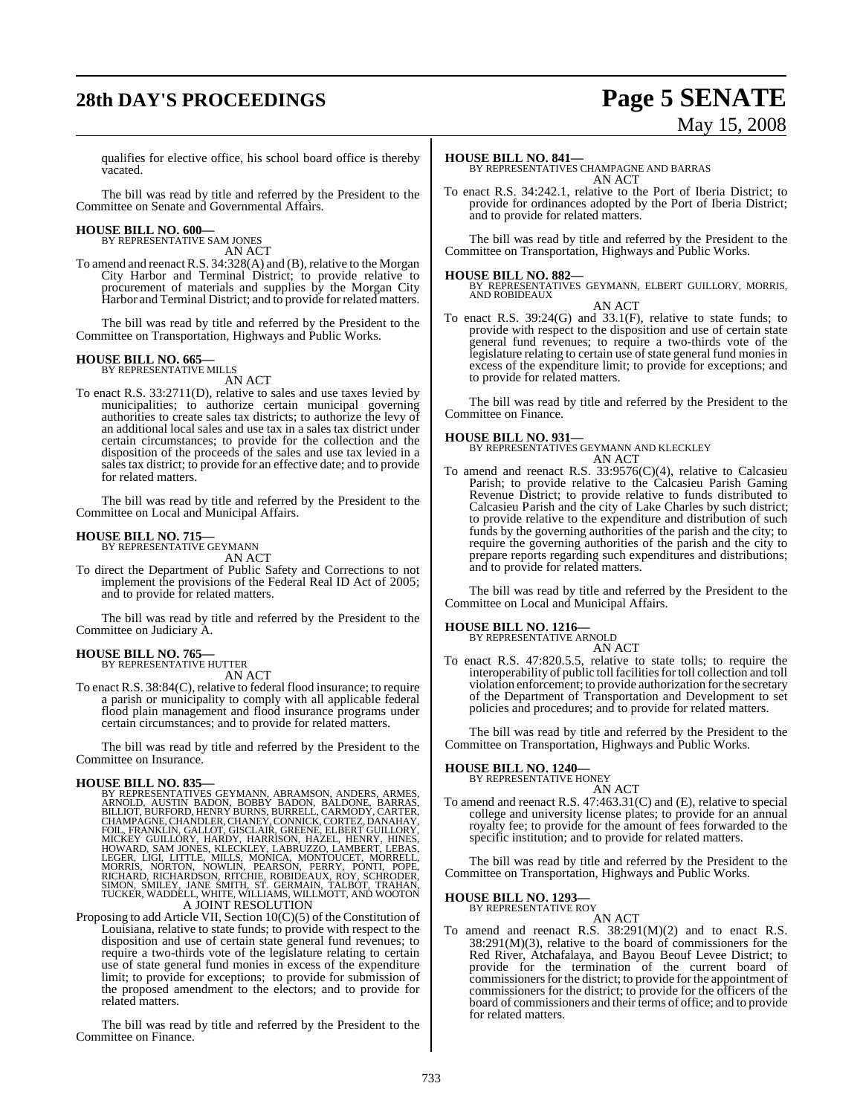# **28th DAY'S PROCEEDINGS Page 5 SENATE**

# May 15, 2008

qualifies for elective office, his school board office is thereby vacated.

The bill was read by title and referred by the President to the Committee on Senate and Governmental Affairs.

#### **HOUSE BILL NO. 600—** BY REPRESENTATIVE SAM JONES

AN ACT

To amend and reenactR.S. 34:328(A) and (B), relative to the Morgan City Harbor and Terminal District; to provide relative to procurement of materials and supplies by the Morgan City Harbor and Terminal District; and to provide for related matters.

The bill was read by title and referred by the President to the Committee on Transportation, Highways and Public Works.

#### **HOUSE BILL NO. 665—** BY REPRESENTATIVE MILLS

AN ACT

To enact R.S. 33:2711(D), relative to sales and use taxes levied by municipalities; to authorize certain municipal governing authorities to create sales tax districts; to authorize the levy of an additional local sales and use tax in a sales tax district under certain circumstances; to provide for the collection and the disposition of the proceeds of the sales and use tax levied in a sales tax district; to provide for an effective date; and to provide for related matters.

The bill was read by title and referred by the President to the Committee on Local and Municipal Affairs.

# **HOUSE BILL NO. 715—** BY REPRESENTATIVE GEYMANN

AN ACT

To direct the Department of Public Safety and Corrections to not implement the provisions of the Federal Real ID Act of 2005; and to provide for related matters.

The bill was read by title and referred by the President to the Committee on Judiciary A.

#### **HOUSE BILL NO. 765—**

BY REPRESENTATIVE HUTTER AN ACT

To enact R.S. 38:84(C), relative to federal flood insurance; to require a parish or municipality to comply with all applicable federal flood plain management and flood insurance programs under certain circumstances; and to provide for related matters.

The bill was read by title and referred by the President to the Committee on Insurance.

#### **HOUSE BILL NO. 835—**

BY REPRESENTATIVES GEYMANN, ABRAMSON, ANDERS, ARMES, ARNOLD, AUSTIN BADON, BOBBY BADING, BARNOLD, BURICUT, BURICUT, BURICUT, CHAMPAGNE, CHAMPAGNE, CHANDLER, CHANEY, CONNICK, CORTEZ, DANAHAY, CHAMPAGNE, CHANDLER, CHANEY, CO

Proposing to add Article VII, Section 10(C)(5) of the Constitution of

Louisiana, relative to state funds; to provide with respect to the disposition and use of certain state general fund revenues; to require a two-thirds vote of the legislature relating to certain use of state general fund monies in excess of the expenditure limit; to provide for exceptions; to provide for submission of the proposed amendment to the electors; and to provide for related matters.

The bill was read by title and referred by the President to the Committee on Finance.

#### **HOUSE BILL NO. 841—**

BY REPRESENTATIVES CHAMPAGNE AND BARRAS AN ACT

To enact R.S. 34:242.1, relative to the Port of Iberia District; to provide for ordinances adopted by the Port of Iberia District; and to provide for related matters.

The bill was read by title and referred by the President to the Committee on Transportation, Highways and Public Works.

**HOUSE BILL NO. 882—** BY REPRESENTATIVES GEYMANN, ELBERT GUILLORY, MORRIS, AND ROBIDEAUX AN ACT

To enact R.S. 39:24(G) and 33.1(F), relative to state funds; to provide with respect to the disposition and use of certain state general fund revenues; to require a two-thirds vote of the legislature relating to certain use of state general fund monies in excess of the expenditure limit; to provide for exceptions; and to provide for related matters.

The bill was read by title and referred by the President to the Committee on Finance.

**HOUSE BILL NO. 931—** BY REPRESENTATIVES GEYMANN AND KLECKLEY AN ACT

To amend and reenact R.S. 33:9576(C)(4), relative to Calcasieu Parish; to provide relative to the Calcasieu Parish Gaming Revenue District; to provide relative to funds distributed to Calcasieu Parish and the city of Lake Charles by such district; to provide relative to the expenditure and distribution of such funds by the governing authorities of the parish and the city; to require the governing authorities of the parish and the city to prepare reports regarding such expenditures and distributions; and to provide for related matters.

The bill was read by title and referred by the President to the Committee on Local and Municipal Affairs.

#### **HOUSE BILL NO. 1216—**

BY REPRESENTATIVE ARNOLD AN ACT

To enact R.S. 47:820.5.5, relative to state tolls; to require the interoperability of public toll facilities for toll collection and toll violation enforcement; to provide authorization forthe secretary of the Department of Transportation and Development to set policies and procedures; and to provide for related matters.

The bill was read by title and referred by the President to the Committee on Transportation, Highways and Public Works.

#### **HOUSE BILL NO. 1240—**

BY REPRESENTATIVE HONEY AN ACT

To amend and reenact R.S. 47:463.31(C) and (E), relative to special college and university license plates; to provide for an annual royalty fee; to provide for the amount of fees forwarded to the specific institution; and to provide for related matters.

The bill was read by title and referred by the President to the Committee on Transportation, Highways and Public Works.

# **HOUSE BILL NO. 1293—** BY REPRESENTATIVE ROY

AN ACT

To amend and reenact R.S. 38:291(M)(2) and to enact R.S. 38:291(M)(3), relative to the board of commissioners for the Red River, Atchafalaya, and Bayou Beouf Levee District; to provide for the termination of the current board of commissioners for the district; to provide for the appointment of commissioners for the district; to provide for the officers of the board of commissioners and their terms of office; and to provide for related matters.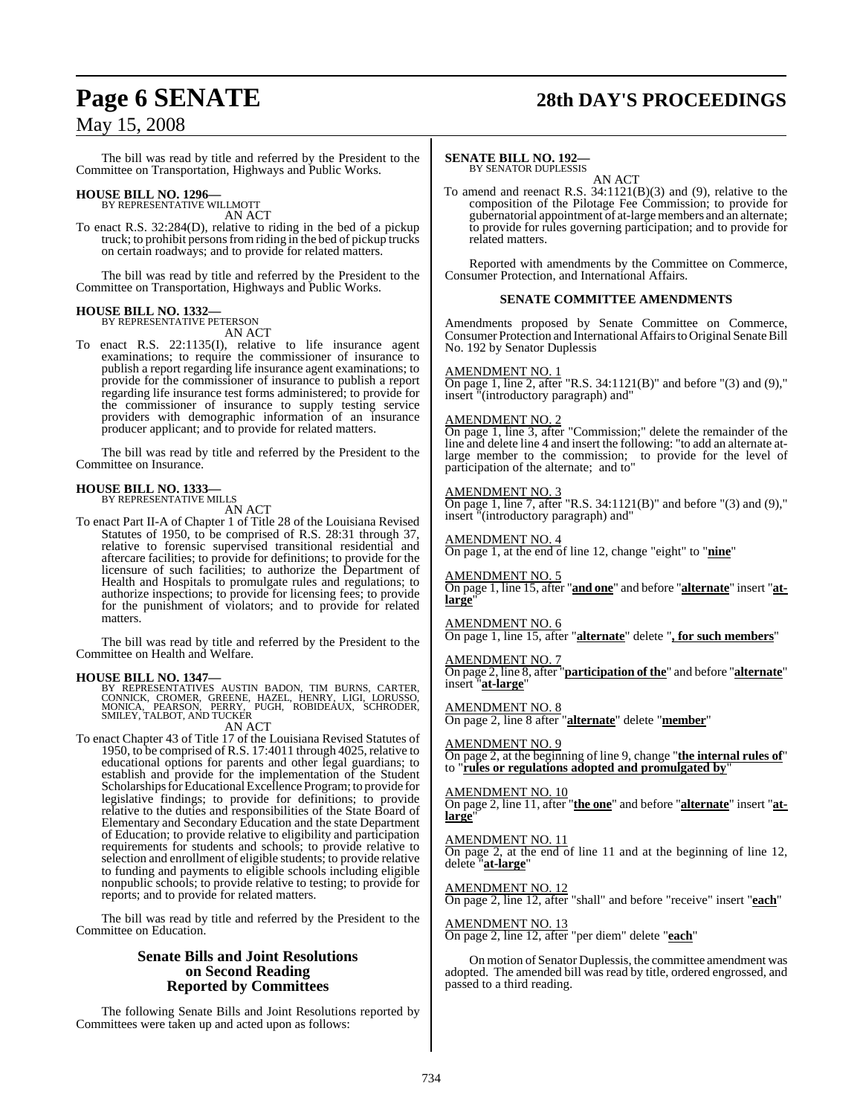# **Page 6 SENATE 28th DAY'S PROCEEDINGS**

The bill was read by title and referred by the President to the Committee on Transportation, Highways and Public Works.

# **HOUSE BILL NO. 1296—** BY REPRESENTATIVE WILLMOTT

AN ACT

To enact R.S. 32:284(D), relative to riding in the bed of a pickup truck; to prohibit personsfromriding in the bed of pickup trucks on certain roadways; and to provide for related matters.

The bill was read by title and referred by the President to the Committee on Transportation, Highways and Public Works.

#### **HOUSE BILL NO. 1332—** BY REPRESENTATIVE PETERSON

AN ACT

To enact R.S. 22:1135(I), relative to life insurance agent examinations; to require the commissioner of insurance to publish a report regarding life insurance agent examinations; to provide for the commissioner of insurance to publish a report regarding life insurance test forms administered; to provide for the commissioner of insurance to supply testing service providers with demographic information of an insurance producer applicant; and to provide for related matters.

The bill was read by title and referred by the President to the Committee on Insurance.

#### **HOUSE BILL NO. 1333—**

BY REPRESENTATIVE MILLS

AN ACT

To enact Part II-A of Chapter 1 of Title 28 of the Louisiana Revised Statutes of 1950, to be comprised of R.S. 28:31 through 37, relative to forensic supervised transitional residential and aftercare facilities; to provide for definitions; to provide for the licensure of such facilities; to authorize the Department of Health and Hospitals to promulgate rules and regulations; to authorize inspections; to provide for licensing fees; to provide for the punishment of violators; and to provide for related matters.

The bill was read by title and referred by the President to the Committee on Health and Welfare.

#### **HOUSE BILL NO. 1347—**

BY REPRESENTATIVES AUSTIN BADON, TIM BURNS, CARTER,<br>CONNICK, CROMER, GREENE, HAZEL, HENRY, LIGI, LORUSSO,<br>MONICA, PEARSON, PERRY, PUGH, ROBIDEAUX, SCHRODER,<br>SMILEY,TALBOT,AND TUCKER

#### AN ACT

To enact Chapter 43 of Title 17 of the Louisiana Revised Statutes of 1950, to be comprised of R.S. 17:4011 through 4025, relative to educational options for parents and other legal guardians; to establish and provide for the implementation of the Student Scholarships for Educational Excellence Program; to provide for legislative findings; to provide for definitions; to provide relative to the duties and responsibilities of the State Board of Elementary and Secondary Education and the state Department of Education; to provide relative to eligibility and participation requirements for students and schools; to provide relative to selection and enrollment of eligible students; to provide relative to funding and payments to eligible schools including eligible nonpublic schools; to provide relative to testing; to provide for reports; and to provide for related matters.

The bill was read by title and referred by the President to the Committee on Education.

#### **Senate Bills and Joint Resolutions on Second Reading Reported by Committees**

The following Senate Bills and Joint Resolutions reported by Committees were taken up and acted upon as follows:

#### **SENATE BILL NO. 192—**

BY SENATOR DUPLESSIS

AN ACT To amend and reenact R.S. 34:1121(B)(3) and (9), relative to the composition of the Pilotage Fee Commission; to provide for gubernatorial appointment of at-large members and an alternate; to provide for rules governing participation; and to provide for related matters.

Reported with amendments by the Committee on Commerce, Consumer Protection, and International Affairs.

#### **SENATE COMMITTEE AMENDMENTS**

Amendments proposed by Senate Committee on Commerce, Consumer Protection and International Affairs to Original Senate Bill No. 192 by Senator Duplessis

#### AMENDMENT NO. 1

On page 1, line 2, after "R.S.  $34:1121(B)$ " and before "(3) and (9)," insert "(introductory paragraph) and"

#### AMENDMENT NO. 2

On page 1, line 3, after "Commission;" delete the remainder of the line and delete line 4 and insert the following: "to add an alternate atlarge member to the commission; to provide for the level of participation of the alternate; and to"

#### AMENDMENT NO. 3

On page 1, line 7, after "R.S. 34:1121(B)" and before "(3) and (9)," insert "(introductory paragraph) and"

#### AMENDMENT NO. 4

On page 1, at the end of line 12, change "eight" to "**nine**"

AMENDMENT NO. 5

On page 1, line 15, after "**and one**" and before "**alternate**" insert "**atlarge**"

#### AMENDMENT NO. 6

On page 1, line 15, after "**alternate**" delete "**, for such members**"

#### AMENDMENT NO. 7

On page 2, line 8, after "**participation of the**" and before "**alternate**" insert "**at-large**"

#### AMENDMENT NO. 8

On page 2, line 8 after "**alternate**" delete "**member**"

#### AMENDMENT NO. 9

On page 2, at the beginning of line 9, change "**the internal rules of**" to "**rules or regulations adopted and promulgated by**"

#### AMENDMENT NO. 10

On page 2, line 11, after "**the one**" and before "**alternate**" insert "**atlarge**"

#### AMENDMENT NO. 11

On page 2, at the end of line 11 and at the beginning of line 12, delete "**at-large**"

### AMENDMENT NO. 12

On page 2, line 12, after "shall" and before "receive" insert "**each**"

#### AMENDMENT NO. 13

On page 2, line 12, after "per diem" delete "**each**"

On motion of Senator Duplessis, the committee amendment was adopted. The amended bill was read by title, ordered engrossed, and passed to a third reading.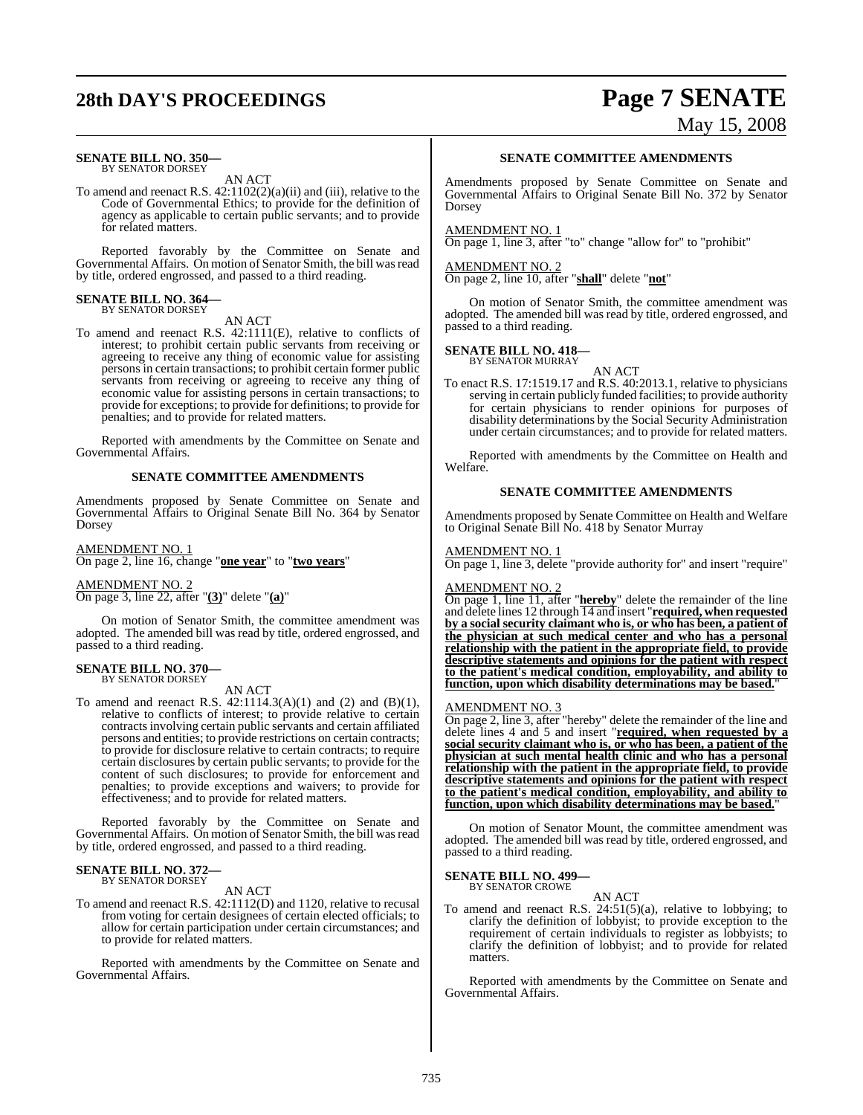# **28th DAY'S PROCEEDINGS Page 7 SENATE**

#### **SENATE BILL NO. 350—** BY SENATOR DORSEY

AN ACT

To amend and reenact R.S.  $42:1102(2)(a)(ii)$  and (iii), relative to the Code of Governmental Ethics; to provide for the definition of agency as applicable to certain public servants; and to provide for related matters.

Reported favorably by the Committee on Senate and Governmental Affairs. On motion of Senator Smith, the bill was read by title, ordered engrossed, and passed to a third reading.

#### **SENATE BILL NO. 364—** BY SENATOR DORSEY

AN ACT

To amend and reenact R.S. 42:1111(E), relative to conflicts of interest; to prohibit certain public servants from receiving or agreeing to receive any thing of economic value for assisting persons in certain transactions; to prohibit certain former public servants from receiving or agreeing to receive any thing of economic value for assisting persons in certain transactions; to provide for exceptions; to provide for definitions; to provide for penalties; and to provide for related matters.

Reported with amendments by the Committee on Senate and Governmental Affairs.

#### **SENATE COMMITTEE AMENDMENTS**

Amendments proposed by Senate Committee on Senate and Governmental Affairs to Original Senate Bill No. 364 by Senator Dorsey

AMENDMENT NO. 1 On page 2, line 16, change "**one year**" to "**two years**"

AMENDMENT NO. 2 On page 3, line 22, after "**(3)**" delete "**(a)**"

On motion of Senator Smith, the committee amendment was adopted. The amended bill was read by title, ordered engrossed, and passed to a third reading.

#### **SENATE BILL NO. 370—** BY SENATOR DORSEY

AN ACT

To amend and reenact R.S.  $42:1114.3(A)(1)$  and  $(2)$  and  $(B)(1)$ , relative to conflicts of interest; to provide relative to certain contracts involving certain public servants and certain affiliated persons and entities; to provide restrictions on certain contracts; to provide for disclosure relative to certain contracts; to require certain disclosures by certain public servants; to provide for the content of such disclosures; to provide for enforcement and penalties; to provide exceptions and waivers; to provide for effectiveness; and to provide for related matters.

Reported favorably by the Committee on Senate and Governmental Affairs. On motion of Senator Smith, the bill was read by title, ordered engrossed, and passed to a third reading.

#### **SENATE BILL NO. 372—** BY SENATOR DORSEY

AN ACT

To amend and reenact R.S. 42:1112(D) and 1120, relative to recusal from voting for certain designees of certain elected officials; to allow for certain participation under certain circumstances; and to provide for related matters.

Reported with amendments by the Committee on Senate and Governmental Affairs.

#### **SENATE COMMITTEE AMENDMENTS**

May 15, 2008

Amendments proposed by Senate Committee on Senate and Governmental Affairs to Original Senate Bill No. 372 by Senator Dorsey

#### AMENDMENT NO. 1

On page 1, line 3, after "to" change "allow for" to "prohibit"

#### AMENDMENT NO. 2

On page 2, line 10, after "**shall**" delete "**not**"

On motion of Senator Smith, the committee amendment was adopted. The amended bill was read by title, ordered engrossed, and passed to a third reading.

# **SENATE BILL NO. 418—** BY SENATOR MURRAY

AN ACT

To enact R.S. 17:1519.17 and R.S. 40:2013.1, relative to physicians serving in certain publicly funded facilities; to provide authority for certain physicians to render opinions for purposes of disability determinations by the Social Security Administration under certain circumstances; and to provide for related matters.

Reported with amendments by the Committee on Health and Welfare.

#### **SENATE COMMITTEE AMENDMENTS**

Amendments proposed by Senate Committee on Health and Welfare to Original Senate Bill No. 418 by Senator Murray

#### AMENDMENT NO. 1

On page 1, line 3, delete "provide authority for" and insert "require"

#### AMENDMENT NO. 2

On page 1, line 11, after "**hereby**" delete the remainder of the line and delete lines 12 through 14 and insert "**required, when requested by a social security claimant who is, or who has been, a patient of the physician at such medical center and who has a personal relationship with the patient in the appropriate field, to provide descriptive statements and opinions for the patient with respect to the patient's medical condition, employability, and ability to** function, upon which disability determinations may be based.

#### AMENDMENT NO. 3

On page 2, line 3, after "hereby" delete the remainder of the line and delete lines 4 and 5 and insert "**required, when requested by a social security claimant who is, or who has been, a patient of the physician at such mental health clinic and who has a personal relationship with the patient in the appropriate field, to provide descriptive statements and opinions for the patient with respect to the patient's medical condition, employability, and ability to function, upon which disability determinations may be based.**"

On motion of Senator Mount, the committee amendment was adopted. The amended bill was read by title, ordered engrossed, and passed to a third reading.

#### **SENATE BILL NO. 499—** BY SENATOR CROWE

AN ACT

To amend and reenact R.S. 24:51(5)(a), relative to lobbying; to clarify the definition of lobbyist; to provide exception to the requirement of certain individuals to register as lobbyists; to clarify the definition of lobbyist; and to provide for related matters.

Reported with amendments by the Committee on Senate and Governmental Affairs.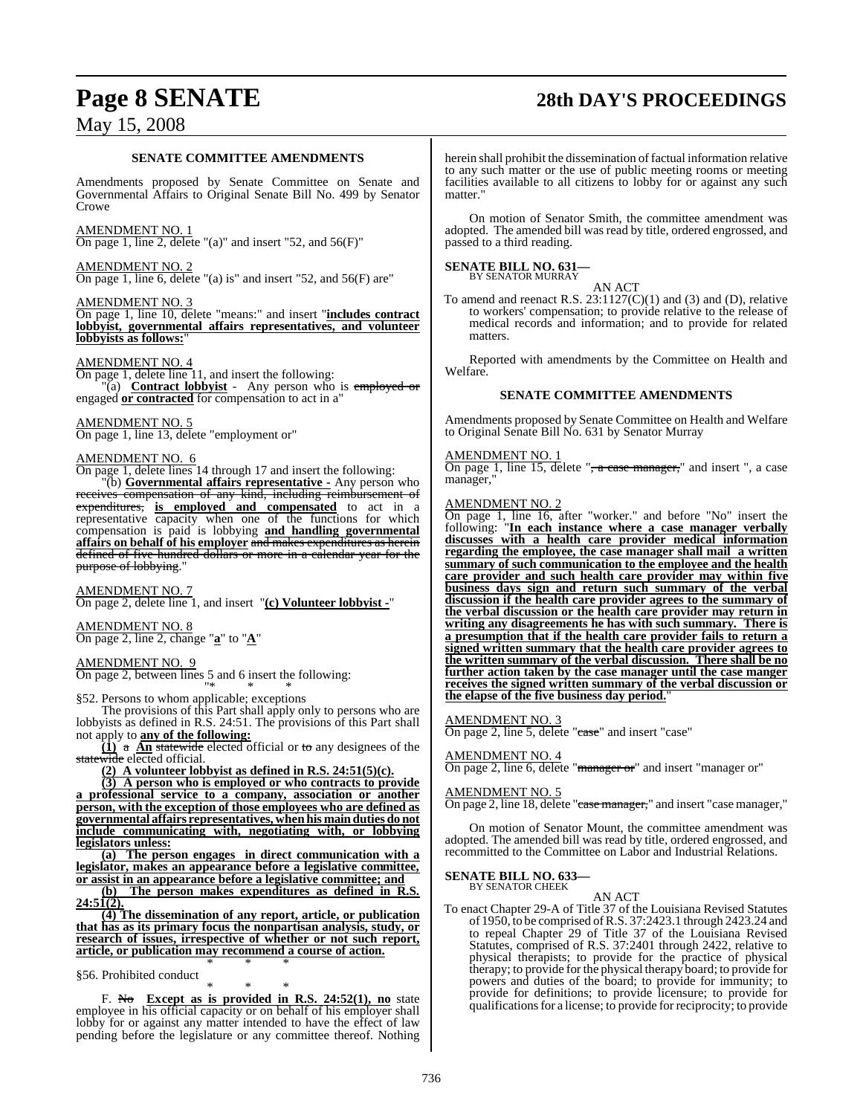# **Page 8 SENATE 28th DAY'S PROCEEDINGS**

# May 15, 2008

#### **SENATE COMMITTEE AMENDMENTS**

Amendments proposed by Senate Committee on Senate and Governmental Affairs to Original Senate Bill No. 499 by Senator Crowe

#### AMENDMENT NO. 1

On page 1, line 2, delete "(a)" and insert "52, and  $56(F)$ "

#### AMENDMENT NO. 2

On page 1, line 6, delete "(a) is" and insert "52, and 56(F) are"

#### AMENDMENT NO. 3

On page 1, line 10, delete "means:" and insert "**includes contract lobbyist, governmental affairs representatives, and volunteer lobbyists as follows:**"

#### AMENDMENT NO. 4

On page 1, delete line 11, and insert the following: "(a) **Contract lobbyist** - Any person who is employed or engaged **or contracted** for compensation to act in a"

#### AMENDMENT NO. 5

On page 1, line 13, delete "employment or"

#### AMENDMENT NO. 6

purpose of lobbying.

On page 1, delete lines 14 through 17 and insert the following: "(b) **Governmental affairs representative -** Any person who receives compensation of any kind, including reimbursement of expenditures, **is employed and compensated** to act in a representative capacity when one of the functions for which compensation is paid is lobbying **and handling governmental affairs on behalf of his employer** and makes expenditures as herein defined of five hundred dollars or more in a calendar year for the

AMENDMENT NO. 7 On page 2, delete line 1, and insert "**(c) Volunteer lobbyist -**"

AMENDMENT NO. 8 On page 2, line 2, change "**a**" to "**A**"

AMENDMENT NO. 9 On page 2, between lines 5 and 6 insert the following:

"\* \* \* §52. Persons to whom applicable; exceptions

The provisions of this Part shall apply only to persons who are lobbyists as defined in R.S. 24:51. The provisions of this Part shall not apply to **any of the following:**

**(1)** a **An** statewide elected official or to any designees of the statewide elected official.

**(2) A volunteer lobbyist as defined in R.S. 24:51(5)(c).**

**(3) A person who is employed or who contracts to provide a professional service to a company, association or another person, with the exception of those employees who are defined as governmental affairs representatives, when his main duties do not include communicating with, negotiating with, or lobbying legislators unless:**

**(a) The person engages in direct communication with a legislator, makes an appearance before a legislative committee, or assist in an appearance before a legislative committee; and**

**(b) The person makes expenditures as defined in R.S. 24:51(2).**

**(4) The dissemination of any report, article, or publication that has as its primary focus the nonpartisan analysis, study, or research of issues, irrespective of whether or not such report, article, or publication may recommend a course of action.** \* \* \*

§56. Prohibited conduct

\* \* \* F. No **Except as is provided in R.S. 24:52(1), no** state employee in his official capacity or on behalf of his employer shall lobby for or against any matter intended to have the effect of law pending before the legislature or any committee thereof. Nothing

herein shall prohibit the dissemination of factual information relative to any such matter or the use of public meeting rooms or meeting facilities available to all citizens to lobby for or against any such matter."

On motion of Senator Smith, the committee amendment was adopted. The amended bill was read by title, ordered engrossed, and passed to a third reading.

#### **SENATE BILL NO. 631—** BY SENATOR MURRAY

AN ACT To amend and reenact R.S.  $23:1127(C)(1)$  and (3) and (D), relative to workers' compensation; to provide relative to the release of medical records and information; and to provide for related matters.

Reported with amendments by the Committee on Health and Welfare.

#### **SENATE COMMITTEE AMENDMENTS**

Amendments proposed by Senate Committee on Health and Welfare to Original Senate Bill No. 631 by Senator Murray

#### AMENDMENT NO. 1

On page 1, line 15, delete "<del>, a case manager,</del>" and insert ", a case manager,"

#### AMENDMENT NO. 2

On page 1, line 16, after "worker." and before "No" insert the following: "**In each instance where a case manager verbally discusses with a health care provider medical information regarding the employee, the case manager shall mail a written summary of such communication to the employee and the health care provider and such health care provider may within five business days sign and return such summary of the verbal discussion if the health care provider agrees to the summary of the verbal discussion or the health care provider may return in writing any disagreements he has with such summary. There is a presumption that if the health care provider fails to return a signed written summary that the health care provider agrees to the written summary of the verbal discussion. There shall be no further action taken by the case manager until the case manger receives the signed written summary of the verbal discussion or the elapse of the five business day period.**"

#### AMENDMENT NO. 3

On page 2, line 5, delete "ease" and insert "case"

#### AMENDMENT NO. 4

On page 2, line 6, delete "manager or" and insert "manager or"

#### AMENDMENT NO. 5

On page 2, line 18, delete "case manager," and insert "case manager,"

On motion of Senator Mount, the committee amendment was adopted. The amended bill was read by title, ordered engrossed, and recommitted to the Committee on Labor and Industrial Relations.

#### **SENATE BILL NO. 633—** BY SENATOR CHEEK

AN ACT

To enact Chapter 29-A of Title 37 of the Louisiana Revised Statutes of 1950, to be comprised ofR.S. 37:2423.1 through 2423.24 and to repeal Chapter 29 of Title 37 of the Louisiana Revised Statutes, comprised of R.S. 37:2401 through 2422, relative to physical therapists; to provide for the practice of physical therapy; to provide for the physical therapy board; to provide for powers and duties of the board; to provide for immunity; to provide for definitions; to provide licensure; to provide for qualificationsfor a license; to provide for reciprocity; to provide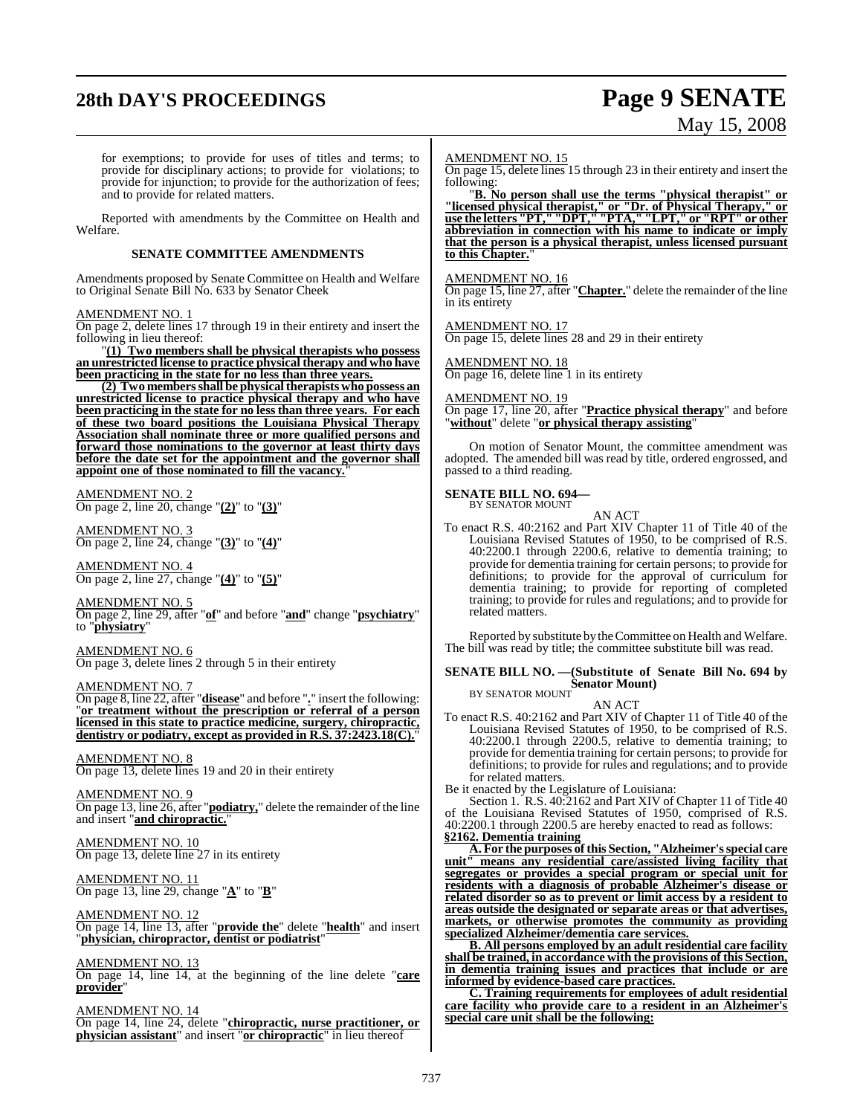# **28th DAY'S PROCEEDINGS Page 9 SENATE**

# May 15, 2008

for exemptions; to provide for uses of titles and terms; to provide for disciplinary actions; to provide for violations; to provide for injunction; to provide for the authorization of fees; and to provide for related matters.

Reported with amendments by the Committee on Health and Welfare.

#### **SENATE COMMITTEE AMENDMENTS**

Amendments proposed by Senate Committee on Health and Welfare to Original Senate Bill No. 633 by Senator Cheek

#### AMENDMENT NO. 1

On page 2, delete lines 17 through 19 in their entirety and insert the following in lieu thereof:

"**(1) Two members shall be physical therapists who possess an unrestricted license to practice physical therapy and who have been practicing in the state for no less than three years.**

**(2) Two members shall be physical therapists who possess an unrestricted license to practice physical therapy and who have been practicing in the state for no less than three years. For each of these two board positions the Louisiana Physical Therapy Association shall nominate three or more qualified persons and forward those nominations to the governor at least thirty days before the date set for the appointment and the governor shall appoint one of those nominated to fill the vacancy.**"

AMENDMENT NO. 2 On page 2, line 20, change "**(2)**" to "**(3)**"

AMENDMENT NO. 3 On page 2, line 24, change "**(3)**" to "**(4)**"

AMENDMENT NO. 4 On page 2, line 27, change "**(4)**" to "**(5)**"

AMENDMENT NO. 5

On page 2, line 29, after "**of**" and before "**and**" change "**psychiatry**" to "**physiatry**"

AMENDMENT NO. 6 On page 3, delete lines 2 through 5 in their entirety

#### AMENDMENT NO. 7

On page 8, line 22, after "**disease**" and before "**.**" insert the following: "**or treatment without the prescription or referral of a person licensed in this state to practice medicine, surgery, chiropractic, dentistry or podiatry, except as provided in R.S. 37:2423.18(C).**"

AMENDMENT NO. 8 On page 13, delete lines 19 and 20 in their entirety

AMENDMENT NO. 9 On page 13, line 26, after "**podiatry,**" delete the remainder of the line and insert "**and chiropractic.**"

AMENDMENT NO. 10 On page 13, delete line 27 in its entirety

<u>AMENDMENT NO. 11</u> On page 13, line 29, change "**A**" to "**B**"

AMENDMENT NO. 12 On page 14, line 13, after "**provide the**" delete "**health**" and insert "**physician, chiropractor, dentist or podiatrist**"

AMENDMENT NO. 13

On page 14, line 14, at the beginning of the line delete "**care provider**"

AMENDMENT NO. 14 On page 14, line 24, delete "**chiropractic, nurse practitioner, or physician assistant**" and insert "**or chiropractic**" in lieu thereof

#### AMENDMENT NO. 15

On page 15, delete lines 15 through 23 in their entirety and insert the following:

"**B. No person shall use the terms "physical therapist" or "licensed physical therapist," or "Dr. of Physical Therapy," or use the letters "PT," "DPT," "PTA," "LPT," or "RPT" or other abbreviation in connection with his name to indicate or imply that the person is a physical therapist, unless licensed pursuant** to this Chapter.

#### AMENDMENT NO. 16

On page 15, line 27, after "**Chapter.**" delete the remainder of the line in its entirety

AMENDMENT NO. 17 On page 15, delete lines 28 and 29 in their entirety

AMENDMENT NO. 18

On page 16, delete line 1 in its entirety

AMENDMENT NO. 19

On page 17, line 20, after "**Practice physical therapy**" and before "**without**" delete "**or physical therapy assisting**"

On motion of Senator Mount, the committee amendment was adopted. The amended bill was read by title, ordered engrossed, and passed to a third reading.

# **SENATE BILL NO. 694—** BY SENATOR MOUNT

AN ACT

To enact R.S. 40:2162 and Part XIV Chapter 11 of Title 40 of the Louisiana Revised Statutes of 1950, to be comprised of R.S. 40:2200.1 through 2200.6, relative to dementia training; to provide for dementia training for certain persons; to provide for definitions; to provide for the approval of curriculum for dementia training; to provide for reporting of completed training; to provide for rules and regulations; and to provide for related matters.

Reported by substitute by theCommittee on Health and Welfare. The bill was read by title; the committee substitute bill was read.

## **SENATE BILL NO. —(Substitute of Senate Bill No. 694 by Senator Mount)** BY SENATOR MOUNT

AN ACT

To enact R.S. 40:2162 and Part XIV of Chapter 11 of Title 40 of the Louisiana Revised Statutes of 1950, to be comprised of R.S. 40:2200.1 through 2200.5, relative to dementia training; to provide for dementia training for certain persons; to provide for definitions; to provide for rules and regulations; and to provide for related matters.

Be it enacted by the Legislature of Louisiana:

Section 1. R.S. 40:2162 and Part XIV of Chapter 11 of Title 40 of the Louisiana Revised Statutes of 1950, comprised of R.S. 40:2200.1 through 2200.5 are hereby enacted to read as follows: **§2162. Dementia training**

**A. For the purposes ofthis Section, "Alzheimer'sspecial care unit" means any residential care/assisted living facility that segregates or provides a special program or special unit for residents with a diagnosis of probable Alzheimer's disease or related disorder so as to prevent or limit access by a resident to areas outside the designated or separate areas or that advertises, markets, or otherwise promotes the community as providing specialized Alzheimer/dementia care services.**

**B. All persons employed by an adult residential care facility shall be trained, in accordance with the provisions of this Section, in dementia training issues and practices that include or are informed by evidence-based care practices.**

**C. Training requirements for employees of adult residential care facility who provide care to a resident in an Alzheimer's special care unit shall be the following:**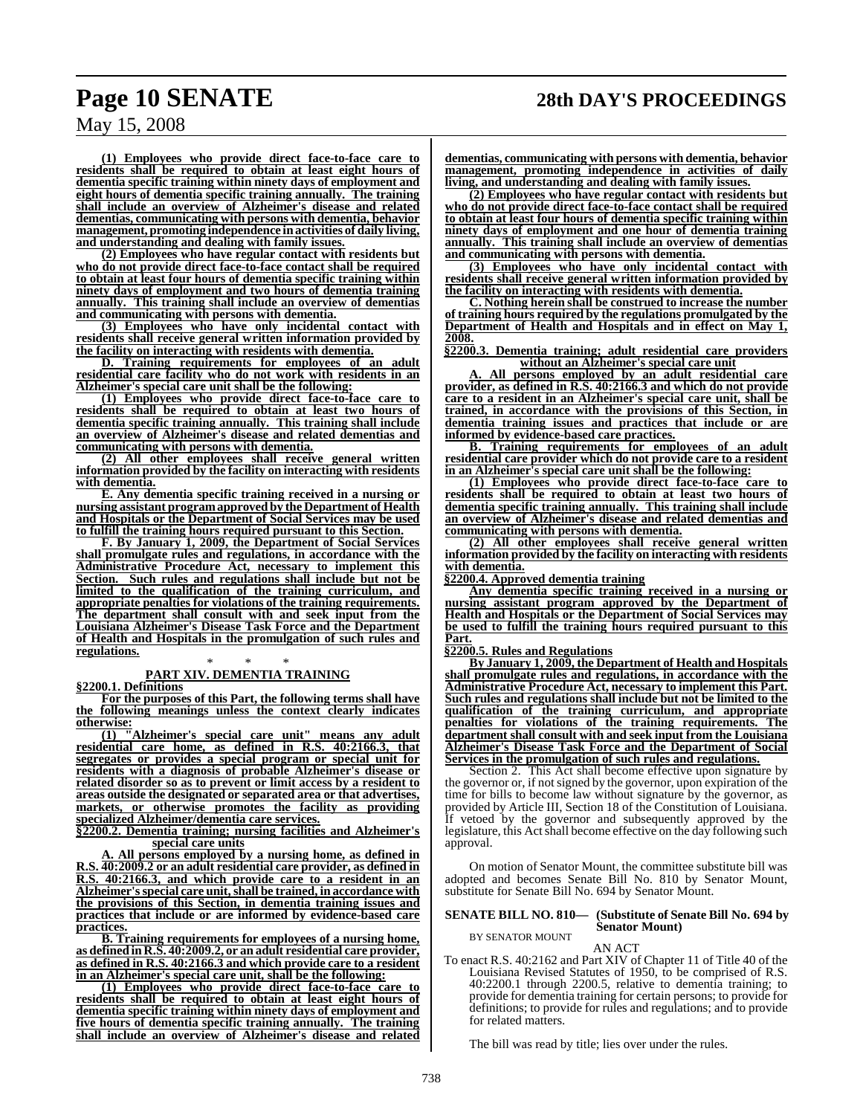**(1) Employees who provide direct face-to-face care to residents shall be required to obtain at least eight hours of dementia specific training within ninety days of employment and eight hours of dementia specific training annually. The training shall include an overview of Alzheimer's disease and related dementias, communicating with persons with dementia, behavior management, promoting independence inactivities of daily living, and understanding and dealing with family issues.**

**(2) Employees who have regular contact with residents but who do not provide direct face-to-face contact shall be required to obtain at least four hours of dementia specific training within ninety days of employment and two hours of dementia training annually. This training shall include an overview of dementias and communicating with persons with dementia.**

**(3) Employees who have only incidental contact with residents shall receive general written information provided by the facility on interacting with residents with dementia.**

**D. Training requirements for employees of an adult residential care facility who do not work with residents in an Alzheimer's special care unit shall be the following:**

**(1) Employees who provide direct face-to-face care to residents shall be required to obtain at least two hours of dementia specific training annually. This training shall include an overview of Alzheimer's disease and related dementias and communicating with persons with dementia.**

**(2) All other employees shall receive general written information provided by the facility on interacting with residents with dementia.**

**E. Any dementia specific training received in a nursing or nursing assistant programapproved by the Department of Health and Hospitals or the Department of Social Services may be used to fulfill the training hours required pursuant to this Section.**

**F. By January 1, 2009, the Department of Social Services shall promulgate rules and regulations, in accordance with the Administrative Procedure Act, necessary to implement this Section. Such rules and regulations shall include but not be limited to the qualification of the training curriculum, and appropriate penalties for violations of the training requirements. The department shall consult with and seek input from the Louisiana Alzheimer's Disease Task Force and the Department of Health and Hospitals in the promulgation of such rules and regulations.**

#### \* \* \* **PART XIV. DEMENTIA TRAINING**

**§2200.1. Definitions**

**For the purposes of this Part, the following terms shall have the following meanings unless the context clearly indicates otherwise:**

**(1) "Alzheimer's special care unit" means any adult residential care home, as defined in R.S. 40:2166.3, that segregates or provides a special program or special unit for residents with a diagnosis of probable Alzheimer's disease or related disorder so as to prevent or limit access by a resident to areas outside the designated or separated area or that advertises, markets, or otherwise promotes the facility as providing specialized Alzheimer/dementia care services.**

**§2200.2. Dementia training; nursing facilities and Alzheimer's special care units**

**A. All persons employed by a nursing home, as defined in R.S. 40:2009.2 or an adult residential care provider, as defined in R.S. 40:2166.3, and which provide care to a resident in an Alzheimer'sspecial care unit,shall be trained, in accordance with the provisions of this Section, in dementia training issues and practices that include or are informed by evidence-based care practices.**

**B. Training requirements for employees of a nursing home, as defined in R.S. 40:2009.2, or an adult residential care provider, as defined in R.S. 40:2166.3 and which provide care to a resident in an Alzheimer's special care unit, shall be the following:**

**(1) Employees who provide direct face-to-face care to residents shall be required to obtain at least eight hours of dementia specific training within ninety days of employment and five hours of dementia specific training annually. The training shall include an overview of Alzheimer's disease and related**

**dementias, communicating with persons with dementia, behavior management, promoting independence in activities of daily living, and understanding and dealing with family issues.**

**(2) Employees who have regular contact with residents but who do not provide direct face-to-face contact shall be required to obtain at least four hours of dementia specific training within ninety days of employment and one hour of dementia training annually. This training shall include an overview of dementias and communicating with persons with dementia.**

**(3) Employees who have only incidental contact with residents shall receive general written information provided by the facility on interacting with residents with dementia.**

**C. Nothing herein shall be construed to increase the number of training hours required by the regulations promulgated by the Department of Health and Hospitals and in effect on May 1, 2008.**

**§2200.3. Dementia training; adult residential care providers without an Alzheimer's special care unit**

**A. All persons employed by an adult residential care provider, as defined in R.S. 40:2166.3 and which do not provide care to a resident in an Alzheimer's special care unit, shall be trained, in accordance with the provisions of this Section, in dementia training issues and practices that include or are informed by evidence-based care practices.**

**B. Training requirements for employees of an adult residential care provider which do not provide care to a resident in an Alzheimer's special care unit shall be the following:**

**(1) Employees who provide direct face-to-face care to residents shall be required to obtain at least two hours of dementia specific training annually. This training shall include an overview of Alzheimer's disease and related dementias and communicating with persons with dementia.**

**(2) All other employees shall receive general written information provided by the facility on interacting with residents with dementia.**

**§2200.4. Approved dementia training**

**Any dementia specific training received in a nursing or nursing assistant program approved by the Department of Health and Hospitals or the Department of Social Services may be used to fulfill the training hours required pursuant to this Part.**

**§2200.5. Rules and Regulations**

**By January 1, 2009, the Department of Health and Hospitals shall promulgate rules and regulations, in accordance with the Administrative Procedure Act, necessary to implement this Part. Such rules and regulations shall include but not be limited to the qualification of the training curriculum, and appropriate penalties for violations of the training requirements. The department shall consult with and seek input from the Louisiana Alzheimer's Disease Task Force and the Department of Social Services in the promulgation of such rules and regulations.**

Section 2. This Act shall become effective upon signature by the governor or, if notsigned by the governor, upon expiration of the time for bills to become law without signature by the governor, as provided by Article III, Section 18 of the Constitution of Louisiana. If vetoed by the governor and subsequently approved by the legislature, this Act shall become effective on the day following such approval.

On motion of Senator Mount, the committee substitute bill was adopted and becomes Senate Bill No. 810 by Senator Mount, substitute for Senate Bill No. 694 by Senator Mount.

#### **SENATE BILL NO. 810— (Substitute of Senate Bill No. 694 by Senator Mount)** BY SENATOR MOUNT

AN ACT

To enact R.S. 40:2162 and Part XIV of Chapter 11 of Title 40 of the Louisiana Revised Statutes of 1950, to be comprised of R.S. 40:2200.1 through 2200.5, relative to dementia training; to provide for dementia training for certain persons; to provide for definitions; to provide for rules and regulations; and to provide for related matters.

The bill was read by title; lies over under the rules.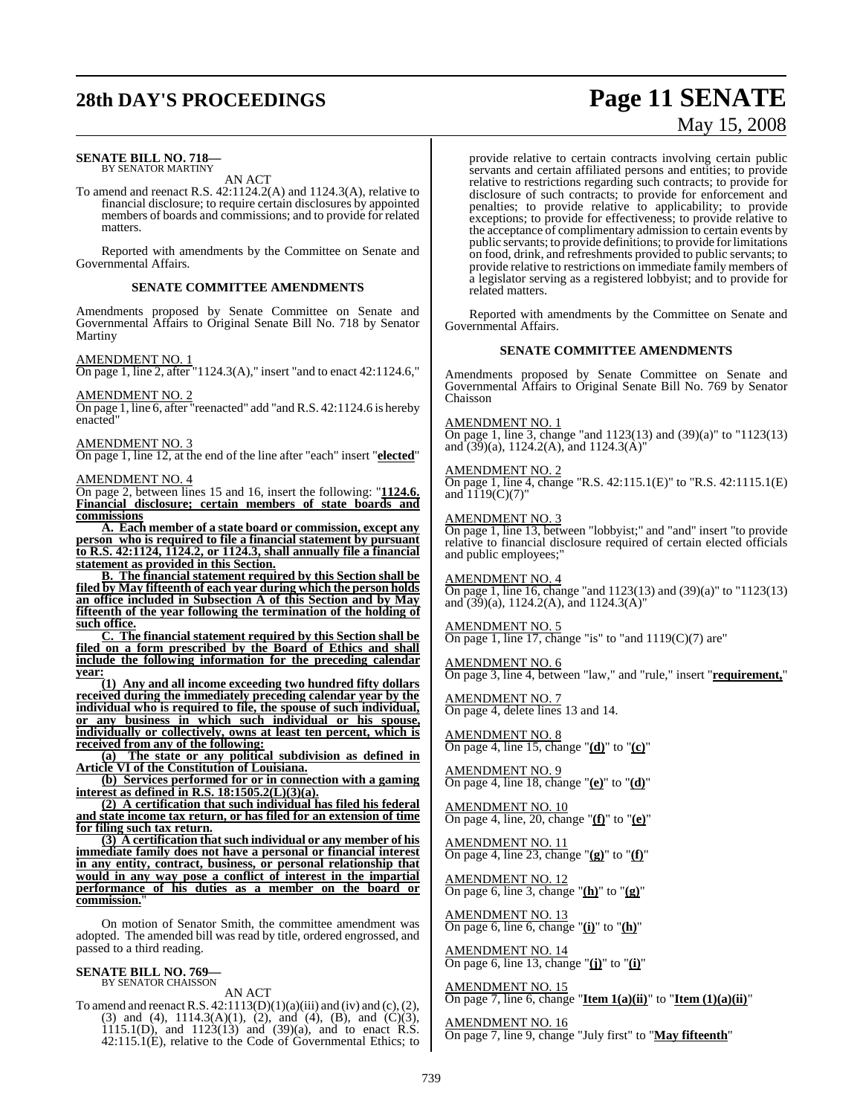# **28th DAY'S PROCEEDINGS Page 11 SENATE**

#### **SENATE BILL NO. 718—** BY SENATOR MARTINY

AN ACT

To amend and reenact R.S. 42:1124.2(A) and 1124.3(A), relative to financial disclosure; to require certain disclosures by appointed members of boards and commissions; and to provide for related matters.

Reported with amendments by the Committee on Senate and Governmental Affairs.

#### **SENATE COMMITTEE AMENDMENTS**

Amendments proposed by Senate Committee on Senate and Governmental Affairs to Original Senate Bill No. 718 by Senator Martiny

AMENDMENT NO. 1

On page 1, line 2, after "1124.3(A)," insert "and to enact 42:1124.6,"

AMENDMENT NO. 2

On page 1, line 6, after "reenacted" add "and R.S. 42:1124.6 is hereby enacted"

#### AMENDMENT NO. 3

On page 1, line 12, at the end of the line after "each" insert "**elected**"

#### AMENDMENT NO. 4

On page 2, between lines 15 and 16, insert the following: "**1124.6. Financial disclosure; certain members of state boards and commissions**

**A. Each member of a state board or commission, except any person who is required to file a financial statement by pursuant to R.S. 42:1124, 1124.2, or 1124.3, shall annually file a financial statement as provided in this Section.**

**B. The financial statement required by this Section shall be filed by May fifteenth of each year during which the person holds an office included in Subsection A of this Section and by May fifteenth of the year following the termination of the holding of such office.**

**C. The financial statement required by this Section shall be filed on a form prescribed by the Board of Ethics and shall include the following information for the preceding calendar year:**

**(1) Any and all income exceeding two hundred fifty dollars received during the immediately preceding calendar year by the individual who is required to file, the spouse of such individual, or any business in which such individual or his spouse, individually or collectively, owns at least ten percent, which is received from any of the following:**

**(a) The state or any political subdivision as defined in Article VI of the Constitution of Louisiana.**

**(b) Services performed for or in connection with a gaming interest as defined in R.S. 18:1505.2(L)(3)(a).**

**(2) A certification that such individual has filed his federal and state income tax return, or has filed for an extension of time for filing such tax return.**

**(3) A certification that such individual or any member of his immediate family does not have a personal or financial interest in any entity, contract, business, or personal relationship that would in any way pose a conflict of interest in the impartial performance of his duties as a member on the board or commission.**"

On motion of Senator Smith, the committee amendment was adopted. The amended bill was read by title, ordered engrossed, and passed to a third reading.

# **SENATE BILL NO. 769—** BY SENATOR CHAISSON

AN ACT

To amend and reenact R.S.  $42:1113(D)(1)(a)(iii)$  and (iv) and (c), (2), (3) and (4), 1114.3(A)(1), (2), and (4), (B), and (C)(3),  $1115.1(D)$ , and  $1123(13)$  and  $(39)(a)$ , and to enact R.S.  $42:115.1(E)$ , relative to the Code of Governmental Ethics; to

# May 15, 2008

provide relative to certain contracts involving certain public servants and certain affiliated persons and entities; to provide relative to restrictions regarding such contracts; to provide for disclosure of such contracts; to provide for enforcement and penalties; to provide relative to applicability; to provide exceptions; to provide for effectiveness; to provide relative to the acceptance of complimentary admission to certain events by public servants; to provide definitions; to provide for limitations on food, drink, and refreshments provided to public servants; to provide relative to restrictions on immediate family members of a legislator serving as a registered lobbyist; and to provide for related matters.

Reported with amendments by the Committee on Senate and Governmental Affairs.

#### **SENATE COMMITTEE AMENDMENTS**

Amendments proposed by Senate Committee on Senate and Governmental Affairs to Original Senate Bill No. 769 by Senator Chaisson

#### AMENDMENT NO. 1

On page 1, line 3, change "and 1123(13) and (39)(a)" to "1123(13) and  $(39)(a)$ , 1124.2(A), and 1124.3(A)'

#### AMENDMENT NO. 2

On page 1, line 4, change "R.S. 42:115.1(E)" to "R.S. 42:1115.1(E) and  $1119(C)(7)$ "

#### AMENDMENT NO. 3

On page 1, line 13, between "lobbyist;" and "and" insert "to provide relative to financial disclosure required of certain elected officials and public employees;"

AMENDMENT NO. 4 On page 1, line 16, change "and 1123(13) and (39)(a)" to "1123(13) and  $(39)(a)$ , 1124.2(A), and 1124.3(A)"

#### AMENDMENT NO. 5

On page 1, line 17, change "is" to "and  $1119(C)(7)$  are"

#### AMENDMENT NO. 6

On page 3, line 4, between "law," and "rule," insert "**requirement,**"

#### AMENDMENT NO. 7

On page 4, delete lines 13 and 14.

#### AMENDMENT NO. 8 On page 4, line 15, change "**(d)**" to "**(c)**"

AMENDMENT NO. 9

On page 4, line 18, change "**(e)**" to "**(d)**"

AMENDMENT NO. 10 On page 4, line, 20, change "**(f)**" to "**(e)**"

AMENDMENT NO. 11 On page 4, line 23, change "**(g)**" to "**(f)**"

<u>AMENDMENT NO. 12</u> On page 6, line 3, change "**(h)**" to "**(g)**"

AMENDMENT NO. 13 On page 6, line 6, change "**(i)**" to "**(h)**"

AMENDMENT NO. 14 On page 6, line 13, change "**(j)**" to "**(i)**"

AMENDMENT NO. 15 On page 7, line 6, change "**Item 1(a)(ii)**" to "**Item (1)(a)(ii)**"

AMENDMENT NO. 16 On page 7, line 9, change "July first" to "**May fifteenth**"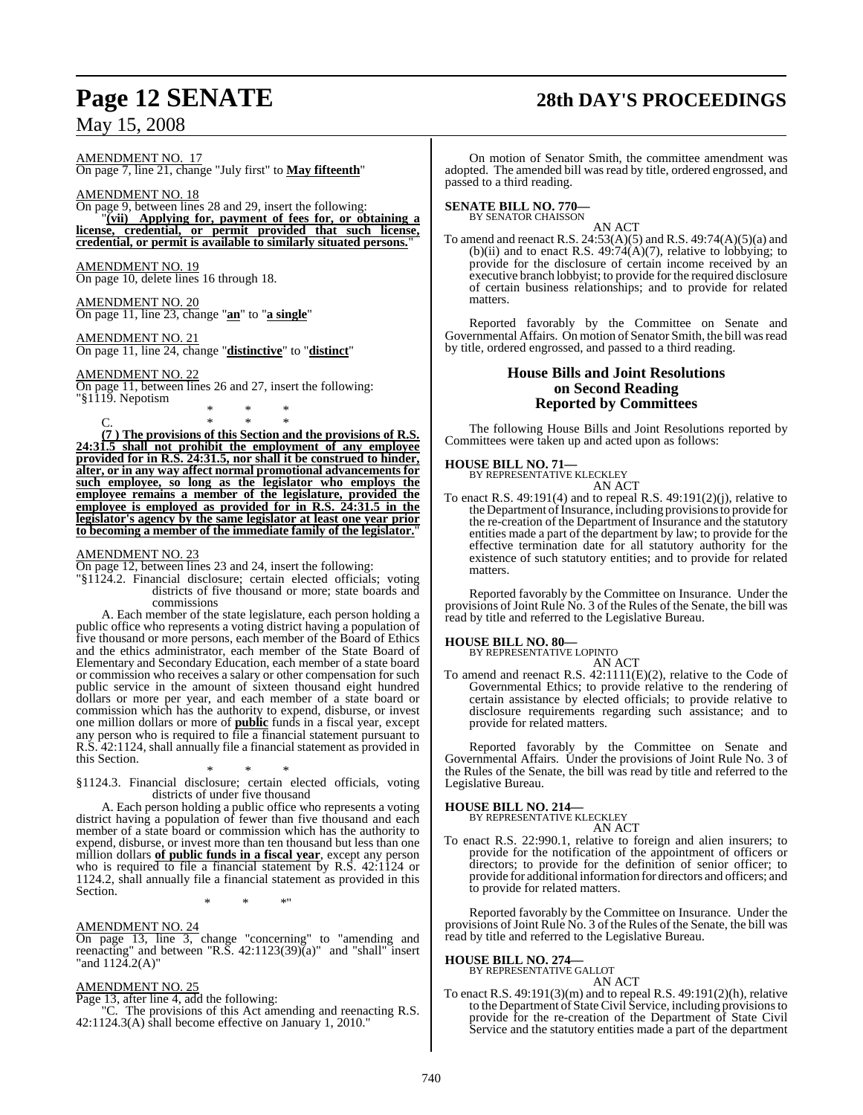# **Page 12 SENATE 28th DAY'S PROCEEDINGS**

AMENDMENT NO. 17 On page 7, line 21, change "July first" to **May fifteenth**"

AMENDMENT NO. 18 On page 9, between lines 28 and 29, insert the following: "**(vii) Applying for, payment of fees for, or obtaining a license, credential, or permit provided that such license, credential, or permit is available to similarly situated persons.**"

AMENDMENT NO. 19 On page 10, delete lines 16 through 18.

AMENDMENT NO. 20 On page 11, line 23, change "**an**" to "**a single**"

AMENDMENT NO. 21 On page 11, line 24, change "**distinctive**" to "**distinct**"

#### AMENDMENT NO. 22

On page 11, between lines 26 and 27, insert the following: "§1119. Nepotism

C. \* \* \* **(7 ) The provisions of this Section and the provisions of R.S. 24:31.5 shall not prohibit the employment of any employee provided for in R.S. 24:31.5, nor shall it be construed to hinder, alter, or in any way affect normal promotional advancements for such employee, so long as the legislator who employs the employee remains a member of the legislature, provided the employee is employed as provided for in R.S. 24:31.5 in the legislator's agency by the same legislator at least one year prior to becoming a member of the immediate family of the legislator.**"

\* \* \*

#### AMENDMENT NO. 23

On page 12, between lines 23 and 24, insert the following:

"§1124.2. Financial disclosure; certain elected officials; voting districts of five thousand or more; state boards and commissions

A. Each member of the state legislature, each person holding a public office who represents a voting district having a population of five thousand or more persons, each member of the Board of Ethics and the ethics administrator, each member of the State Board of Elementary and Secondary Education, each member of a state board or commission who receives a salary or other compensation for such public service in the amount of sixteen thousand eight hundred dollars or more per year, and each member of a state board or commission which has the authority to expend, disburse, or invest one million dollars or more of **public** funds in a fiscal year, except any person who is required to file a financial statement pursuant to R.S. 42:1124, shall annually file a financial statement as provided in this Section.

\* \* \* §1124.3. Financial disclosure; certain elected officials, voting districts of under five thousand

A. Each person holding a public office who represents a voting district having a population of fewer than five thousand and each member of a state board or commission which has the authority to expend, disburse, or invest more than ten thousand but less than one million dollars **of public funds in a fiscal year**, except any person who is required to file a financial statement by R.S. 42:1124 or 1124.2, shall annually file a financial statement as provided in this Section.

\* \* \*"

#### AMENDMENT NO. 24

On page 13, line 3, change "concerning" to "amending and reenacting" and between "R.S. 42:1123(39)(a)" and "shall" insert "and 1124.2(A)"

#### AMENDMENT NO. 25

Page 13, after line 4, add the following:<br>"C. The provisions of this Act am

The provisions of this Act amending and reenacting R.S. 42:1124.3(A) shall become effective on January 1, 2010."

On motion of Senator Smith, the committee amendment was adopted. The amended bill was read by title, ordered engrossed, and passed to a third reading.

# **SENATE BILL NO. 770—** BY SENATOR CHAISSON

AN ACT

To amend and reenact R.S. 24:53(A)(5) and R.S. 49:74(A)(5)(a) and (b)(ii) and to enact R.S.  $49:74(A)(7)$ , relative to lobbying; to provide for the disclosure of certain income received by an executive branch lobbyist; to provide for the required disclosure of certain business relationships; and to provide for related matters.

Reported favorably by the Committee on Senate and Governmental Affairs. On motion of Senator Smith, the bill was read by title, ordered engrossed, and passed to a third reading.

### **House Bills and Joint Resolutions on Second Reading Reported by Committees**

The following House Bills and Joint Resolutions reported by Committees were taken up and acted upon as follows:

#### **HOUSE BILL NO. 71—**

BY REPRESENTATIVE KLECKLEY AN ACT

To enact R.S. 49:191(4) and to repeal R.S. 49:191(2)(j), relative to the Department of Insurance, including provisions to provide for the re-creation of the Department of Insurance and the statutory entities made a part of the department by law; to provide for the effective termination date for all statutory authority for the existence of such statutory entities; and to provide for related matters.

Reported favorably by the Committee on Insurance. Under the provisions of Joint Rule No. 3 of the Rules of the Senate, the bill was read by title and referred to the Legislative Bureau.

# **HOUSE BILL NO. 80—** BY REPRESENTATIVE LOPINTO

AN ACT

To amend and reenact R.S. 42:1111(E)(2), relative to the Code of Governmental Ethics; to provide relative to the rendering of certain assistance by elected officials; to provide relative to disclosure requirements regarding such assistance; and to provide for related matters.

Reported favorably by the Committee on Senate and Governmental Affairs. Under the provisions of Joint Rule No. 3 of the Rules of the Senate, the bill was read by title and referred to the Legislative Bureau.

### **HOUSE BILL NO. 214—**

BY REPRESENTATIVE KLECKLEY AN ACT

To enact R.S. 22:990.1, relative to foreign and alien insurers; to provide for the notification of the appointment of officers or directors; to provide for the definition of senior officer; to provide for additional information for directors and officers; and to provide for related matters.

Reported favorably by the Committee on Insurance. Under the provisions of Joint Rule No. 3 of the Rules of the Senate, the bill was read by title and referred to the Legislative Bureau.

# **HOUSE BILL NO. 274—** BY REPRESENTATIVE GALLOT

AN ACT

To enact R.S. 49:191(3)(m) and to repeal R.S. 49:191(2)(h), relative to the Department of State Civil Service, including provisionsto provide for the re-creation of the Department of State Civil Service and the statutory entities made a part of the department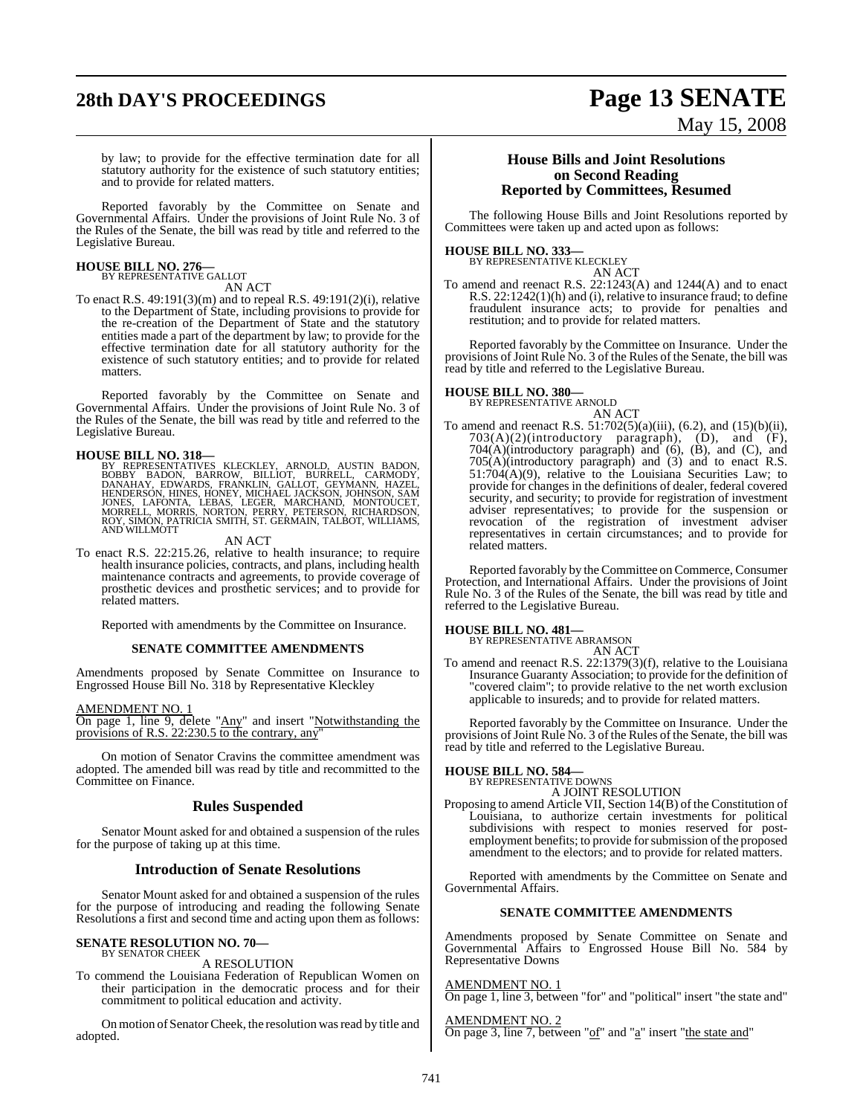# **28th DAY'S PROCEEDINGS Page 13 SENATE**

# May 15, 2008

by law; to provide for the effective termination date for all statutory authority for the existence of such statutory entities; and to provide for related matters.

Reported favorably by the Committee on Senate and Governmental Affairs. Under the provisions of Joint Rule No. 3 of the Rules of the Senate, the bill was read by title and referred to the Legislative Bureau.

# **HOUSE BILL NO. 276—** BY REPRESENTATIVE GALLOT

AN ACT

To enact R.S. 49:191(3)(m) and to repeal R.S. 49:191(2)(i), relative to the Department of State, including provisions to provide for the re-creation of the Department of State and the statutory entities made a part of the department by law; to provide for the effective termination date for all statutory authority for the existence of such statutory entities; and to provide for related matters.

Reported favorably by the Committee on Senate and Governmental Affairs. Under the provisions of Joint Rule No. 3 of the Rules of the Senate, the bill was read by title and referred to the Legislative Bureau.

**HOUSE BILL NO. 318—**<br>BY REPRESENTATIVES KLECKLEY, ARNOLD, AUSTIN BADON, BOBBY BADON, BARROW, BILLIOT, BURRELL, CARMODY, DANAHAY, EDWARDS, FRANKLIN, GALLOT, GEYMANN, HAZEL, HENDERSON, HINES, HONEY, MONG, SAM JONES, LAFONTA

#### AN ACT

To enact R.S. 22:215.26, relative to health insurance; to require health insurance policies, contracts, and plans, including health maintenance contracts and agreements, to provide coverage of prosthetic devices and prosthetic services; and to provide for related matters.

Reported with amendments by the Committee on Insurance.

#### **SENATE COMMITTEE AMENDMENTS**

Amendments proposed by Senate Committee on Insurance to Engrossed House Bill No. 318 by Representative Kleckley

AMENDMENT NO. 1

On page 1, line 9, delete "Any" and insert "Notwithstanding the provisions of R.S. 22:230.5 to the contrary, any"

On motion of Senator Cravins the committee amendment was adopted. The amended bill was read by title and recommitted to the Committee on Finance.

#### **Rules Suspended**

Senator Mount asked for and obtained a suspension of the rules for the purpose of taking up at this time.

#### **Introduction of Senate Resolutions**

Senator Mount asked for and obtained a suspension of the rules for the purpose of introducing and reading the following Senate Resolutions a first and second time and acting upon them as follows:

#### **SENATE RESOLUTION NO. 70—** BY SENATOR CHEEK

#### A RESOLUTION

To commend the Louisiana Federation of Republican Women on their participation in the democratic process and for their commitment to political education and activity.

On motion of Senator Cheek, the resolution was read by title and adopted.

#### **House Bills and Joint Resolutions on Second Reading Reported by Committees, Resumed**

The following House Bills and Joint Resolutions reported by Committees were taken up and acted upon as follows:

# **HOUSE BILL NO. 333—** BY REPRESENTATIVE KLECKLEY

AN ACT

To amend and reenact R.S. 22:1243(A) and 1244(A) and to enact R.S. 22:1242(1)(h) and (i), relative to insurance fraud; to define fraudulent insurance acts; to provide for penalties and restitution; and to provide for related matters.

Reported favorably by the Committee on Insurance. Under the provisions of Joint Rule No. 3 of the Rules of the Senate, the bill was read by title and referred to the Legislative Bureau.

### **HOUSE BILL NO. 380—**

BY REPRESENTATIVE ARNOLD AN ACT

To amend and reenact R.S. 51:702(5)(a)(iii), (6.2), and (15)(b)(ii),  $703(A)(2)$ (introductory paragraph),  $(D)$ , and  $(F)$ , 704(A)(introductory paragraph) and (6), (B), and (C), and 705(A)(introductory paragraph) and (3) and to enact R.S. 51:704(A)(9), relative to the Louisiana Securities Law; to provide for changes in the definitions of dealer, federal covered security, and security; to provide for registration of investment adviser representatives; to provide for the suspension or revocation of the registration of investment adviser representatives in certain circumstances; and to provide for related matters.

Reported favorably by the Committee on Commerce, Consumer Protection, and International Affairs. Under the provisions of Joint Rule No. 3 of the Rules of the Senate, the bill was read by title and referred to the Legislative Bureau.

**HOUSE BILL NO. 481—** BY REPRESENTATIVE ABRAMSON AN ACT

To amend and reenact R.S. 22:1379(3)(f), relative to the Louisiana Insurance Guaranty Association; to provide for the definition of "covered claim"; to provide relative to the net worth exclusion applicable to insureds; and to provide for related matters.

Reported favorably by the Committee on Insurance. Under the provisions of Joint Rule No. 3 of the Rules of the Senate, the bill was read by title and referred to the Legislative Bureau.

# **HOUSE BILL NO. 584—** BY REPRESENTATIVE DOWNS

A JOINT RESOLUTION

Proposing to amend Article VII, Section 14(B) of the Constitution of Louisiana, to authorize certain investments for political subdivisions with respect to monies reserved for postemployment benefits; to provide for submission of the proposed amendment to the electors; and to provide for related matters.

Reported with amendments by the Committee on Senate and Governmental Affairs.

#### **SENATE COMMITTEE AMENDMENTS**

Amendments proposed by Senate Committee on Senate and Governmental Affairs to Engrossed House Bill No. 584 by Representative Downs

#### AMENDMENT NO. 1

On page 1, line 3, between "for" and "political" insert "the state and"

AMENDMENT NO. 2 On page 3, line 7, between "of" and "a" insert "the state and"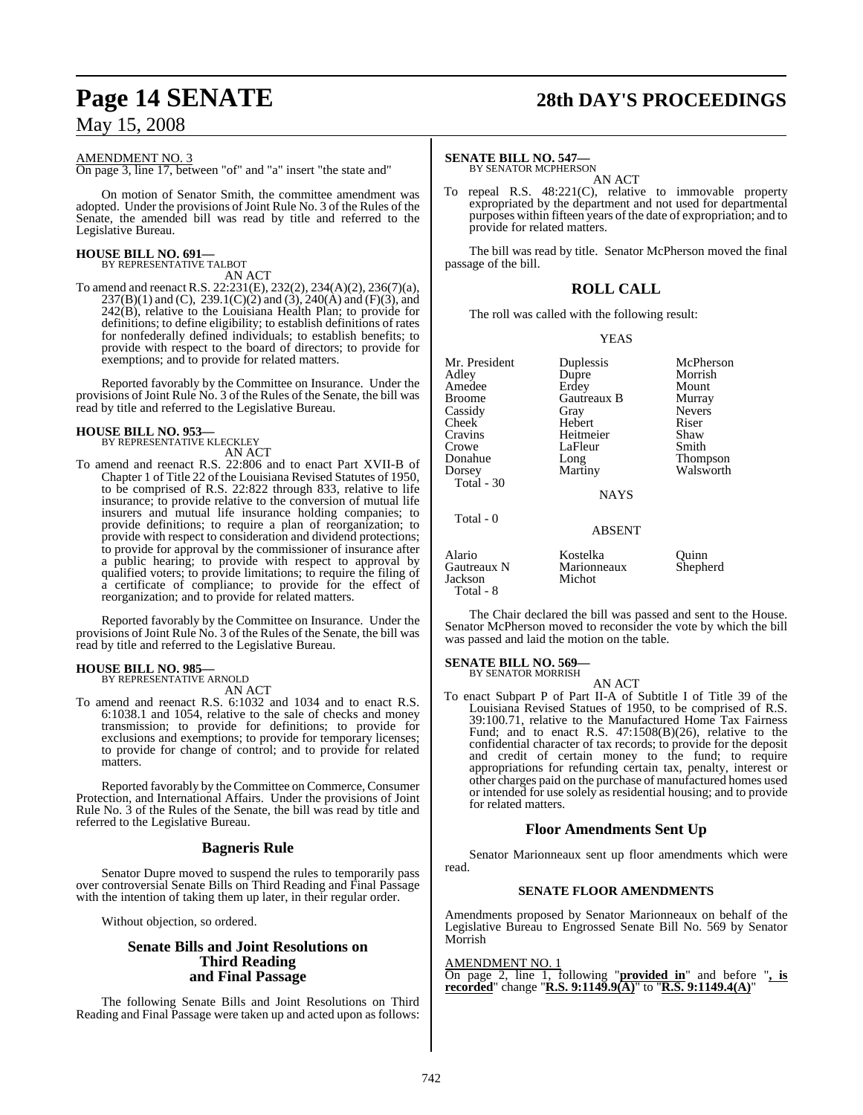#### AMENDMENT NO. 3

On page 3, line 17, between "of" and "a" insert "the state and"

On motion of Senator Smith, the committee amendment was adopted. Under the provisions of Joint Rule No. 3 of the Rules of the Senate, the amended bill was read by title and referred to the Legislative Bureau.

# **HOUSE BILL NO. 691—** BY REPRESENTATIVE TALBOT

AN ACT

To amend and reenact R.S. 22:231(E), 232(2), 234(A)(2), 236(7)(a),  $237(B)(1)$  and (C),  $239.1(C)(2)$  and (3),  $240(A)$  and (F)(3), and 242(B), relative to the Louisiana Health Plan; to provide for definitions; to define eligibility; to establish definitions of rates for nonfederally defined individuals; to establish benefits; to provide with respect to the board of directors; to provide for exemptions; and to provide for related matters.

Reported favorably by the Committee on Insurance. Under the provisions of Joint Rule No. 3 of the Rules of the Senate, the bill was read by title and referred to the Legislative Bureau.

#### **HOUSE BILL NO. 953—**

BY REPRESENTATIVE KLECKLEY AN ACT

To amend and reenact R.S. 22:806 and to enact Part XVII-B of Chapter 1 of Title 22 of the Louisiana Revised Statutes of 1950, to be comprised of R.S. 22:822 through 833, relative to life insurance; to provide relative to the conversion of mutual life insurers and mutual life insurance holding companies; to provide definitions; to require a plan of reorganization; to provide with respect to consideration and dividend protections; to provide for approval by the commissioner of insurance after a public hearing; to provide with respect to approval by qualified voters; to provide limitations; to require the filing of a certificate of compliance; to provide for the effect of reorganization; and to provide for related matters.

Reported favorably by the Committee on Insurance. Under the provisions of Joint Rule No. 3 of the Rules of the Senate, the bill was read by title and referred to the Legislative Bureau.

### **HOUSE BILL NO. 985—**

BY REPRESENTATIVE ARNOLD AN ACT

To amend and reenact R.S. 6:1032 and 1034 and to enact R.S. 6:1038.1 and 1054, relative to the sale of checks and money transmission; to provide for definitions; to provide for exclusions and exemptions; to provide for temporary licenses; to provide for change of control; and to provide for related matters.

Reported favorably by the Committee on Commerce, Consumer Protection, and International Affairs. Under the provisions of Joint Rule No. 3 of the Rules of the Senate, the bill was read by title and referred to the Legislative Bureau.

#### **Bagneris Rule**

Senator Dupre moved to suspend the rules to temporarily pass over controversial Senate Bills on Third Reading and Final Passage with the intention of taking them up later, in their regular order.

Without objection, so ordered.

#### **Senate Bills and Joint Resolutions on Third Reading and Final Passage**

The following Senate Bills and Joint Resolutions on Third Reading and Final Passage were taken up and acted upon as follows:

# **Page 14 SENATE 28th DAY'S PROCEEDINGS**

#### **SENATE BILL NO. 547—**

BY SENATOR MCPHERSON AN ACT

To repeal R.S. 48:221(C), relative to immovable property expropriated by the department and not used for departmental purposes within fifteen years of the date of expropriation; and to provide for related matters.

The bill was read by title. Senator McPherson moved the final passage of the bill.

### **ROLL CALL**

The roll was called with the following result:

#### YEAS

Mr. President Duplessis McPherson<br>Adley Dupre Morrish Amedee Erdey Mount Cassidy Gray Nevers Cheek Hebert Riser<br>Cravins Heitmeier Shaw Crowe LaFleur<br>Donahue Long Donahue Long Thompson<br>
Dorsey Martiny Walsworth Total - 30 Total - 0

Dupre Morrish<br>Erdey Mount Gautreaux B

Heitmeier Shaw<br>LaFleur Smith

Walsworth

**NAYS** 

## ABSENT

| Alario<br>Gautreaux N<br>Jackson | Kostelka<br>Marionneaux<br>Michot | Ouinn<br>Shepherd |
|----------------------------------|-----------------------------------|-------------------|
| Total - 8                        |                                   |                   |

The Chair declared the bill was passed and sent to the House. Senator McPherson moved to reconsider the vote by which the bill was passed and laid the motion on the table.

# **SENATE BILL NO. 569—** BY SENATOR MORRISH

AN ACT

To enact Subpart P of Part II-A of Subtitle I of Title 39 of the Louisiana Revised Statues of 1950, to be comprised of R.S. 39:100.71, relative to the Manufactured Home Tax Fairness Fund; and to enact R.S. 47:1508(B)(26), relative to the confidential character of tax records; to provide for the deposit and credit of certain money to the fund; to require appropriations for refunding certain tax, penalty, interest or other charges paid on the purchase of manufactured homes used or intended for use solely as residential housing; and to provide for related matters.

### **Floor Amendments Sent Up**

Senator Marionneaux sent up floor amendments which were read.

#### **SENATE FLOOR AMENDMENTS**

Amendments proposed by Senator Marionneaux on behalf of the Legislative Bureau to Engrossed Senate Bill No. 569 by Senator Morrish

#### AMENDMENT NO. 1

On page 2, line 1, following "**provided in**" and before "**, is recorded**" change "**R.S. 9:1149.9(A)**" to "**R.S. 9:1149.4(A)**"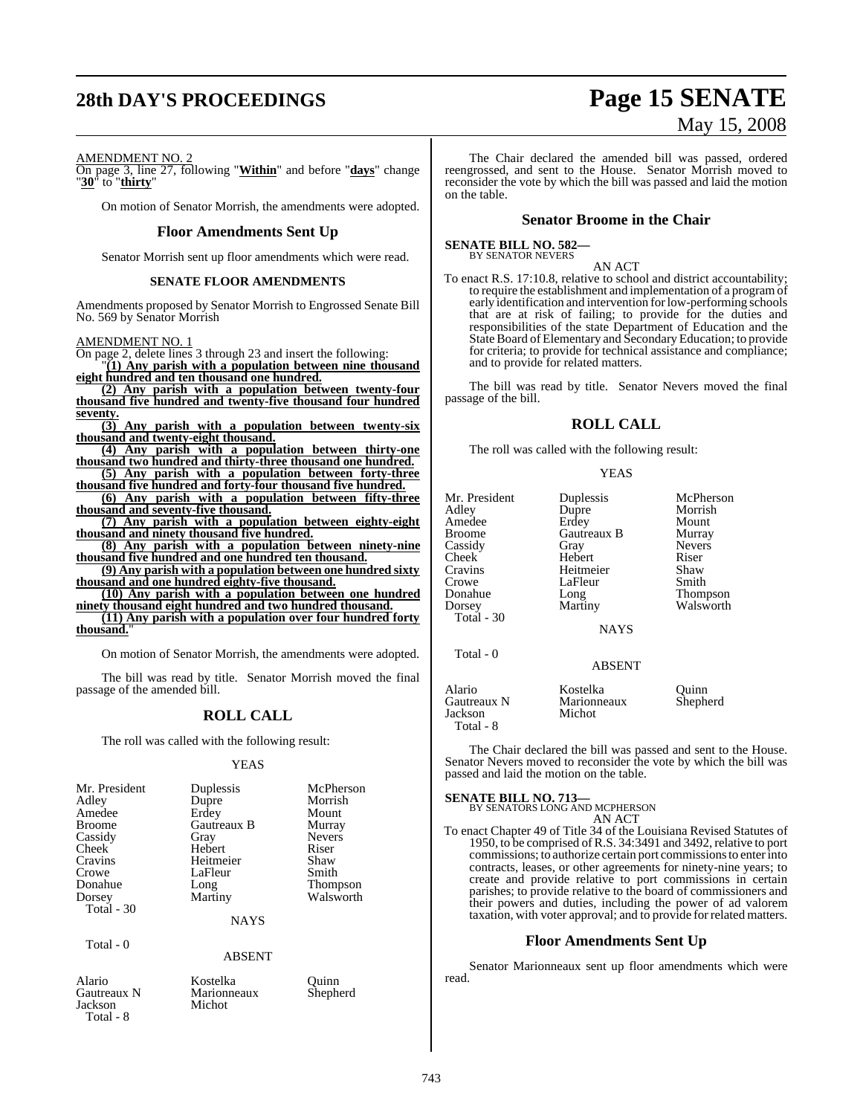# **28th DAY'S PROCEEDINGS Page 15 SENATE**

# May 15, 2008

#### AMENDMENT NO. 2

On page 3, line 27, following "**Within**" and before "**days**" change "**30**" to "**thirty**"

On motion of Senator Morrish, the amendments were adopted.

#### **Floor Amendments Sent Up**

Senator Morrish sent up floor amendments which were read.

#### **SENATE FLOOR AMENDMENTS**

Amendments proposed by Senator Morrish to Engrossed Senate Bill No. 569 by Senator Morrish

#### AMENDMENT NO. 1

On page 2, delete lines 3 through 23 and insert the following:

"**(1) Any parish with a population between nine thousand eight hundred and ten thousand one hundred.**

**(2) Any parish with a population between twenty-four thousand five hundred and twenty-five thousand four hundred seventy.**

**(3) Any parish with a population between twenty-six thousand and twenty-eight thousand.**

**(4) Any parish with a population between thirty-one thousand two hundred and thirty-three thousand one hundred. (5) Any parish with a population between forty-three**

**thousand five hundred and forty-four thousand five hundred.**

**(6) Any parish with a population between fifty-three thousand and seventy-five thousand.**

**(7) Any parish with a population between eighty-eight thousand and ninety thousand five hundred.**

**(8) Any parish with a population between ninety-nine thousand five hundred and one hundred ten thousand.**

**(9) Any parish with a population between one hundred sixty thousand and one hundred eighty-five thousand.**

**(10) Any parish with a population between one hundred ninety thousand eight hundred and two hundred thousand.**

**(11) Any parish with a population over four hundred forty** thousand.

On motion of Senator Morrish, the amendments were adopted.

The bill was read by title. Senator Morrish moved the final passage of the amended bill.

## **ROLL CALL**

The roll was called with the following result:

#### YEAS

| Mr. President        | Duplessis   | McPherson     |
|----------------------|-------------|---------------|
| Adley                | Dupre       | Morrish       |
| Amedee               | Erdey       | Mount         |
| <b>Broome</b>        | Gautreaux B | Murray        |
| Cassidy              | Gray        | <b>Nevers</b> |
| <b>Cheek</b>         | Hebert      | Riser         |
| Cravins              | Heitmeier   | Shaw          |
| Crowe                | LaFleur     | Smith         |
| Donahue              | Long        | Thompson      |
| Dorsey<br>Total - 30 | Martiny     | Walsworth     |

**NAYS** 

ABSENT

Total - 0

Jackson

Alario Kostelka Quinn<br>
Gautreaux N Marionneaux Shepherd Marionneaux<br>Michot

Total - 8

The Chair declared the amended bill was passed, ordered reengrossed, and sent to the House. Senator Morrish moved to reconsider the vote by which the bill was passed and laid the motion on the table.

#### **Senator Broome in the Chair**

**SENATE BILL NO. 582—** BY SENATOR NEVERS

AN ACT

To enact R.S. 17:10.8, relative to school and district accountability; to require the establishment and implementation of a programof early identification and intervention forlow-performing schools that are at risk of failing; to provide for the duties and responsibilities of the state Department of Education and the State Board of Elementary and Secondary Education; to provide for criteria; to provide for technical assistance and compliance; and to provide for related matters.

The bill was read by title. Senator Nevers moved the final passage of the bill.

#### **ROLL CALL**

The roll was called with the following result:

#### YEAS

| Mr. President<br>Adley<br>Amedee<br>Broome<br>Cassidy<br>Cheek <sup>-</sup><br>Cravins<br>Crowe<br>Donahue<br>Dorsey<br>Total - 30 | Duplessis<br>Dupre<br>Erdey<br>Gautreaux B<br>Gray<br>Hebert<br>Heitmeier<br>LaFleur<br>Long<br>Martiny<br><b>NAYS</b> | McPherson<br>Morrish<br>Mount<br>Murray<br><b>Nevers</b><br>Riser<br>Shaw<br>Smith<br><b>Thompson</b><br>Walsworth |
|------------------------------------------------------------------------------------------------------------------------------------|------------------------------------------------------------------------------------------------------------------------|--------------------------------------------------------------------------------------------------------------------|
| Total - 0                                                                                                                          | <b>ABSENT</b>                                                                                                          |                                                                                                                    |
| Alario<br>Gautreaux N<br>Jackson<br>Total - 8                                                                                      | Kostelka<br>Marionneaux<br>Michot                                                                                      | Quinn<br>Shepherd                                                                                                  |

The Chair declared the bill was passed and sent to the House. Senator Nevers moved to reconsider the vote by which the bill was passed and laid the motion on the table.

## **SENATE BILL NO. 713—**

BY SENATORS LONG AND MCPHERSON

AN ACT To enact Chapter 49 of Title 34 of the Louisiana Revised Statutes of 1950, to be comprised ofR.S. 34:3491 and 3492, relative to port commissions; to authorize certain port commissionsto enterinto contracts, leases, or other agreements for ninety-nine years; to create and provide relative to port commissions in certain parishes; to provide relative to the board of commissioners and their powers and duties, including the power of ad valorem taxation, with voter approval; and to provide for related matters.

#### **Floor Amendments Sent Up**

Senator Marionneaux sent up floor amendments which were read.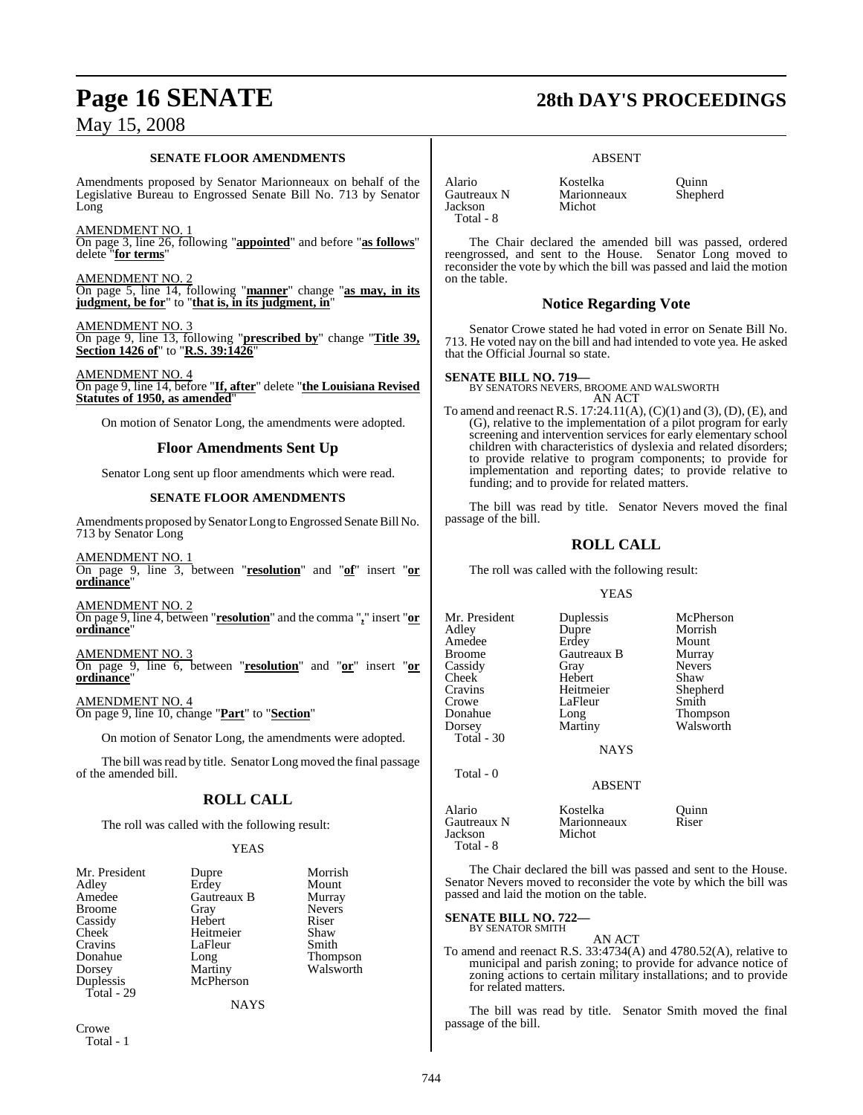#### **SENATE FLOOR AMENDMENTS**

Amendments proposed by Senator Marionneaux on behalf of the Legislative Bureau to Engrossed Senate Bill No. 713 by Senator Long

#### AMENDMENT NO. 1

On page 3, line 26, following "**appointed**" and before "**as follows**" delete "**for terms**"

AMENDMENT NO. 2 On page 5, line 14, following "**manner**" change "**as may, in its judgment, be for**" to "**that is, in its judgment, in**"

AMENDMENT NO. 3 On page 9, line 13, following "**prescribed by**" change "**Title 39, Section 1426 of**" to "**R.S. 39:1426**"

AMENDMENT NO. 4 On page 9, line 14, before "**If, after**" delete "**the Louisiana Revised Statutes of 1950, as amended**"

On motion of Senator Long, the amendments were adopted.

### **Floor Amendments Sent Up**

Senator Long sent up floor amendments which were read.

#### **SENATE FLOOR AMENDMENTS**

Amendments proposed by Senator Long to Engrossed Senate Bill No. 713 by Senator Long

AMENDMENT NO. 1 On page 9, line 3, between "**resolution**" and "**of**" insert "**or ordinance**"

AMENDMENT NO. 2 On page 9, line 4, between "**resolution**" and the comma "**,**" insert "**or ordinance**"

AMENDMENT NO. 3 On page 9, line 6, between "**resolution**" and "**or**" insert "**or ordinance**"

AMENDMENT NO. 4 On page 9, line 10, change "**Part**" to "**Section**"

On motion of Senator Long, the amendments were adopted.

The bill was read by title. Senator Long moved the final passage of the amended bill.

### **ROLL CALL**

The roll was called with the following result:

#### YEAS

| Mr. President | Dupre       | Morrish       |
|---------------|-------------|---------------|
| Adley         | Erdey       | Mount         |
| Amedee        | Gautreaux B | Murray        |
| <b>Broome</b> | Gray        | <b>Nevers</b> |
| Cassidy       | Hebert      | Riser         |
| <b>Cheek</b>  | Heitmeier   | Shaw          |
| Cravins       | LaFleur     | Smith         |
| Donahue       | Long        | Thompson      |
| Dorsey        | Martiny     | Walsworth     |
| Duplessis     | McPherson   |               |
| Total - 29    |             |               |
|               | NAYS        |               |

Crowe Total - 1

# **Page 16 SENATE 28th DAY'S PROCEEDINGS**

#### ABSENT

Marionneaux<br>Michot

Alario Kostelka Quinn Jackson Total - 8

The Chair declared the amended bill was passed, ordered reengrossed, and sent to the House. Senator Long moved to reconsider the vote by which the bill was passed and laid the motion on the table.

### **Notice Regarding Vote**

Senator Crowe stated he had voted in error on Senate Bill No. 713. He voted nay on the bill and had intended to vote yea. He asked that the Official Journal so state.

**SENATE BILL NO. 719—** BY SENATORS NEVERS, BROOME AND WALSWORTH AN ACT

To amend and reenact R.S. 17:24.11(A), (C)(1) and (3), (D), (E), and (G), relative to the implementation of a pilot program for early screening and intervention services for early elementary school children with characteristics of dyslexia and related disorders; to provide relative to program components; to provide for implementation and reporting dates; to provide relative to funding; and to provide for related matters.

The bill was read by title. Senator Nevers moved the final passage of the bill.

## **ROLL CALL**

The roll was called with the following result:

#### YEAS

| Mr. President                      | Duplessis                 | McPherson     |
|------------------------------------|---------------------------|---------------|
| Adley                              | Dupre                     | Morrish       |
| Amedee                             | Erdey                     | Mount         |
| <b>Broome</b>                      | <b>Gautreaux B</b>        | Murray        |
| Cassidy                            | Gray                      | <b>Nevers</b> |
| Cheek                              | Hebert                    | Shaw          |
| Cravins                            | Heitmeier                 | Shepherd      |
| Crowe                              | LaFleur                   | Smith         |
| Donahue                            | Long                      | Thompson      |
| Dorsey<br>Total $-30$<br>Total - 0 | Martiny<br><b>NAYS</b>    | Walsworth     |
| Alario                             | <b>ABSENT</b><br>Kostelka |               |
| Gautreaux N                        | Marionneaux               | Ouinn         |
| Jackson                            | Michot                    | Riser         |

The Chair declared the bill was passed and sent to the House. Senator Nevers moved to reconsider the vote by which the bill was passed and laid the motion on the table.

#### **SENATE BILL NO. 722—** BY SENATOR SMITH

Total - 8

- AN ACT
- To amend and reenact R.S. 33:4734(A) and 4780.52(A), relative to municipal and parish zoning; to provide for advance notice of zoning actions to certain military installations; and to provide for related matters.

The bill was read by title. Senator Smith moved the final passage of the bill.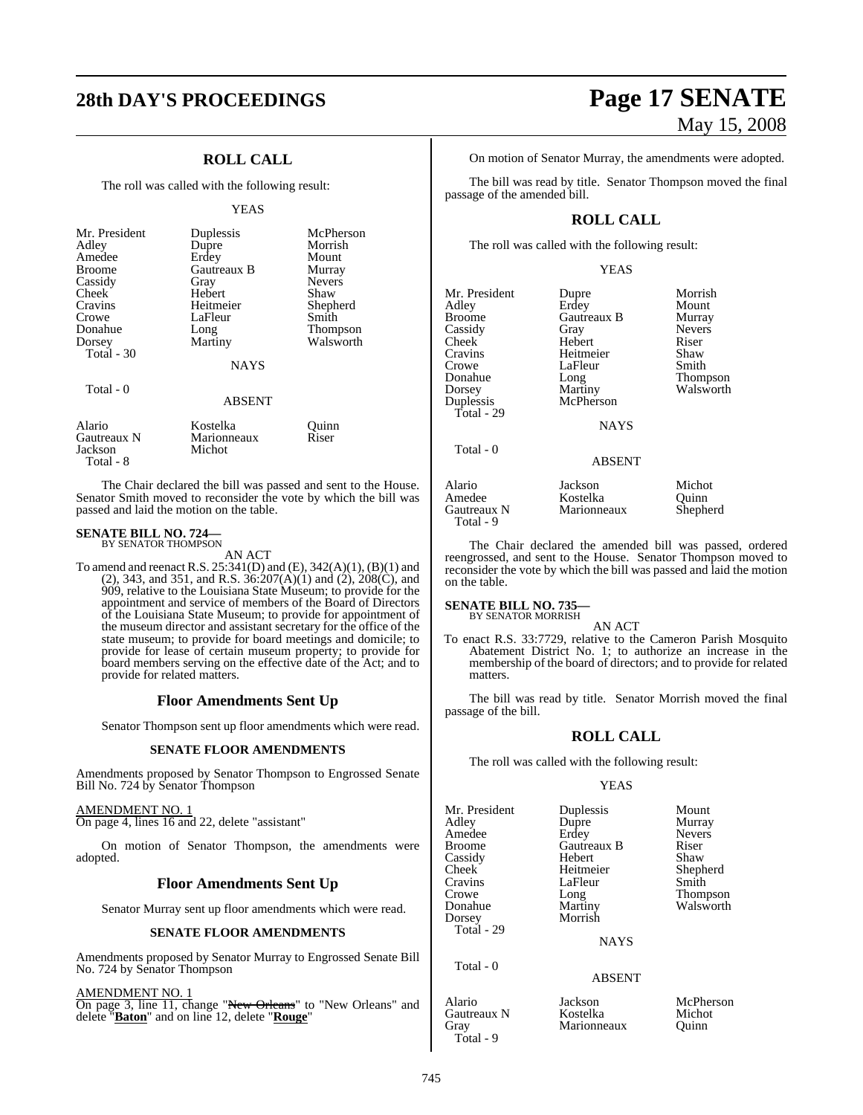# **28th DAY'S PROCEEDINGS Page 17 SENATE**

## **ROLL CALL**

The roll was called with the following result:

#### YEAS

| Mr. President<br>Adley<br>Amedee<br><b>Broome</b><br>Cassidy<br>Cheek<br>Cravins<br>Crowe<br>Donahue<br>Dorsey | Duplessis<br>Dupre<br>Erdey<br>Gautreaux B<br>Gray<br>Hebert<br>Heitmeier<br>LaFleur<br>Long<br>Martiny | McPherson<br>Morrish<br>Mount<br>Murray<br><b>Nevers</b><br>Shaw<br>Shepherd<br>Smith<br>Thompson<br>Walsworth |
|----------------------------------------------------------------------------------------------------------------|---------------------------------------------------------------------------------------------------------|----------------------------------------------------------------------------------------------------------------|
| Total - 30<br>Total - 0                                                                                        | <b>NAYS</b><br><b>ABSENT</b>                                                                            |                                                                                                                |
| $\cdots$                                                                                                       | TZ - 11                                                                                                 | $\sim$ $\cdot$                                                                                                 |

Alario Kostelka Quinn Marionneaux<br>Michot Jackson Total - 8

The Chair declared the bill was passed and sent to the House. Senator Smith moved to reconsider the vote by which the bill was passed and laid the motion on the table.

# **SENATE BILL NO. 724—**<br>BY SENATOR THOMPSON

AN ACT

To amend and reenact R.S. 25:341(D) and (E), 342(A)(1), (B)(1) and (2), 343, and 351, and R.S.  $36:207(A)(1)$  and  $(2)$ ,  $208(C)$ , and 909, relative to the Louisiana State Museum; to provide for the appointment and service of members of the Board of Directors of the Louisiana State Museum; to provide for appointment of the museum director and assistant secretary for the office of the state museum; to provide for board meetings and domicile; to provide for lease of certain museum property; to provide for board members serving on the effective date of the Act; and to provide for related matters.

#### **Floor Amendments Sent Up**

Senator Thompson sent up floor amendments which were read.

#### **SENATE FLOOR AMENDMENTS**

Amendments proposed by Senator Thompson to Engrossed Senate Bill No. 724 by Senator Thompson

#### AMENDMENT NO. 1

On page 4, lines 16 and 22, delete "assistant"

On motion of Senator Thompson, the amendments were adopted.

#### **Floor Amendments Sent Up**

Senator Murray sent up floor amendments which were read.

#### **SENATE FLOOR AMENDMENTS**

Amendments proposed by Senator Murray to Engrossed Senate Bill No. 724 by Senator Thompson

#### AMENDMENT NO. 1

On page 3, line 11, change "New Orleans" to "New Orleans" and delete "**Baton**" and on line 12, delete "**Rouge**"

# May 15, 2008

On motion of Senator Murray, the amendments were adopted.

The bill was read by title. Senator Thompson moved the final passage of the amended bill.

#### **ROLL CALL**

The roll was called with the following result:

#### YEAS

| Mr. President<br>Adley<br><b>Broome</b>      | Dupre<br>Erdey<br>Gautreaux B      | Morrish<br>Mount<br>Murray  |
|----------------------------------------------|------------------------------------|-----------------------------|
| Cassidy                                      | Gray                               | <b>Nevers</b>               |
| Cheek<br>Cravins                             | Hebert<br>Heitmeier                | Riser<br>Shaw               |
| Crowe                                        | LaFleur                            | Smith                       |
| Donahue                                      | Long                               | <b>Thompson</b>             |
| Dorsey                                       | Martiny                            | Walsworth                   |
| Duplessis                                    | McPherson                          |                             |
| Total - 29                                   | <b>NAYS</b>                        |                             |
| Total - 0                                    |                                    |                             |
|                                              | <b>ABSENT</b>                      |                             |
| Alario<br>Amedee<br>Gautreaux N<br>Total - 9 | Jackson<br>Kostelka<br>Marionneaux | Michot<br>Ouinn<br>Shepherd |

The Chair declared the amended bill was passed, ordered reengrossed, and sent to the House. Senator Thompson moved to reconsider the vote by which the bill was passed and laid the motion on the table.

#### **SENATE BILL NO. 735**

BY SENATOR MORRISH

AN ACT To enact R.S. 33:7729, relative to the Cameron Parish Mosquito Abatement District No. 1; to authorize an increase in the membership of the board of directors; and to provide for related matters.

The bill was read by title. Senator Morrish moved the final passage of the bill.

#### **ROLL CALL**

The roll was called with the following result:

#### YEAS

| Mr. President<br>Adley<br>Amedee<br><b>Broome</b><br>Cassidy<br>Cheek<br>Cravins | Duplessis<br>Dupre<br>Erdey<br>Gautreaux B<br>Hebert<br>Heitmeier<br>LaFleur | Mount<br>Murray<br><b>Nevers</b><br>Riser<br>Shaw<br>Shepherd<br>Smith |
|----------------------------------------------------------------------------------|------------------------------------------------------------------------------|------------------------------------------------------------------------|
| Crowe<br>Donahue<br>Dorsey                                                       | Long<br>Martiny<br>Morrish                                                   | Thompson<br>Walsworth                                                  |
| Total - 29                                                                       | <b>NAYS</b>                                                                  |                                                                        |
| Total - 0                                                                        | <b>ABSENT</b>                                                                |                                                                        |

Alario Jackson McPherson Gautreaux N Kostelka Micho<br>Grav Marionneaux Ouinn Gray Marionneaux

Total - 9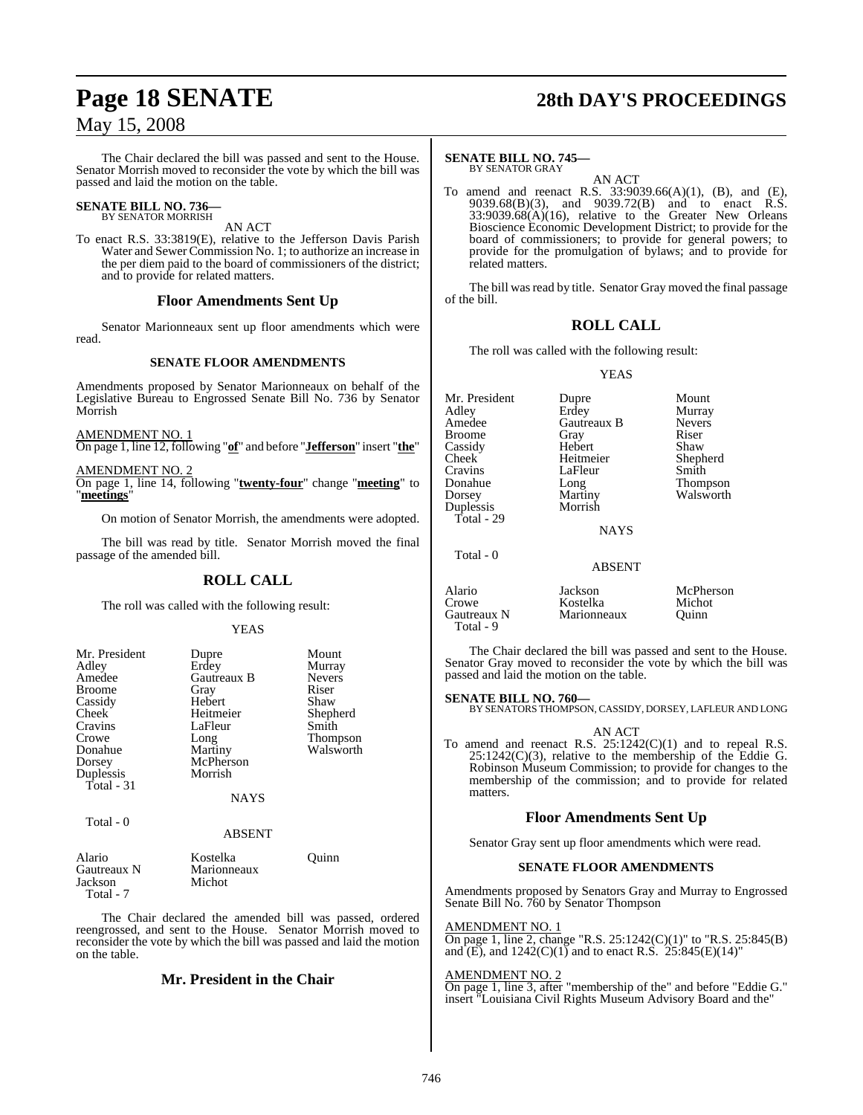The Chair declared the bill was passed and sent to the House. Senator Morrish moved to reconsider the vote by which the bill was passed and laid the motion on the table.

#### **SENATE BILL NO. 736—** BY SENATOR MORRISH

AN ACT

To enact R.S. 33:3819(E), relative to the Jefferson Davis Parish Water and Sewer Commission No. 1; to authorize an increase in the per diem paid to the board of commissioners of the district; and to provide for related matters.

#### **Floor Amendments Sent Up**

Senator Marionneaux sent up floor amendments which were read.

#### **SENATE FLOOR AMENDMENTS**

Amendments proposed by Senator Marionneaux on behalf of the Legislative Bureau to Engrossed Senate Bill No. 736 by Senator Morrish

#### AMENDMENT NO. 1

On page 1, line 12, following "**of**" and before "**Jefferson**" insert "**the**"

AMENDMENT NO. 2 On page 1, line 14, following "**twenty-four**" change "**meeting**" to "**meetings**"

On motion of Senator Morrish, the amendments were adopted.

The bill was read by title. Senator Morrish moved the final passage of the amended bill.

### **ROLL CALL**

The roll was called with the following result:

#### YEAS

| Mr. President<br>Adley           | Dupre<br>Erdey                    | Mount<br>Murray |
|----------------------------------|-----------------------------------|-----------------|
| Amedee                           | <b>Gautreaux B</b>                | <b>Nevers</b>   |
| <b>Broome</b>                    | Gray                              | Riser           |
| Cassidy                          | Hebert                            | Shaw            |
| <b>Cheek</b>                     | Heitmeier                         | Shepherd        |
| Cravins                          | LaFleur                           | Smith           |
| Crowe                            | Long                              | <b>Thompson</b> |
| Donahue                          | Martiny                           | Walsworth       |
| Dorsey                           | McPherson                         |                 |
| Duplessis                        | Morrish                           |                 |
| Total - 31                       |                                   |                 |
|                                  | <b>NAYS</b>                       |                 |
| Total - 0                        |                                   |                 |
|                                  | <b>ABSENT</b>                     |                 |
| Alario<br>Gautreaux N<br>Iackson | Kostelka<br>Marionneaux<br>Michot | Ouinn           |

Michot

Total - 7

The Chair declared the amended bill was passed, ordered reengrossed, and sent to the House. Senator Morrish moved to reconsider the vote by which the bill was passed and laid the motion on the table.

### **Mr. President in the Chair**

# **Page 18 SENATE 28th DAY'S PROCEEDINGS**

#### **SENATE BILL NO. 745—** BY SENATOR GRAY

AN ACT

To amend and reenact R.S. 33:9039.66(A)(1), (B), and (E), 9039.68(B)(3), and 9039.72(B) and to enact R.S.  $33:9039.68(A)(16)$ , relative to the Greater New Orleans Bioscience Economic Development District; to provide for the board of commissioners; to provide for general powers; to provide for the promulgation of bylaws; and to provide for related matters.

The bill was read by title. Senator Gray moved the final passage of the bill.

### **ROLL CALL**

The roll was called with the following result:

YEAS

Mr. President Dupre Mount Adley Erdey Murray Broome Gray Riser<br>Cassidy Hebert Shaw Cassidy Hebert<br>Cheek Heitmeier Cheek Heitmeier Shepherd Cravins LaFleur<br>Donahue Long Donahue Long Thompson Duplessis Total - 29

**Gautreaux B** Never<br> **Grav** Riser Martiny Walsworth

**NAYS** 

| Total - 0                                   | <b>ABSENT</b>                      |                              |
|---------------------------------------------|------------------------------------|------------------------------|
| Alario<br>Crowe<br>Gautreaux N<br>Total - 9 | Jackson<br>Kostelka<br>Marionneaux | McPherson<br>Michot<br>Ouinn |

The Chair declared the bill was passed and sent to the House. Senator Gray moved to reconsider the vote by which the bill was passed and laid the motion on the table.

## **SENATE BILL NO. 760—**

BY SENATORS THOMPSON, CASSIDY, DORSEY, LAFLEUR AND LONG

AN ACT

To amend and reenact R.S. 25:1242(C)(1) and to repeal R.S. 25:1242(C)(3), relative to the membership of the Eddie G. Robinson Museum Commission; to provide for changes to the membership of the commission; and to provide for related matters.

### **Floor Amendments Sent Up**

Senator Gray sent up floor amendments which were read.

#### **SENATE FLOOR AMENDMENTS**

Amendments proposed by Senators Gray and Murray to Engrossed Senate Bill No. 760 by Senator Thompson

#### AMENDMENT NO. 1

On page 1, line 2, change "R.S. 25:1242(C)(1)" to "R.S. 25:845(B) and  $(E)$ , and  $1242(C)(1)$  and to enact R.S.  $25:845(E)(14)$ "

#### AMENDMENT NO. 2

On page 1, line 3, after "membership of the" and before "Eddie G." insert "Louisiana Civil Rights Museum Advisory Board and the"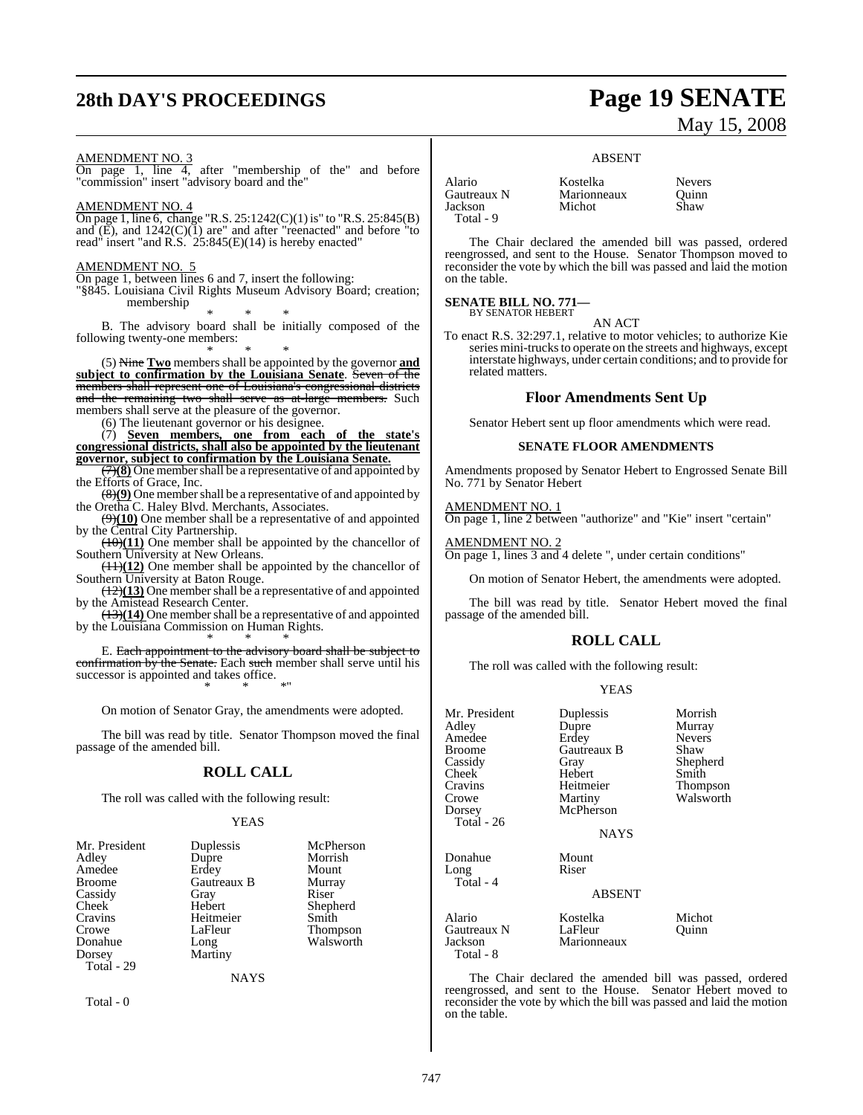# **28th DAY'S PROCEEDINGS Page 19 SENATE**

# May 15, 2008

AMENDMENT NO. 3

On page 1, line 4, after "membership of the" and before "commission" insert "advisory board and the"

AMENDMENT NO. 4

On page 1, line 6, change "R.S. 25:1242(C)(1) is" to "R.S. 25:845(B) and  $(E)$ , and  $1242(C)(1)$  are" and after "reenacted" and before "to read" insert "and R.S. 25:845(E)(14) is hereby enacted"

AMENDMENT NO.

On page 1, between lines 6 and 7, insert the following:

"§845. Louisiana Civil Rights Museum Advisory Board; creation; membership

\* \* \*

B. The advisory board shall be initially composed of the following twenty-one members:

\* \* \* (5) Nine **Two** members shall be appointed by the governor **and subject to confirmation by the Louisiana Senate**. Seven of the members shall represent one of Louisiana's congressional districts and the remaining two shall serve as at-large members. Such members shall serve at the pleasure of the governor.

(6) The lieutenant governor or his designee.

(7) **Seven members, one from each of the state's congressional districts, shall also be appointed by the lieutenant governor, subject to confirmation by the Louisiana Senate.**

 $\left(\frac{7}{8}\right)$  One member shall be a representative of and appointed by the Efforts of Grace, Inc.

(8)**(9)** One membershall be a representative of and appointed by the Oretha C. Haley Blvd. Merchants, Associates.

(9)**(10)** One member shall be a representative of and appointed by the Central City Partnership.

 $(10)(11)$  One member shall be appointed by the chancellor of Southern University at New Orleans.

(11)**(12)** One member shall be appointed by the chancellor of Southern University at Baton Rouge.

(12)**(13)** One membershall be a representative of and appointed by the Amistead Research Center.

(13)(14) One member shall be a representative of and appointed by the Louisiana Commission on Human Rights.

\* \* \* E. Each appointment to the advisory board shall be subject to confirmation by the Senate. Each such member shall serve until his successor is appointed and takes office. \* \* \*"

On motion of Senator Gray, the amendments were adopted.

The bill was read by title. Senator Thompson moved the final passage of the amended bill.

### **ROLL CALL**

The roll was called with the following result:

#### YEAS

| Mr. President | Duplessis   | McPherson       |
|---------------|-------------|-----------------|
| Adley         | Dupre       | Morrish         |
| Amedee        | Erdey       | Mount           |
| <b>Broome</b> | Gautreaux B | Murray          |
| Cassidy       | Gray        | Riser           |
| Cheek         | Hebert      | Shepherd        |
| Cravins       | Heitmeier   | Smith           |
| Crowe         | LaFleur     | <b>Thompson</b> |
| Donahue       | Long        | Walsworth       |
| Dorsey        | Martiny     |                 |
| Total - 29    |             |                 |
|               | <b>NAYS</b> |                 |

Total - 0

#### ABSENT

Alario Kostelka Nevers Jackson Total - 9

Marionneaux Quinn<br>Michot Shaw

The Chair declared the amended bill was passed, ordered reengrossed, and sent to the House. Senator Thompson moved to reconsider the vote by which the bill was passed and laid the motion on the table.

# **SENATE BILL NO. 771—** BY SENATOR HEBERT

AN ACT

To enact R.S. 32:297.1, relative to motor vehicles; to authorize Kie series mini-trucks to operate on the streets and highways, except interstate highways, under certain conditions; and to provide for related matters.

#### **Floor Amendments Sent Up**

Senator Hebert sent up floor amendments which were read.

#### **SENATE FLOOR AMENDMENTS**

Amendments proposed by Senator Hebert to Engrossed Senate Bill No. 771 by Senator Hebert

#### AMENDMENT NO. 1

On page 1, line 2 between "authorize" and "Kie" insert "certain"

#### AMENDMENT NO. 2

On page 1, lines 3 and 4 delete ", under certain conditions"

On motion of Senator Hebert, the amendments were adopted.

The bill was read by title. Senator Hebert moved the final passage of the amended bill.

### **ROLL CALL**

The roll was called with the following result:

#### YEAS

| Mr. President<br>Adley<br>Amedee<br><b>Broome</b><br>Cassidy<br>Cheek<br>Cravins<br>Crowe<br>Dorsey<br>Total - 26 | Duplessis<br>Dupre<br>Erdey<br>Gautreaux B<br>Gray<br>Hebert<br>Heitmeier<br>Martiny<br>McPherson<br><b>NAYS</b> | Morrish<br>Murray<br><b>Nevers</b><br>Shaw<br>Shepherd<br>Smith<br>Thompson<br>Walsworth |
|-------------------------------------------------------------------------------------------------------------------|------------------------------------------------------------------------------------------------------------------|------------------------------------------------------------------------------------------|
| Donahue<br>Long<br>Total - 4                                                                                      | Mount<br>Riser<br><b>ABSENT</b>                                                                                  |                                                                                          |
| Alario<br>Gautreaux N<br>Jackson<br>Total - 8                                                                     | Kostelka<br>LaFleur<br>Marionneaux                                                                               | Michot<br>Ouinn                                                                          |

The Chair declared the amended bill was passed, ordered reengrossed, and sent to the House. Senator Hebert moved to reconsider the vote by which the bill was passed and laid the motion on the table.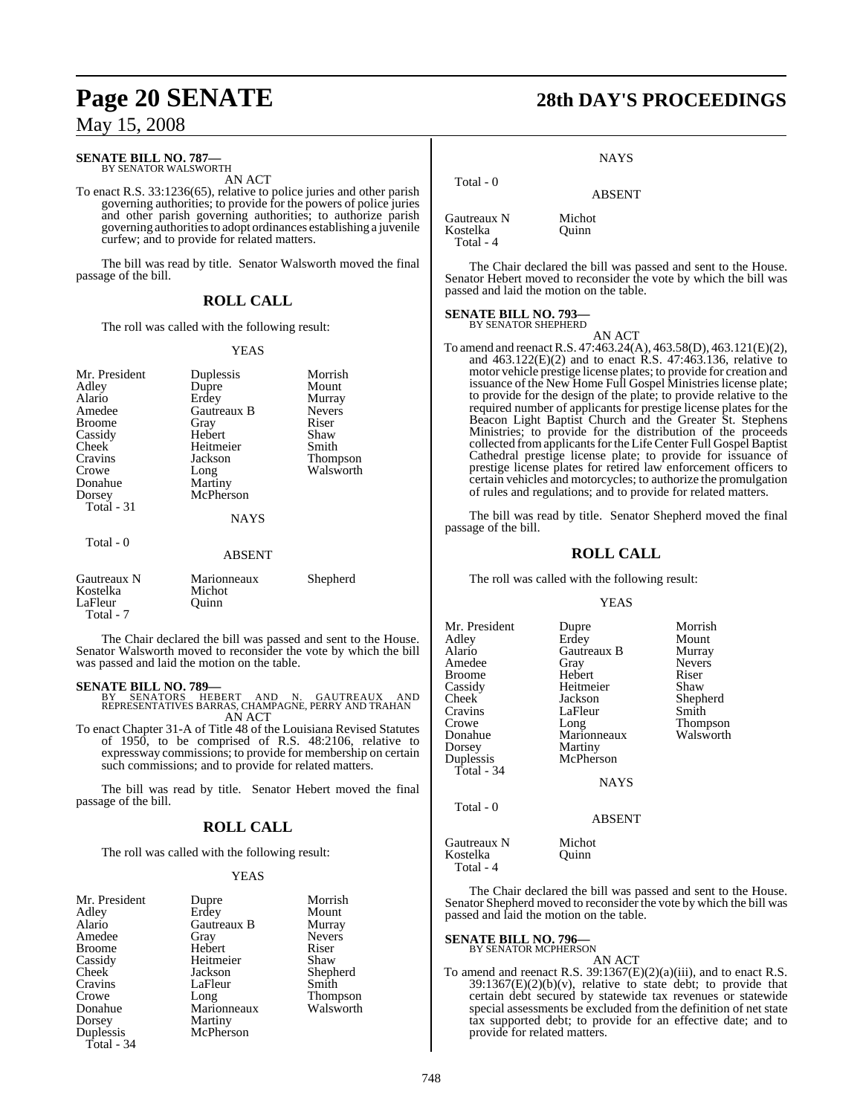# **SENATE BILL NO. 787—** BY SENATOR WALSWORTH

AN ACT

To enact R.S. 33:1236(65), relative to police juries and other parish governing authorities; to provide for the powers of police juries and other parish governing authorities; to authorize parish governing authoritiesto adopt ordinances establishing a juvenile curfew; and to provide for related matters.

The bill was read by title. Senator Walsworth moved the final passage of the bill.

#### **ROLL CALL**

The roll was called with the following result:

#### YEAS

| Mr. President<br>Adley<br>Alario<br>Amedee<br><b>Broome</b><br>Cassidy<br>Cheek<br>Cravins | Duplessis<br>Dupre<br>Erdey<br>Gautreaux B<br>Gray<br>Hebert<br>Heitmeier<br>Jackson | Morrish<br>Mount<br>Murray<br><b>Nevers</b><br>Riser<br>Shaw<br>Smith<br>Thompson |
|--------------------------------------------------------------------------------------------|--------------------------------------------------------------------------------------|-----------------------------------------------------------------------------------|
| Crowe<br>Donahue                                                                           | Long<br>Martiny                                                                      | Walsworth                                                                         |
| Dorsey<br>Total $-31$                                                                      | McPherson                                                                            |                                                                                   |
|                                                                                            | <b>NAYS</b>                                                                          |                                                                                   |
| Total - 0                                                                                  | <b>ABSENT</b>                                                                        |                                                                                   |
| Gautreaux N<br>Kostelka<br>LaFleur                                                         | Marionneaux<br>Michot<br>Ouinn                                                       | Shepherd                                                                          |

 Total - 7 The Chair declared the bill was passed and sent to the House. Senator Walsworth moved to reconsider the vote by which the bill was passed and laid the motion on the table.

- **SENATE BILL NO. 789—**<br>BY SENATORS HEBERT AND N. GAUTREAUX AND<br>REPRESENTATIVES BARRAS, CHAMPAGNE, PERRY AND TRAHAN<br>AN ACT
- To enact Chapter 31-A of Title 48 of the Louisiana Revised Statutes of 1950, to be comprised of R.S. 48:2106, relative to expressway commissions; to provide for membership on certain such commissions; and to provide for related matters.

The bill was read by title. Senator Hebert moved the final passage of the bill.

### **ROLL CALL**

The roll was called with the following result:

#### YEAS

| Mr. President | Dupre       | Morrish         |
|---------------|-------------|-----------------|
| Adley         | Erdey       | Mount           |
| Alario        | Gautreaux B | Murray          |
| Amedee        | Gray        | <b>Nevers</b>   |
| <b>Broome</b> | Hebert      | Riser           |
| Cassidy       | Heitmeier   | Shaw            |
| Cheek         | Jackson     | Shepherd        |
| Cravins       | LaFleur     | Smith           |
| Crowe         | Long        | <b>Thompson</b> |
| Donahue       | Marionneaux | Walsworth       |
| Dorsey        | Martiny     |                 |
| Duplessis     | McPherson   |                 |
| Total - 34    |             |                 |

# **Page 20 SENATE 28th DAY'S PROCEEDINGS**

**NAYS** 

ABSENT

Gautreaux N Michot Kostelka Total - 4

Total - 0

The Chair declared the bill was passed and sent to the House. Senator Hebert moved to reconsider the vote by which the bill was passed and laid the motion on the table.

## **SENATE BILL NO. 793**

BY SENATOR SHEPHERD AN ACT

To amend and reenactR.S. 47:463.24(A), 463.58(D), 463.121(E)(2), and  $463.122(E)(2)$  and to enact R.S.  $47:463.136$ , relative to motor vehicle prestige license plates; to provide for creation and issuance of the New Home Full Gospel Ministries license plate; to provide for the design of the plate; to provide relative to the required number of applicants for prestige license plates for the Beacon Light Baptist Church and the Greater St. Stephens Ministries; to provide for the distribution of the proceeds collected from applicants for the Life Center Full Gospel Baptist Cathedral prestige license plate; to provide for issuance of prestige license plates for retired law enforcement officers to certain vehicles and motorcycles; to authorize the promulgation of rules and regulations; and to provide for related matters.

The bill was read by title. Senator Shepherd moved the final passage of the bill.

## **ROLL CALL**

The roll was called with the following result:

#### YEAS

| Mr. President | Dupre       | Morrish       |
|---------------|-------------|---------------|
| Adley         | Erdey       | Mount         |
| Alario        | Gautreaux B | Murray        |
| Amedee        | Gray        | <b>Nevers</b> |
| <b>Broome</b> | Hebert      | Riser         |
| Cassidy       | Heitmeier   | Shaw          |
| Cheek         | Jackson     | Shepherd      |
| Cravins       | LaFleur     | Smith         |
| Crowe         | Long        | Thompson      |
| Donahue       | Marionneaux | Walsworth     |
| Dorsey        | Martiny     |               |
| Duplessis     | McPherson   |               |
| Total $-34$   |             |               |
|               | NAYS        |               |

#### ABSENT

Gautreaux N Michot<br>Kostelka Quinn Kostelka Total - 4

Total - 0

The Chair declared the bill was passed and sent to the House. Senator Shepherd moved to reconsider the vote by which the bill was passed and laid the motion on the table.

#### **SENATE BILL NO. 796—**

BY SENATOR MCPHERSON

AN ACT To amend and reenact R.S. 39:1367(E)(2)(a)(iii), and to enact R.S.  $39:1367(E)(2)(b)(v)$ , relative to state debt; to provide that certain debt secured by statewide tax revenues or statewide special assessments be excluded from the definition of net state tax supported debt; to provide for an effective date; and to provide for related matters.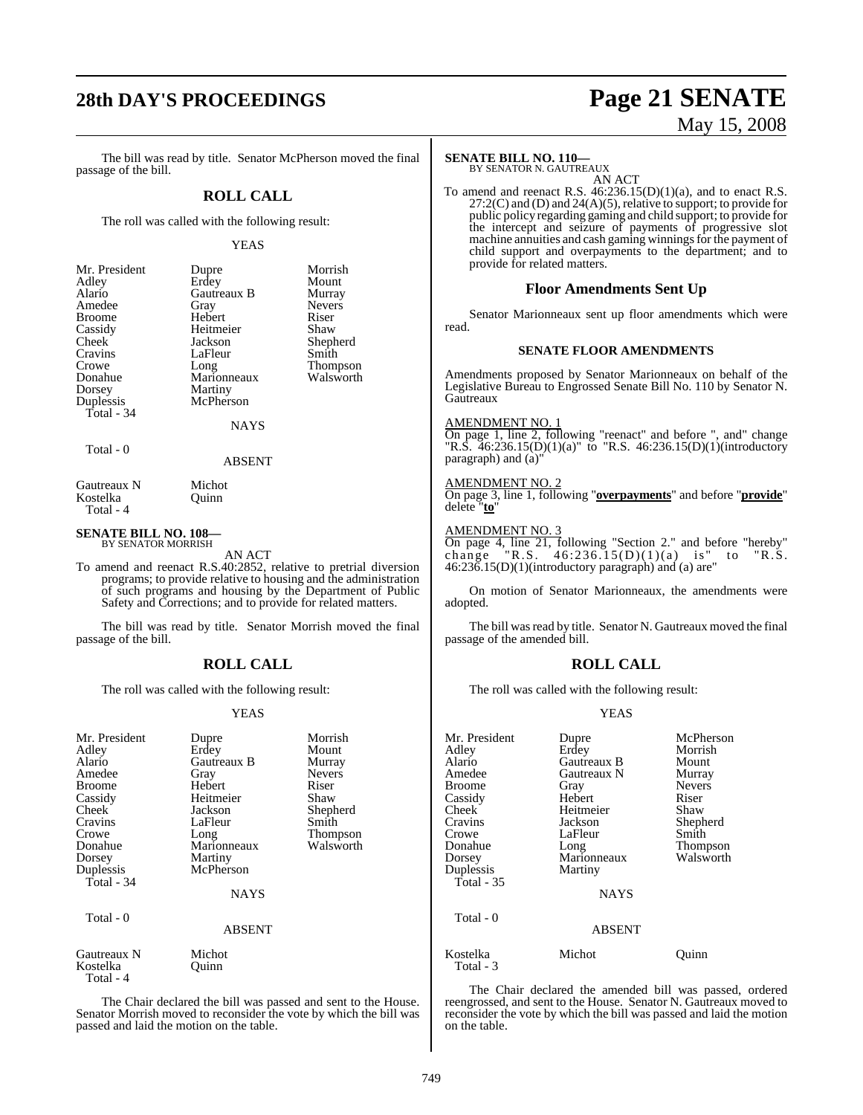# **28th DAY'S PROCEEDINGS Page 21 SENATE**

# May 15, 2008

The bill was read by title. Senator McPherson moved the final passage of the bill.

#### **ROLL CALL**

The roll was called with the following result:

#### YEAS

| Mr. President | Dupre       | Morrish         |
|---------------|-------------|-----------------|
| Adley         | Erdey       | Mount           |
| Alario        | Gautreaux B | Murray          |
| Amedee        | Gray        | <b>Nevers</b>   |
| <b>Broome</b> | Hebert      | Riser           |
| Cassidy       | Heitmeier   | Shaw            |
| Cheek         | Jackson     | Shepherd        |
| Cravins       | LaFleur     | Smith           |
| Crowe         | Long        | <b>Thompson</b> |
| Donahue       | Marionneaux | Walsworth       |
| Dorsey        | Martiny     |                 |
| Duplessis     | McPherson   |                 |
| Total - 34    |             |                 |
|               | <b>NAYS</b> |                 |
|               |             |                 |

Total - 0

ABSENT

Gautreaux N Michot<br>Kostelka Ouinn Kostelka Total - 4

#### **SENATE BILL NO. 108—** BY SENATOR MORRISH

AN ACT

To amend and reenact R.S.40:2852, relative to pretrial diversion programs; to provide relative to housing and the administration of such programs and housing by the Department of Public Safety and Corrections; and to provide for related matters.

The bill was read by title. Senator Morrish moved the final passage of the bill.

### **ROLL CALL**

The roll was called with the following result:

#### YEAS

| Mr. President<br>Adley<br>Alario<br>Amedee<br><b>Broome</b><br>Cassidy<br>Cheek<br>Cravins<br>Crowe<br>Donahue<br>Dorsey<br>Duplessis<br>Total - 34 | Dupre<br>Erdey<br>Gautreaux B<br>Gray<br>Hebert<br>Heitmeier<br>Jackson<br>LaFleur<br>Long<br>Marionneaux<br>Martiny<br>McPherson<br><b>NAYS</b> | Morrish<br>Mount<br>Murray<br><b>Nevers</b><br>Riser<br>Shaw<br>Shepherd<br>Smith<br>Thompson<br>Walsworth |
|-----------------------------------------------------------------------------------------------------------------------------------------------------|--------------------------------------------------------------------------------------------------------------------------------------------------|------------------------------------------------------------------------------------------------------------|
| Total - 0                                                                                                                                           | ABSENT                                                                                                                                           |                                                                                                            |
| Gautreaux N<br>Kostelka<br>Total - 4                                                                                                                | Michot<br>Ouinn                                                                                                                                  |                                                                                                            |

The Chair declared the bill was passed and sent to the House. Senator Morrish moved to reconsider the vote by which the bill was passed and laid the motion on the table.

#### **SENATE BILL NO. 110—**

BY SENATOR N. GAUTREAUX AN ACT

To amend and reenact R.S.  $46:236.15(D)(1)(a)$ , and to enact R.S. 27:2(C) and (D) and 24(A)(5), relative to support; to provide for public policy regarding gaming and child support; to provide for the intercept and seizure of payments of progressive slot machine annuities and cash gaming winnings for the payment of child support and overpayments to the department; and to provide for related matters.

#### **Floor Amendments Sent Up**

Senator Marionneaux sent up floor amendments which were read.

#### **SENATE FLOOR AMENDMENTS**

Amendments proposed by Senator Marionneaux on behalf of the Legislative Bureau to Engrossed Senate Bill No. 110 by Senator N. Gautreaux

#### AMENDMENT NO. 1

On page 1, line 2, following "reenact" and before ", and" change "R.S. 46:236.15(D)(1)(a)" to "R.S. 46:236.15(D)(1)(introductory paragraph) and (a)"

#### AMENDMENT NO. 2

On page 3, line 1, following "**overpayments**" and before "**provide**" delete "**to**"

#### AMENDMENT NO. 3

On page 4, line 21, following "Section 2." and before "hereby" change "R.S.  $46:236.15(D)(1)(a)$  is" to "R.S. 46:236.15(D)(1)(introductory paragraph) and (a) are"

On motion of Senator Marionneaux, the amendments were adopted.

The bill was read by title. Senator N. Gautreaux moved the final passage of the amended bill.

#### **ROLL CALL**

The roll was called with the following result:

#### YEAS

| Mr. President         | Dupre         | McPherson       |
|-----------------------|---------------|-----------------|
| Adley                 | Erdey         | Morrish         |
| Alario                | Gautreaux B   | Mount           |
|                       |               |                 |
| Amedee                | Gautreaux N   | Murray          |
| <b>Broome</b>         | Gray          | <b>Nevers</b>   |
| Cassidy               | Hebert        | Riser           |
| Cheek                 | Heitmeier     | Shaw            |
| Cravins               | Jackson       | Shepherd        |
| Crowe                 | LaFleur       | Smith           |
| Donahue               | Long          | <b>Thompson</b> |
| Dorsey                | Marionneaux   | Walsworth       |
| Duplessis             | Martiny       |                 |
| Total - 35            |               |                 |
|                       | <b>NAYS</b>   |                 |
| Total - 0             |               |                 |
|                       | <b>ABSENT</b> |                 |
| Kostelka<br>Total - 3 | Michot        | Ouınn           |

The Chair declared the amended bill was passed, ordered reengrossed, and sent to the House. Senator N. Gautreaux moved to reconsider the vote by which the bill was passed and laid the motion on the table.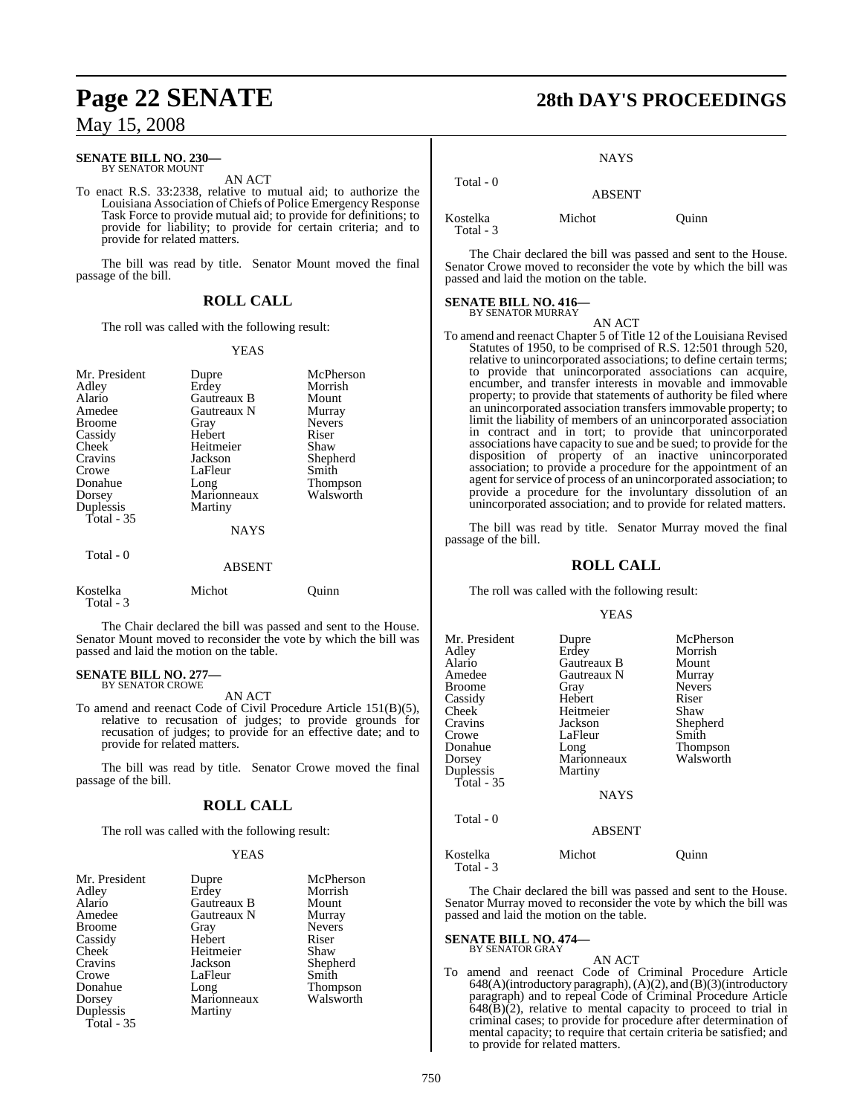#### **SENATE BILL NO. 230—** BY SENATOR MOUNT

AN ACT

To enact R.S. 33:2338, relative to mutual aid; to authorize the Louisiana Association of Chiefs of Police Emergency Response Task Force to provide mutual aid; to provide for definitions; to provide for liability; to provide for certain criteria; and to provide for related matters.

The bill was read by title. Senator Mount moved the final passage of the bill.

#### **ROLL CALL**

The roll was called with the following result:

#### YEAS

| Mr. President<br>Adley<br>Alario<br>Amedee<br><b>Broome</b><br>Cassidy<br>Cheek<br>Cravins<br>Crowe<br>Donahue<br>Dorsey<br>Duplessis<br>Total $-35$ | Dupre<br>Erdey<br>Gautreaux B<br>Gautreaux N<br>Gray<br>Hebert<br>Heitmeier<br>Jackson<br>LaFleur<br>Long<br>Marionneaux<br>Martiny | McPherson<br>Morrish<br>Mount<br>Murray<br><b>Nevers</b><br>Riser<br>Shaw<br>Shepherd<br>Smith<br><b>Thompson</b><br>Walsworth |
|------------------------------------------------------------------------------------------------------------------------------------------------------|-------------------------------------------------------------------------------------------------------------------------------------|--------------------------------------------------------------------------------------------------------------------------------|
|                                                                                                                                                      | <b>NAYS</b>                                                                                                                         |                                                                                                                                |
| Total - 0                                                                                                                                            | <b>ABSENT</b>                                                                                                                       |                                                                                                                                |
| Kostelka                                                                                                                                             | Michot                                                                                                                              | Ouinn                                                                                                                          |

The Chair declared the bill was passed and sent to the House. Senator Mount moved to reconsider the vote by which the bill was passed and laid the motion on the table.

# **SENATE BILL NO. 277—** BY SENATOR CROWE

Total - 3

AN ACT

To amend and reenact Code of Civil Procedure Article 151(B)(5), relative to recusation of judges; to provide grounds for recusation of judges; to provide for an effective date; and to provide for related matters.

The bill was read by title. Senator Crowe moved the final passage of the bill.

### **ROLL CALL**

The roll was called with the following result:

#### YEAS

| Mr. President | Dupre       | McPherson       |
|---------------|-------------|-----------------|
| Adley         | Erdey       | Morrish         |
| Alario        | Gautreaux B | Mount           |
| Amedee        | Gautreaux N | Murray          |
| <b>Broome</b> | Gray        | <b>Nevers</b>   |
| Cassidy       | Hebert      | Riser           |
| Cheek         | Heitmeier   | Shaw            |
| Cravins       | Jackson     | Shepherd        |
| Crowe         | LaFleur     | Smith           |
| Donahue       | Long        | <b>Thompson</b> |
| Dorsey        | Marionneaux | Walsworth       |
| Duplessis     | Martiny     |                 |
| Total $-35$   |             |                 |

# **Page 22 SENATE 28th DAY'S PROCEEDINGS**

**NAYS** 

## Total - 0 ABSENT Kostelka Michot Quinn

Total - 3

The Chair declared the bill was passed and sent to the House. Senator Crowe moved to reconsider the vote by which the bill was passed and laid the motion on the table.

# **SENATE BILL NO. 416—** BY SENATOR MURRAY

AN ACT

To amend and reenact Chapter 5 of Title 12 of the Louisiana Revised Statutes of 1950, to be comprised of R.S. 12:501 through 520, relative to unincorporated associations; to define certain terms; to provide that unincorporated associations can acquire, encumber, and transfer interests in movable and immovable property; to provide that statements of authority be filed where an unincorporated association transfers immovable property; to limit the liability of members of an unincorporated association in contract and in tort; to provide that unincorporated associations have capacity to sue and be sued; to provide for the disposition of property of an inactive unincorporated association; to provide a procedure for the appointment of an agent for service of process of an unincorporated association; to provide a procedure for the involuntary dissolution of an unincorporated association; and to provide for related matters.

The bill was read by title. Senator Murray moved the final passage of the bill.

### **ROLL CALL**

The roll was called with the following result:

#### YEAS

| Mr. President<br>Adley<br>Alario<br>Amedee<br>Broome<br>Cassidy<br>Cheek <sup>-</sup><br>Cravins<br>Crowe<br>Donahue<br>Dorsey<br>Duplessis<br><b>Total - 35</b><br>Total - 0 | Dupre<br>Erdey<br>Gautreaux B<br>Gautreaux N<br>Gray<br>Hebert<br>Heitmeier<br>Jackson<br>LaFleur<br>Long<br>Marionneaux<br>Martiny<br><b>NAYS</b> | McPherson<br>Morrish<br>Mount<br>Murray<br><b>Nevers</b><br>Riser<br>Shaw<br>Shepherd<br>Smith<br>Thompson<br>Walsworth |
|-------------------------------------------------------------------------------------------------------------------------------------------------------------------------------|----------------------------------------------------------------------------------------------------------------------------------------------------|-------------------------------------------------------------------------------------------------------------------------|
|                                                                                                                                                                               | <b>ABSENT</b>                                                                                                                                      |                                                                                                                         |
| Kostelka                                                                                                                                                                      | Michot                                                                                                                                             | Ouınn                                                                                                                   |
| Total - 3                                                                                                                                                                     |                                                                                                                                                    |                                                                                                                         |

The Chair declared the bill was passed and sent to the House. Senator Murray moved to reconsider the vote by which the bill was passed and laid the motion on the table.

#### **SENATE BILL NO. 474—** BY SENATOR GRAY

AN ACT To amend and reenact Code of Criminal Procedure Article 648(A)(introductory paragraph), (A)(2), and (B)(3)(introductory paragraph) and to repeal Code of Criminal Procedure Article  $648(\overline{B})(2)$ , relative to mental capacity to proceed to trial in criminal cases; to provide for procedure after determination of mental capacity; to require that certain criteria be satisfied; and to provide for related matters.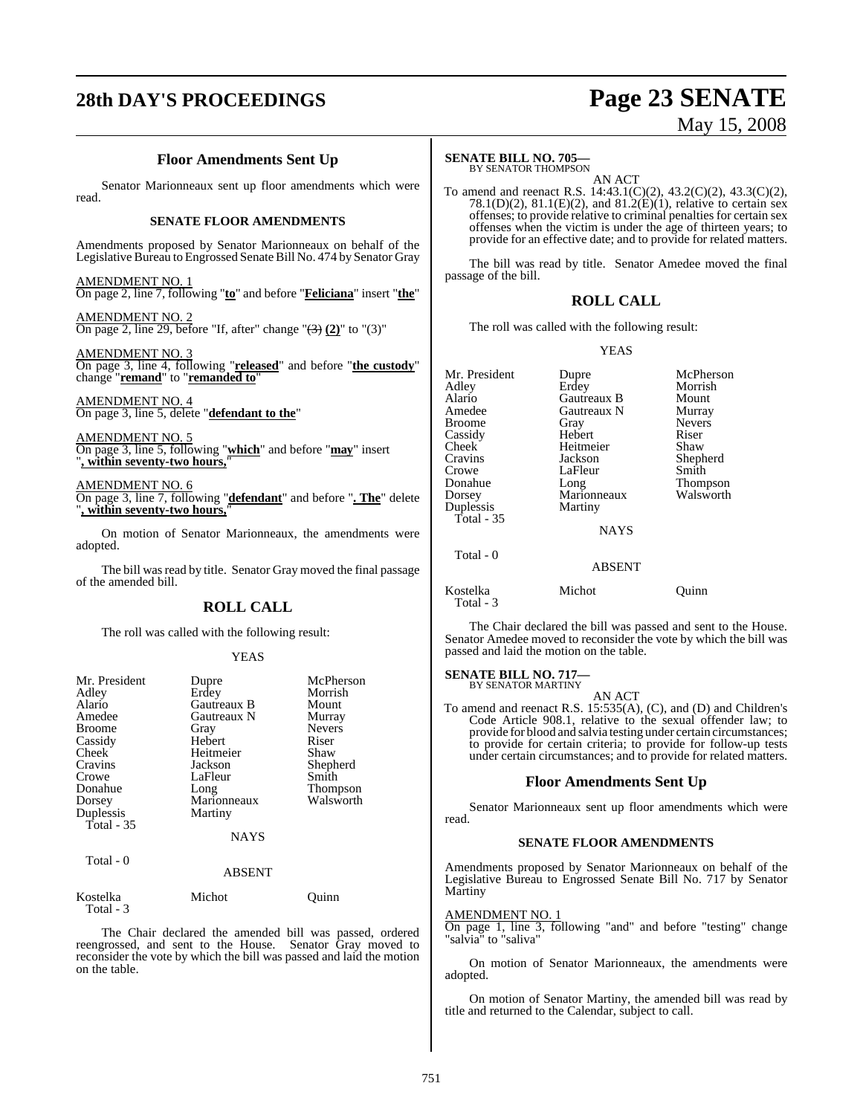# **28th DAY'S PROCEEDINGS Page 23 SENATE**

# May 15, 2008

## **Floor Amendments Sent Up**

Senator Marionneaux sent up floor amendments which were read.

#### **SENATE FLOOR AMENDMENTS**

Amendments proposed by Senator Marionneaux on behalf of the Legislative Bureau to Engrossed Senate Bill No. 474 by Senator Gray

AMENDMENT NO. 1 On page 2, line 7, following "**to**" and before "**Feliciana**" insert "**the**"

AMENDMENT NO. 2 On page 2, line 29, before "If, after" change "(3) **(2)**" to "(3)"

AMENDMENT NO. 3 On page 3, line 4, following "**released**" and before "**the custody**" change "**remand**" to "**remanded to**"

AMENDMENT NO. 4 On page 3, line 5, delete "**defendant to the**"

AMENDMENT NO. 5 On page 3, line 5, following "**which**" and before "**may**" insert "**, within seventy-two hours,**"

AMENDMENT NO. 6 On page 3, line 7, following "**defendant**" and before "**. The**" delete "**, within seventy-two hours,**"

On motion of Senator Marionneaux, the amendments were adopted.

The bill was read by title. Senator Gray moved the final passage of the amended bill.

#### **ROLL CALL**

The roll was called with the following result:

#### YEAS

| Mr. President<br>Adley<br>Alario<br>Amedee<br><b>Broome</b><br>Cassidy<br>Cheek<br>Cravins<br>Crowe<br>Donahue<br>Dorsey<br>Duplessis<br>Total - 35 | Dupre<br>Erdey<br>Gautreaux B<br>Gautreaux N<br>Gray<br>Hebert<br>Heitmeier<br>Jackson<br>LaFleur<br>Long<br>Marionneaux<br>Martiny<br>NAYS | McPherson<br>Morrish<br>Mount<br>Murray<br><b>Nevers</b><br>Riser<br>Shaw<br>Shepherd<br>Smith<br>Thompson<br>Walsworth |
|-----------------------------------------------------------------------------------------------------------------------------------------------------|---------------------------------------------------------------------------------------------------------------------------------------------|-------------------------------------------------------------------------------------------------------------------------|
| Total - 0                                                                                                                                           | <b>ABSENT</b>                                                                                                                               |                                                                                                                         |
| Kostelka                                                                                                                                            | Michot                                                                                                                                      | Ouınn                                                                                                                   |

The Chair declared the amended bill was passed, ordered reengrossed, and sent to the House. Senator Gray moved to reconsider the vote by which the bill was passed and laid the motion on the table.

Total - 3

### **SENATE BILL NO. 705—**

BY SENATOR THOMPSON

AN ACT To amend and reenact R.S. 14:43.1(C)(2), 43.2(C)(2), 43.3(C)(2), 78.1(D)(2), 81.1(E)(2), and 81.2(E)(1), relative to certain sex offenses; to provide relative to criminal penalties for certain sex offenses when the victim is under the age of thirteen years; to provide for an effective date; and to provide for related matters.

The bill was read by title. Senator Amedee moved the final passage of the bill.

#### **ROLL CALL**

The roll was called with the following result:

#### YEAS

| Mr. President<br>Adley<br>Alario<br>Amedee<br><b>Broome</b><br>Cassidy<br>Cheek<br>Cravins<br>Crowe<br>Donahue<br>Dorsey | Dupre<br>Erdey<br>Gautreaux B<br>Gautreaux N<br>Gray<br>Hebert<br>Heitmeier<br>Jackson<br>LaFleur<br>Long<br>Marionneaux | McPherson<br>Morrish<br>Mount<br>Murray<br><b>Nevers</b><br>Riser<br>Shaw<br>Shepherd<br>Smith<br>Thompson<br>Walsworth |
|--------------------------------------------------------------------------------------------------------------------------|--------------------------------------------------------------------------------------------------------------------------|-------------------------------------------------------------------------------------------------------------------------|
| Duplessis<br>Total - $35$                                                                                                | Martiny<br><b>NAYS</b>                                                                                                   |                                                                                                                         |
| Total - 0                                                                                                                | ABSENT                                                                                                                   |                                                                                                                         |
| Kostelka<br>Total - 3                                                                                                    | Michot                                                                                                                   | uınn                                                                                                                    |

The Chair declared the bill was passed and sent to the House. Senator Amedee moved to reconsider the vote by which the bill was passed and laid the motion on the table.

# **SENATE BILL NO. 717—** BY SENATOR MARTINY

AN ACT

To amend and reenact R.S. 15:535(A), (C), and (D) and Children's Code Article 908.1, relative to the sexual offender law; to provide for blood and salvia testing under certain circumstances; to provide for certain criteria; to provide for follow-up tests under certain circumstances; and to provide for related matters.

#### **Floor Amendments Sent Up**

Senator Marionneaux sent up floor amendments which were read.

#### **SENATE FLOOR AMENDMENTS**

Amendments proposed by Senator Marionneaux on behalf of the Legislative Bureau to Engrossed Senate Bill No. 717 by Senator Martiny

#### AMENDMENT NO. 1

On page 1, line 3, following "and" and before "testing" change "salvia" to "saliva"

On motion of Senator Marionneaux, the amendments were adopted.

On motion of Senator Martiny, the amended bill was read by title and returned to the Calendar, subject to call.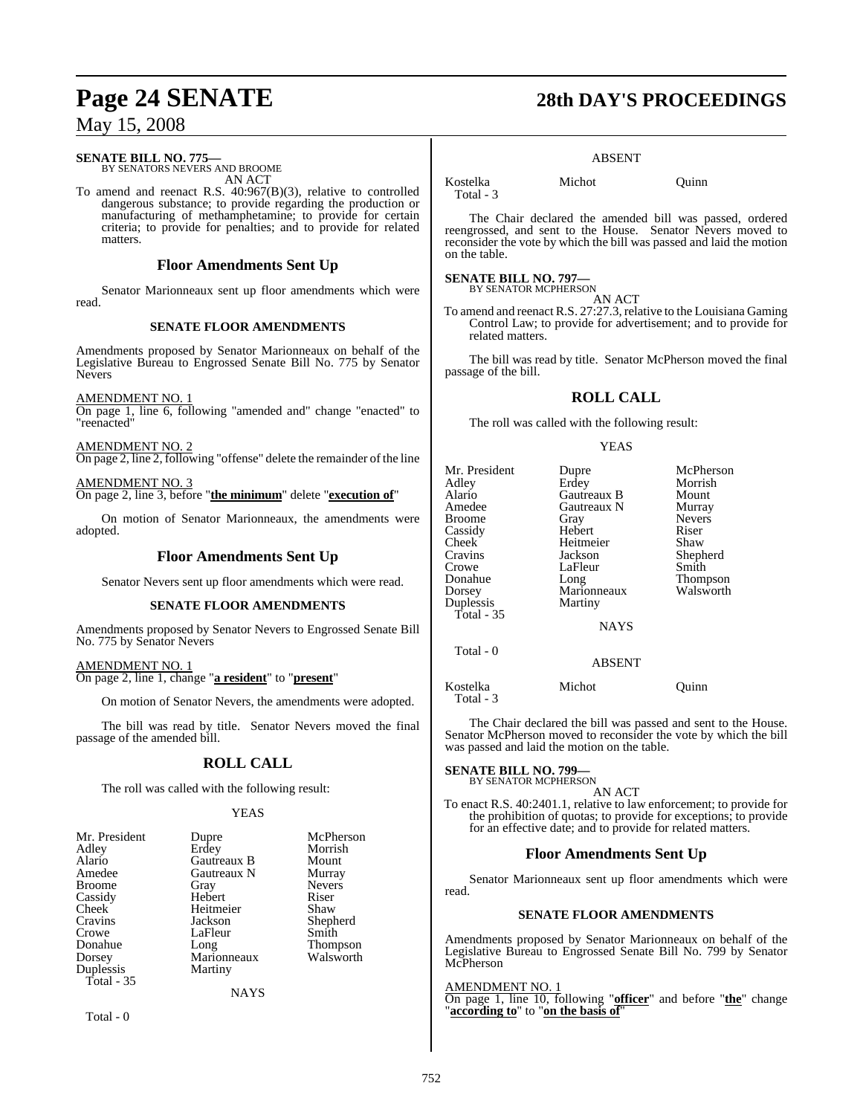### **SENATE BILL NO. 775—**

BY SENATORS NEVERS AND BROOME AN ACT

To amend and reenact R.S. 40:967(B)(3), relative to controlled dangerous substance; to provide regarding the production or manufacturing of methamphetamine; to provide for certain criteria; to provide for penalties; and to provide for related matters.

### **Floor Amendments Sent Up**

Senator Marionneaux sent up floor amendments which were read.

#### **SENATE FLOOR AMENDMENTS**

Amendments proposed by Senator Marionneaux on behalf of the Legislative Bureau to Engrossed Senate Bill No. 775 by Senator Nevers

AMENDMENT NO. 1

On page 1, line 6, following "amended and" change "enacted" to "reenacted"

AMENDMENT NO. 2 On page 2, line 2, following "offense" delete the remainder of the line

AMENDMENT NO. 3 On page 2, line 3, before "**the minimum**" delete "**execution of**"

On motion of Senator Marionneaux, the amendments were adopted.

#### **Floor Amendments Sent Up**

Senator Nevers sent up floor amendments which were read.

#### **SENATE FLOOR AMENDMENTS**

Amendments proposed by Senator Nevers to Engrossed Senate Bill No. 775 by Senator Nevers

AMENDMENT NO. 1 On page 2, line 1, change "**a resident**" to "**present**"

On motion of Senator Nevers, the amendments were adopted.

The bill was read by title. Senator Nevers moved the final passage of the amended bill.

### **ROLL CALL**

The roll was called with the following result:

#### YEAS

| Mr. President | Dupre       | McPherson       |
|---------------|-------------|-----------------|
| Adley         | Erdey       | Morrish         |
| Alario        | Gautreaux B | Mount           |
| Amedee        | Gautreaux N | Murray          |
| <b>Broome</b> | Gray        | <b>Nevers</b>   |
| Cassidy       | Hebert      | Riser           |
| Cheek         | Heitmeier   | Shaw            |
| Cravins       | Jackson     | Shepherd        |
| Crowe         | LaFleur     | Smith           |
| Donahue       | Long        | <b>Thompson</b> |
| Dorsey        | Marionneaux | Walsworth       |
| Duplessis     | Martiny     |                 |
| Total $-35$   |             |                 |
|               | NAYS        |                 |

Total - 0

# **Page 24 SENATE 28th DAY'S PROCEEDINGS**

#### ABSENT

Kostelka Michot Quinn Total - 3

The Chair declared the amended bill was passed, ordered reengrossed, and sent to the House. Senator Nevers moved to reconsider the vote by which the bill was passed and laid the motion on the table.

#### **SENATE BILL NO. 797—**

BY SENATOR MCPHERSON AN ACT

To amend and reenact R.S. 27:27.3, relative to the Louisiana Gaming Control Law; to provide for advertisement; and to provide for related matters.

The bill was read by title. Senator McPherson moved the final passage of the bill.

## **ROLL CALL**

The roll was called with the following result:

#### YEAS

| Mr. President<br>Adlev<br>Alario<br>Amedee<br>Broome<br>Cassidy<br>Cheek<br>Cravins<br>Crowe<br>Donahue<br>Dorsey<br>Duplessis<br>Total - 35 | Dupre<br>Erdey<br>Gautreaux B<br>Gautreaux N<br>Gray<br>Hebert<br>Heitmeier<br>Jackson<br>LaFleur<br>Long<br>Marionneaux<br>Martiny<br><b>NAYS</b> | McPherson<br>Morrish<br>Mount<br>Murray<br><b>Nevers</b><br>Riser<br>Shaw<br>Shepherd<br>Smith<br>Thompson<br>Walsworth |
|----------------------------------------------------------------------------------------------------------------------------------------------|----------------------------------------------------------------------------------------------------------------------------------------------------|-------------------------------------------------------------------------------------------------------------------------|
| Total - 0                                                                                                                                    | <b>ABSENT</b>                                                                                                                                      |                                                                                                                         |
| Kostelka<br>Total - 3                                                                                                                        | Michot                                                                                                                                             | Ouınn                                                                                                                   |

The Chair declared the bill was passed and sent to the House. Senator McPherson moved to reconsider the vote by which the bill was passed and laid the motion on the table.

#### **SENATE BILL NO. 799—**

BY SENATOR MCPHERSON AN ACT

To enact R.S. 40:2401.1, relative to law enforcement; to provide for the prohibition of quotas; to provide for exceptions; to provide for an effective date; and to provide for related matters.

### **Floor Amendments Sent Up**

Senator Marionneaux sent up floor amendments which were read.

#### **SENATE FLOOR AMENDMENTS**

Amendments proposed by Senator Marionneaux on behalf of the Legislative Bureau to Engrossed Senate Bill No. 799 by Senator McPherson

#### AMENDMENT NO. 1

On page 1, line 10, following "**officer**" and before "**the**" change "**according to**" to "**on the basis of**"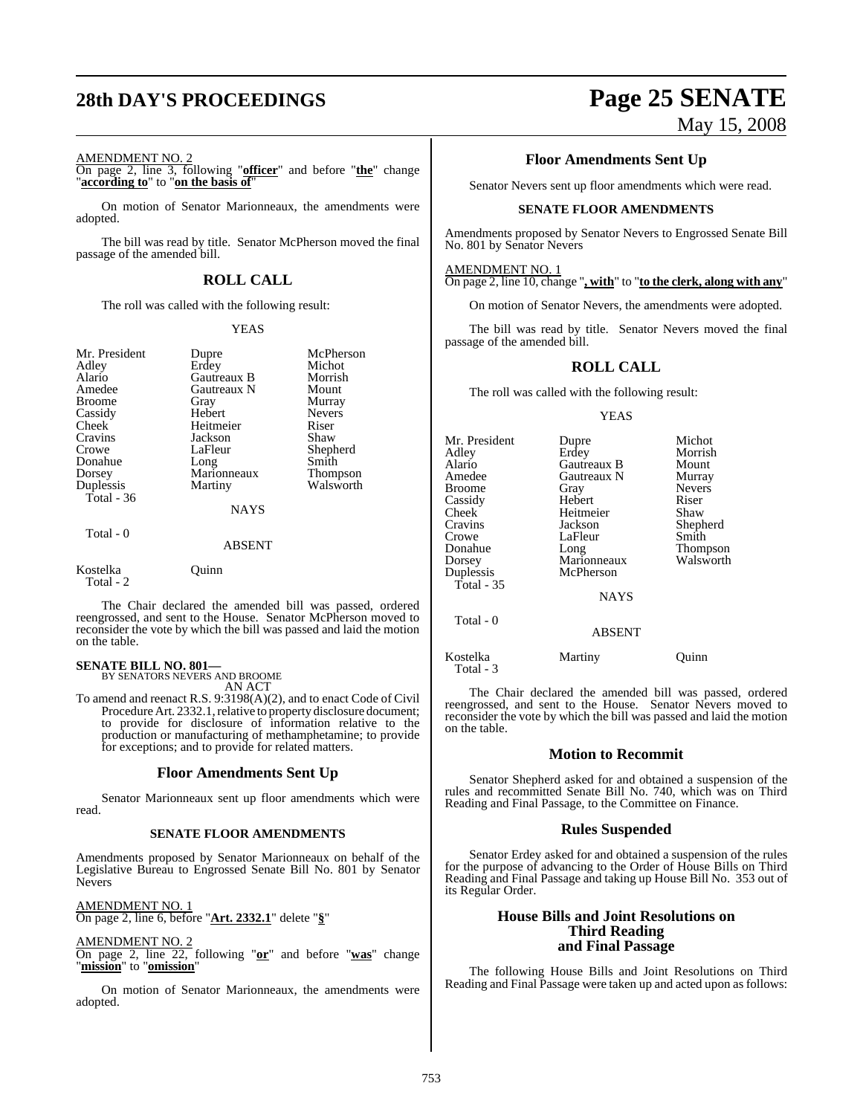# **28th DAY'S PROCEEDINGS Page 25 SENATE**

#### AMENDMENT NO. 2

On page 2, line 3, following "**officer**" and before "**the**" change "**according to**" to "**on the basis of**"

On motion of Senator Marionneaux, the amendments were adopted.

The bill was read by title. Senator McPherson moved the final passage of the amended bill.

## **ROLL CALL**

The roll was called with the following result:

#### YEAS

| Mr. President<br>Adley<br>Alario<br>Amedee<br><b>Broome</b><br>Cassidy<br>Cheek<br>Cravins<br>Crowe<br>Donahue<br>Dorsey<br>Duplessis<br>Total - $36$ | Dupre<br>Erdey<br>Gautreaux B<br>Gautreaux N<br>Gray<br>Hebert<br>Heitmeier<br>Jackson<br>LaFleur<br>Long<br>Marionneaux<br>Martiny | McPherson<br>Michot<br>Morrish<br>Mount<br>Murray<br><b>Nevers</b><br>Riser<br>Shaw<br>Shepherd<br>Smith<br>Thompson<br>Walsworth |
|-------------------------------------------------------------------------------------------------------------------------------------------------------|-------------------------------------------------------------------------------------------------------------------------------------|-----------------------------------------------------------------------------------------------------------------------------------|
|                                                                                                                                                       | <b>NAYS</b>                                                                                                                         |                                                                                                                                   |
| Total - 0                                                                                                                                             | <b>ABSENT</b>                                                                                                                       |                                                                                                                                   |

Kostelka Quinn Total - 2

The Chair declared the amended bill was passed, ordered reengrossed, and sent to the House. Senator McPherson moved to reconsider the vote by which the bill was passed and laid the motion on the table.

#### **SENATE BILL NO. 801—**

BY SENATORS NEVERS AND BROOME AN ACT

To amend and reenact R.S. 9:3198(A)(2), and to enact Code of Civil Procedure Art. 2332.1, relative to property disclosure document; to provide for disclosure of information relative to the production or manufacturing of methamphetamine; to provide for exceptions; and to provide for related matters.

#### **Floor Amendments Sent Up**

Senator Marionneaux sent up floor amendments which were read.

#### **SENATE FLOOR AMENDMENTS**

Amendments proposed by Senator Marionneaux on behalf of the Legislative Bureau to Engrossed Senate Bill No. 801 by Senator **Nevers** 

AMENDMENT NO. 1 On page 2, line 6, before "**Art. 2332.1**" delete "**§**"

#### AMENDMENT NO. 2

On page 2, line 22, following "**or**" and before "**was**" change "**mission**" to "**omission**"

On motion of Senator Marionneaux, the amendments were adopted.

# May 15, 2008

#### **Floor Amendments Sent Up**

Senator Nevers sent up floor amendments which were read.

#### **SENATE FLOOR AMENDMENTS**

Amendments proposed by Senator Nevers to Engrossed Senate Bill No. 801 by Senator Nevers

#### AMENDMENT NO. 1

On page 2, line 10, change "**, with**" to "**to the clerk, along with any**"

On motion of Senator Nevers, the amendments were adopted.

The bill was read by title. Senator Nevers moved the final passage of the amended bill.

## **ROLL CALL**

The roll was called with the following result:

#### YEAS

Mr. President Dupre Michot<br>Adley Erdey Morrish Adley Erdey Morrish Alario Gautreaux B Mount Broome Gray Never<br>
Cassidy Hebert Riser Cassidy Hebert Riser Cheek Heitmeier<br>Cravins Jackson Crowe LaFleur Smith<br>
Donahue Long Thom Donahue Long Thompson<br>
Dorsey Marionneaux Walsworth Duplessis Total - 35

**Gautreaux N** Murray<br> **Grav** Nevers Shepherd

NAYS

ABSENT

Marionneaux<br>McPherson

Total - 0

Kostelka Martiny Quinn

Total - 3

The Chair declared the amended bill was passed, ordered reengrossed, and sent to the House. Senator Nevers moved to reconsider the vote by which the bill was passed and laid the motion on the table.

#### **Motion to Recommit**

Senator Shepherd asked for and obtained a suspension of the rules and recommitted Senate Bill No. 740, which was on Third Reading and Final Passage, to the Committee on Finance.

#### **Rules Suspended**

Senator Erdey asked for and obtained a suspension of the rules for the purpose of advancing to the Order of House Bills on Third Reading and Final Passage and taking up House Bill No. 353 out of its Regular Order.

#### **House Bills and Joint Resolutions on Third Reading and Final Passage**

The following House Bills and Joint Resolutions on Third Reading and Final Passage were taken up and acted upon as follows: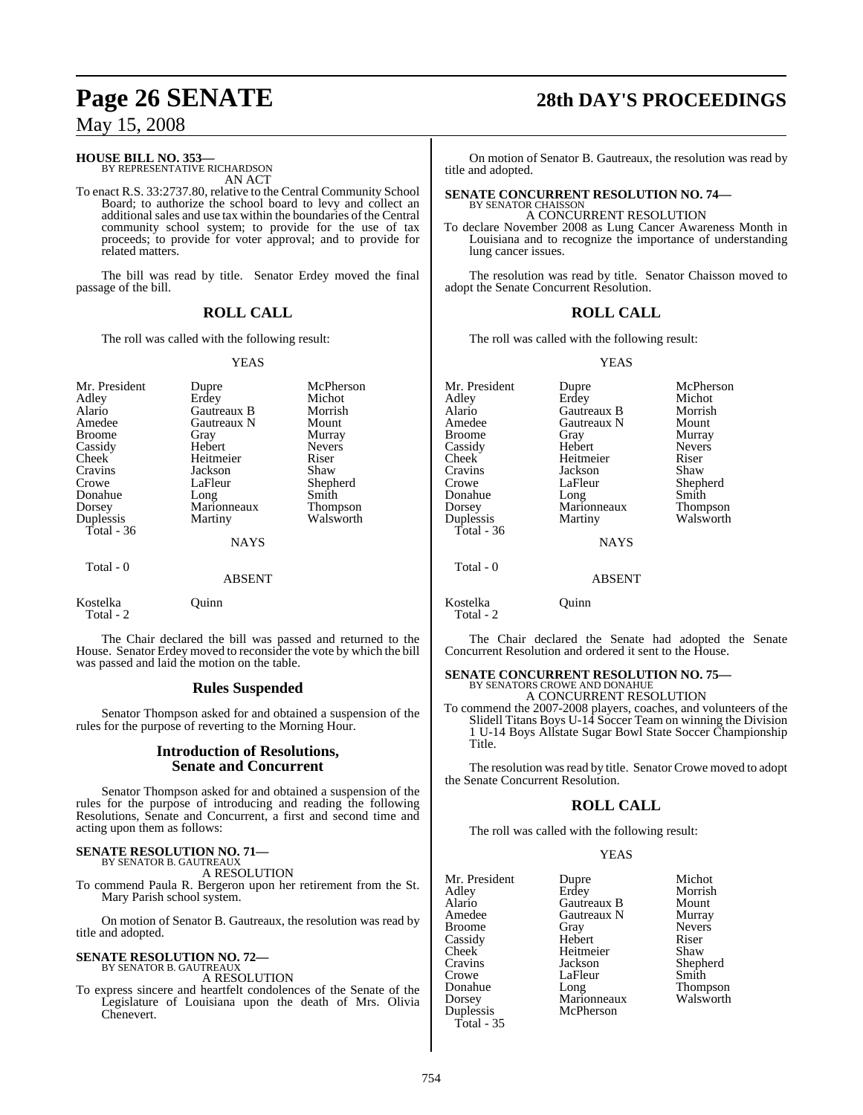# **HOUSE BILL NO. 353—** BY REPRESENTATIVE RICHARDSON

AN ACT

To enact R.S. 33:2737.80, relative to the Central Community School Board; to authorize the school board to levy and collect an additional sales and use tax within the boundaries of the Central community school system; to provide for the use of tax proceeds; to provide for voter approval; and to provide for related matters.

The bill was read by title. Senator Erdey moved the final passage of the bill.

### **ROLL CALL**

The roll was called with the following result:

#### YEAS

| Mr. President<br>Adley<br>Alario<br>Amedee<br><b>Broome</b><br>Cassidy<br>Cheek<br>Cravins<br>Crowe<br>Donahue<br>Dorsey<br>Duplessis | Dupre<br>Erdey<br>Gautreaux B<br>Gautreaux N<br>Gray<br>Hebert<br>Heitmeier<br>Jackson<br>LaFleur<br>Long<br>Marionneaux<br>Martiny | McPherson<br>Michot<br>Morrish<br>Mount<br>Murray<br><b>Nevers</b><br>Riser<br>Shaw<br>Shepherd<br>Smith<br><b>Thompson</b><br>Walsworth |
|---------------------------------------------------------------------------------------------------------------------------------------|-------------------------------------------------------------------------------------------------------------------------------------|------------------------------------------------------------------------------------------------------------------------------------------|
| Total - $36$                                                                                                                          | <b>NAYS</b>                                                                                                                         |                                                                                                                                          |
| Total - 0                                                                                                                             | <b>ABSENT</b>                                                                                                                       |                                                                                                                                          |

Kostelka Quinn Total - 2

The Chair declared the bill was passed and returned to the House. Senator Erdey moved to reconsider the vote by which the bill was passed and laid the motion on the table.

#### **Rules Suspended**

Senator Thompson asked for and obtained a suspension of the rules for the purpose of reverting to the Morning Hour.

#### **Introduction of Resolutions, Senate and Concurrent**

Senator Thompson asked for and obtained a suspension of the rules for the purpose of introducing and reading the following Resolutions, Senate and Concurrent, a first and second time and acting upon them as follows:

# **SENATE RESOLUTION NO. 71—** BY SENATOR B. GAUTREAUX

A RESOLUTION

To commend Paula R. Bergeron upon her retirement from the St. Mary Parish school system.

On motion of Senator B. Gautreaux, the resolution was read by title and adopted.

#### **SENATE RESOLUTION NO. 72—** BY SENATOR B. GAUTREAUX A RESOLUTION

To express sincere and heartfelt condolences of the Senate of the Legislature of Louisiana upon the death of Mrs. Olivia Chenevert.

# **Page 26 SENATE 28th DAY'S PROCEEDINGS**

On motion of Senator B. Gautreaux, the resolution was read by title and adopted.

# **SENATE CONCURRENT RESOLUTION NO. 74—** BY SENATOR CHAISSON

A CONCURRENT RESOLUTION

To declare November 2008 as Lung Cancer Awareness Month in Louisiana and to recognize the importance of understanding lung cancer issues.

The resolution was read by title. Senator Chaisson moved to adopt the Senate Concurrent Resolution.

#### **ROLL CALL**

The roll was called with the following result:

YEAS

| Mr. President | Dupre       | McPherson     |
|---------------|-------------|---------------|
| Adley         | Erdey       | Michot        |
| Alario        | Gautreaux B | Morrish       |
| Amedee        | Gautreaux N | Mount         |
| Broome        | Gray        | Murray        |
| Cassidy       | Hebert      | <b>Nevers</b> |
| Cheek         | Heitmeier   | Riser         |
| Cravins       | Jackson     | Shaw          |
| Crowe         | LaFleur     | Shepherd      |
| Donahue       | Long        | Smith         |
| Dorsey        | Marionneaux | Thompson      |
| Duplessis     | Martiny     | Walsworth     |
| Total - 36    |             |               |
|               | <b>NAYS</b> |               |
|               |             |               |

Total - 0

Kostelka Quinn Total - 2

The Chair declared the Senate had adopted the Senate Concurrent Resolution and ordered it sent to the House.

ABSENT

## **SENATE CONCURRENT RESOLUTION NO. 75—**

BY SENATORS CROWE AND DONAHUE A CONCURRENT RESOLUTION

To commend the 2007-2008 players, coaches, and volunteers of the Slidell Titans Boys U-14 Soccer Team on winning the Division 1 U-14 Boys Allstate Sugar Bowl State Soccer Championship Title.

The resolution was read by title. Senator Crowe moved to adopt the Senate Concurrent Resolution.

### **ROLL CALL**

The roll was called with the following result:

## YEAS

| Mr. President | Dupre       | Michot        |
|---------------|-------------|---------------|
| Adley         | Erdey       | Morrish       |
| Alario        | Gautreaux B | Mount         |
| Amedee        | Gautreaux N | Murray        |
| <b>Broome</b> | Gray        | <b>Nevers</b> |
| Cassidy       | Hebert      | Riser         |
| Cheek         | Heitmeier   | Shaw          |
| Cravins       | Jackson     | Shepherd      |
| Crowe         | LaFleur     | Smith         |
| Donahue       | Long        | Thompson      |
| Dorsey        | Marionneaux | Walsworth     |
| Duplessis     | McPherson   |               |
| Total - 35    |             |               |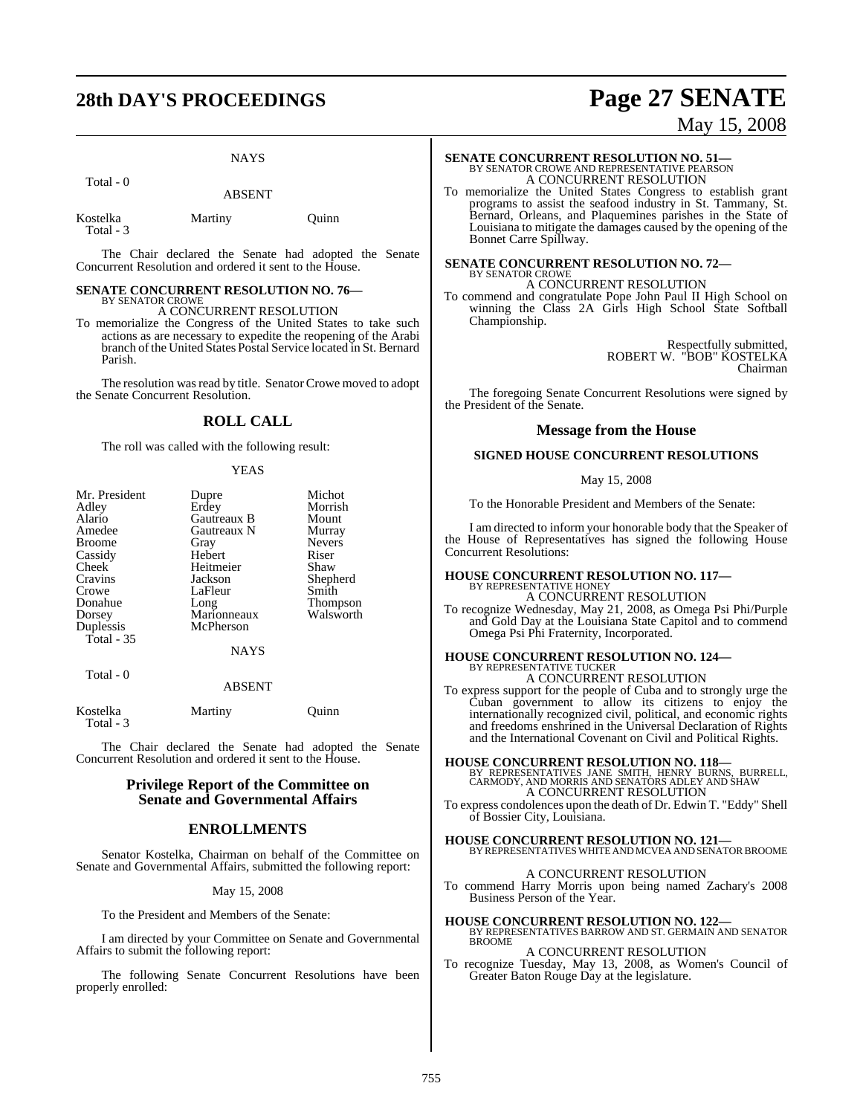# **28th DAY'S PROCEEDINGS Page 27 SENATE**

#### **NAYS**

Total - 0

ABSENT

| Kostelka  | Martiny | Ouinn |
|-----------|---------|-------|
| Total - 3 |         |       |

The Chair declared the Senate had adopted the Senate Concurrent Resolution and ordered it sent to the House.

#### **SENATE CONCURRENT RESOLUTION NO. 76—** BY SENATOR CROWE

A CONCURRENT RESOLUTION

To memorialize the Congress of the United States to take such actions as are necessary to expedite the reopening of the Arabi branch of the United States Postal Service located in St. Bernard Parish.

The resolution was read by title. Senator Crowe moved to adopt the Senate Concurrent Resolution.

### **ROLL CALL**

The roll was called with the following result:

#### YEAS

| Mr. President | Dupre         | Michot          |
|---------------|---------------|-----------------|
| Adley         | Erdey         | Morrish         |
| Alario        | Gautreaux B   | Mount           |
| Amedee        | Gautreaux N   | Murray          |
| <b>Broome</b> | Gray          | <b>Nevers</b>   |
| Cassidy       | Hebert        | Riser           |
| Cheek         | Heitmeier     | Shaw            |
| Cravins       | Jackson       | Shepherd        |
| Crowe         | LaFleur       | Smith           |
| Donahue       | Long          | <b>Thompson</b> |
| Dorsey        | Marionneaux   | Walsworth       |
| Duplessis     | McPherson     |                 |
| Total - 35    |               |                 |
|               | <b>NAYS</b>   |                 |
| Total - 0     |               |                 |
|               | <b>ABSENT</b> |                 |

| Kostelka  | Martiny | Ouinn |
|-----------|---------|-------|
| Total - 3 |         |       |

The Chair declared the Senate had adopted the Senate Concurrent Resolution and ordered it sent to the House.

#### **Privilege Report of the Committee on Senate and Governmental Affairs**

#### **ENROLLMENTS**

Senator Kostelka, Chairman on behalf of the Committee on Senate and Governmental Affairs, submitted the following report:

May 15, 2008

To the President and Members of the Senate:

I am directed by your Committee on Senate and Governmental Affairs to submit the following report:

The following Senate Concurrent Resolutions have been properly enrolled:

# May 15, 2008

# **SENATE CONCURRENT RESOLUTION NO. 51—**<br>BY SENATOR CROWE AND REPRESENTATIVE PEARSON A CONCURRENT RESOLUTION

To memorialize the United States Congress to establish grant programs to assist the seafood industry in St. Tammany, St. Bernard, Orleans, and Plaquemines parishes in the State of Louisiana to mitigate the damages caused by the opening of the Bonnet Carre Spillway.

#### **SENATE CONCURRENT RESOLUTION NO. 72—** BY SENATOR CROWE A CONCURRENT RESOLUTION

To commend and congratulate Pope John Paul II High School on winning the Class 2A Girls High School State Softball Championship.

> Respectfully submitted, ROBERT W. "BOB" KOSTELKA Chairman

The foregoing Senate Concurrent Resolutions were signed by the President of the Senate.

#### **Message from the House**

#### **SIGNED HOUSE CONCURRENT RESOLUTIONS**

#### May 15, 2008

To the Honorable President and Members of the Senate:

I am directed to inform your honorable body that the Speaker of the House of Representatives has signed the following House Concurrent Resolutions:

#### **HOUSE CONCURRENT RESOLUTION NO. 117—** BY REPRESENTATIVE HONEY A CONCURRENT RESOLUTION

To recognize Wednesday, May 21, 2008, as Omega Psi Phi/Purple and Gold Day at the Louisiana State Capitol and to commend Omega Psi Phi Fraternity, Incorporated.

# **HOUSE CONCURRENT RESOLUTION NO. 124—** BY REPRESENTATIVE TUCKER

A CONCURRENT RESOLUTION

To express support for the people of Cuba and to strongly urge the Cuban government to allow its citizens to enjoy the internationally recognized civil, political, and economic rights and freedoms enshrined in the Universal Declaration of Rights and the International Covenant on Civil and Political Rights.

**HOUSE CONCURRENT RESOLUTION NO. 118—**<br>BY REPRESENTATIVES JANE SMITH, HENRY BURNS, BURRELL,<br>CARMODY, AND MORRIS AND SENATORS ADLEY AND SHAW<br>A CONCURRENT RESOLUTION

To express condolences upon the death of Dr. Edwin T. "Eddy" Shell of Bossier City, Louisiana.

**HOUSE CONCURRENT RESOLUTION NO. 121—** BY REPRESENTATIVES WHITE AND MCVEA AND SENATOR BROOME

#### A CONCURRENT RESOLUTION

To commend Harry Morris upon being named Zachary's 2008 Business Person of the Year.

**HOUSE CONCURRENT RESOLUTION NO. 122** BY REPRESENTATIVES BARROW AND ST. GERMAIN AND SENATOR BROOME

## A CONCURRENT RESOLUTION

To recognize Tuesday, May 13, 2008, as Women's Council of Greater Baton Rouge Day at the legislature.